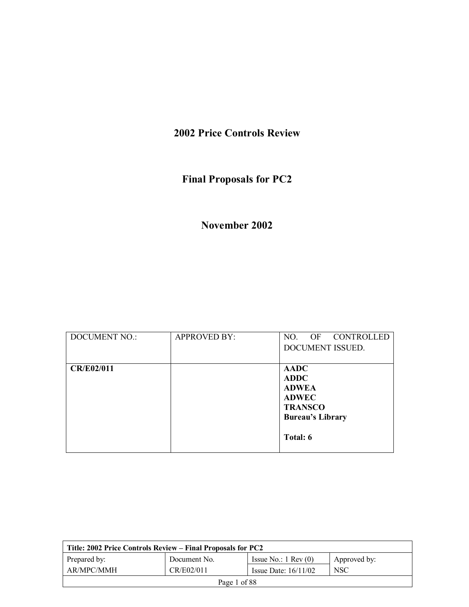## **2002 Price Controls Review**

# **Final Proposals for PC2**

## **November 2002**

| <b>DOCUMENT NO.:</b> | <b>APPROVED BY:</b> | OF CONTROLLED<br>NO.<br>DOCUMENT ISSUED.                                                                            |
|----------------------|---------------------|---------------------------------------------------------------------------------------------------------------------|
| <b>CR/E02/011</b>    |                     | <b>AADC</b><br><b>ADDC</b><br><b>ADWEA</b><br><b>ADWEC</b><br><b>TRANSCO</b><br><b>Bureau's Library</b><br>Total: 6 |

| Title: 2002 Price Controls Review – Final Proposals for PC2 |              |                               |              |
|-------------------------------------------------------------|--------------|-------------------------------|--------------|
| Prepared by:                                                | Document No. | Issue No.: $1 \text{ Rev}(0)$ | Approved by: |
| AR/MPC/MMH                                                  | <b>NSC</b>   |                               |              |
| Page 1 of 88                                                |              |                               |              |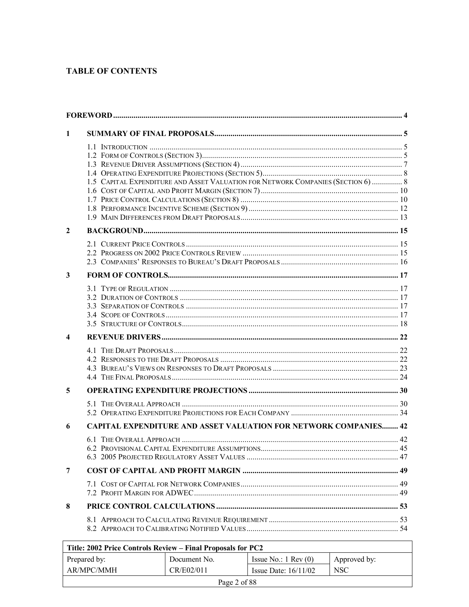### **TABLE OF CONTENTS**

| 1 |                                                                                  |  |
|---|----------------------------------------------------------------------------------|--|
|   |                                                                                  |  |
|   |                                                                                  |  |
|   |                                                                                  |  |
|   |                                                                                  |  |
|   | 1.5 CAPITAL EXPENDITURE AND ASSET VALUATION FOR NETWORK COMPANIES (SECTION 6)  8 |  |
|   |                                                                                  |  |
|   |                                                                                  |  |
|   |                                                                                  |  |
| 2 |                                                                                  |  |
|   |                                                                                  |  |
|   |                                                                                  |  |
|   |                                                                                  |  |
|   |                                                                                  |  |
| 3 |                                                                                  |  |
|   |                                                                                  |  |
|   |                                                                                  |  |
|   |                                                                                  |  |
|   |                                                                                  |  |
|   |                                                                                  |  |
| 4 |                                                                                  |  |
|   |                                                                                  |  |
|   |                                                                                  |  |
|   |                                                                                  |  |
|   |                                                                                  |  |
| 5 |                                                                                  |  |
|   |                                                                                  |  |
|   |                                                                                  |  |
| 6 | CAPITAL EXPENDITURE AND ASSET VALUATION FOR NETWORK COMPANIES 42                 |  |
|   |                                                                                  |  |
|   |                                                                                  |  |
|   |                                                                                  |  |
| 7 |                                                                                  |  |
|   |                                                                                  |  |
|   |                                                                                  |  |
| 8 |                                                                                  |  |
|   |                                                                                  |  |
|   |                                                                                  |  |
|   |                                                                                  |  |

| Title: 2002 Price Controls Review – Final Proposals for PC2 |              |                               |                  |
|-------------------------------------------------------------|--------------|-------------------------------|------------------|
| Prepared by:                                                | Document No. | Issue No.: $1 \text{ Rev}(0)$ | Approved by:     |
| AR/MPC/MMH                                                  | CR/E02/011   | Issue Date: $16/11/02$        | NSC <sup>.</sup> |
| Page 2 of 88                                                |              |                               |                  |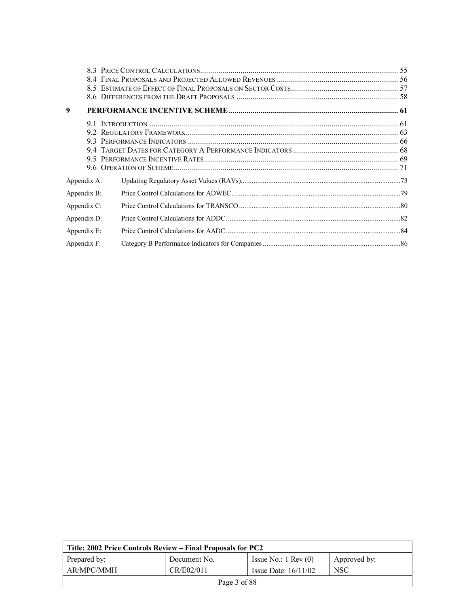| 9           |  |
|-------------|--|
| 91          |  |
|             |  |
|             |  |
|             |  |
|             |  |
|             |  |
| Appendix A: |  |
| Appendix B: |  |
| Appendix C: |  |
| Appendix D: |  |
| Appendix E: |  |
| Appendix F: |  |

| Title: 2002 Price Controls Review – Final Proposals for PC2      |              |                               |              |
|------------------------------------------------------------------|--------------|-------------------------------|--------------|
| Prepared by:                                                     | Document No. | Issue No.: $1 \text{ Rev}(0)$ | Approved by: |
| AR/MPC/MMH<br><b>NSC</b><br>CR/E02/011<br>Issue Date: $16/11/02$ |              |                               |              |
| Page 3 of 88                                                     |              |                               |              |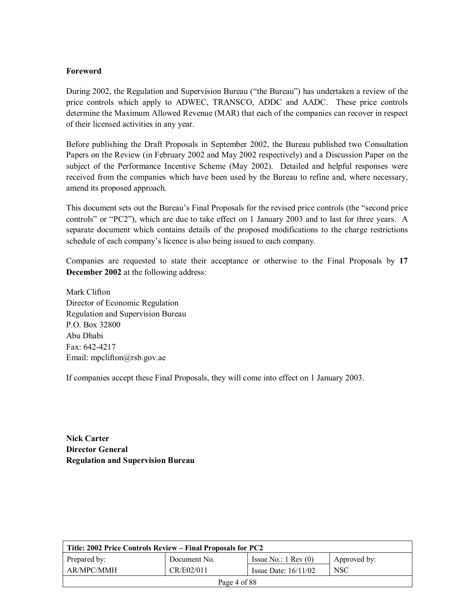#### **Foreword**

During 2002, the Regulation and Supervision Bureau ("the Bureau") has undertaken a review of the price controls which apply to ADWEC, TRANSCO, ADDC and AADC. These price controls determine the Maximum Allowed Revenue (MAR) that each of the companies can recover in respect of their licensed activities in any year.

Before publishing the Draft Proposals in September 2002, the Bureau published two Consultation Papers on the Review (in February 2002 and May 2002 respectively) and a Discussion Paper on the subject of the Performance Incentive Scheme (May 2002). Detailed and helpful responses were received from the companies which have been used by the Bureau to refine and, where necessary, amend its proposed approach.

This document sets out the Bureau's Final Proposals for the revised price controls (the "second price controls" or "PC2"), which are due to take effect on 1 January 2003 and to last for three years. A separate document which contains details of the proposed modifications to the charge restrictions schedule of each company's licence is also being issued to each company.

Companies are requested to state their acceptance or otherwise to the Final Proposals by **17 December 2002** at the following address:

Mark Clifton Director of Economic Regulation Regulation and Supervision Bureau P.O. Box 32800 Abu Dhabi Fax: 642-4217 Email: mpclifton@rsb.gov.ae

If companies accept these Final Proposals, they will come into effect on 1 January 2003.

**Nick Carter Director General Regulation and Supervision Bureau** 

| Title: 2002 Price Controls Review – Final Proposals for PC2                   |  |  |  |  |  |
|-------------------------------------------------------------------------------|--|--|--|--|--|
| Prepared by:<br>Issue No.: $1 \text{ Rev}(0)$<br>Approved by:<br>Document No. |  |  |  |  |  |
| AR/MPC/MMH<br>CR/E02/011<br><b>NSC</b><br>Issue Date: $16/11/02$              |  |  |  |  |  |
| Page 4 of 88                                                                  |  |  |  |  |  |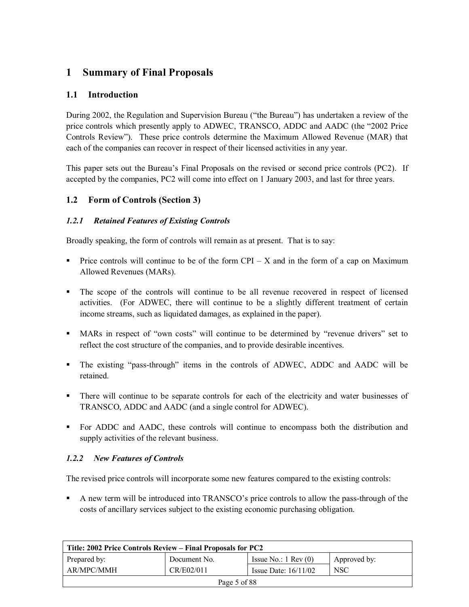## **1 Summary of Final Proposals**

## **1.1 Introduction**

During 2002, the Regulation and Supervision Bureau ("the Bureau") has undertaken a review of the price controls which presently apply to ADWEC, TRANSCO, ADDC and AADC (the "2002 Price Controls Review"). These price controls determine the Maximum Allowed Revenue (MAR) that each of the companies can recover in respect of their licensed activities in any year.

This paper sets out the Bureau's Final Proposals on the revised or second price controls (PC2). If accepted by the companies, PC2 will come into effect on 1 January 2003, and last for three years.

## **1.2 Form of Controls (Section 3)**

#### *1.2.1 Retained Features of Existing Controls*

Broadly speaking, the form of controls will remain as at present. That is to say:

- " Price controls will continue to be of the form  $\text{CPI} \text{X}$  and in the form of a cap on Maximum Allowed Revenues (MARs).
- ! The scope of the controls will continue to be all revenue recovered in respect of licensed activities. (For ADWEC, there will continue to be a slightly different treatment of certain income streams, such as liquidated damages, as explained in the paper).
- **II** MARs in respect of "own costs" will continue to be determined by "revenue drivers" set to reflect the cost structure of the companies, and to provide desirable incentives.
- The existing "pass-through" items in the controls of ADWEC, ADDC and AADC will be retained.
- ! There will continue to be separate controls for each of the electricity and water businesses of TRANSCO, ADDC and AADC (and a single control for ADWEC).
- ! For ADDC and AADC, these controls will continue to encompass both the distribution and supply activities of the relevant business.

#### *1.2.2 New Features of Controls*

The revised price controls will incorporate some new features compared to the existing controls:

A new term will be introduced into TRANSCO's price controls to allow the pass-through of the costs of ancillary services subject to the existing economic purchasing obligation.

| Title: 2002 Price Controls Review – Final Proposals for PC2      |              |                               |              |  |
|------------------------------------------------------------------|--------------|-------------------------------|--------------|--|
| Prepared by:                                                     | Document No. | Issue No.: $1 \text{ Rev}(0)$ | Approved by: |  |
| <b>NSC</b><br>AR/MPC/MMH<br>CR/E02/011<br>Issue Date: $16/11/02$ |              |                               |              |  |
| Page 5 of 88                                                     |              |                               |              |  |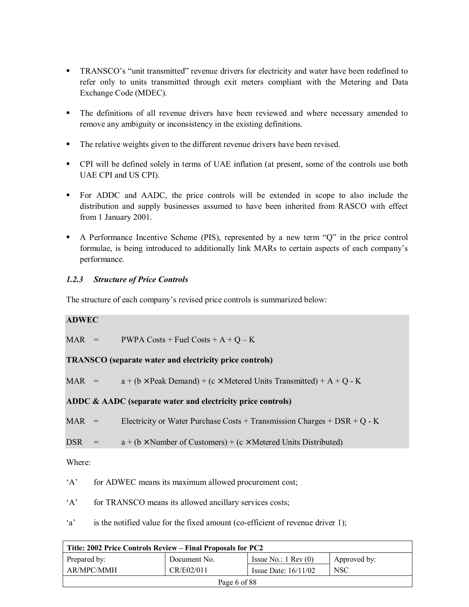- **•** TRANSCO's "unit transmitted" revenue drivers for electricity and water have been redefined to refer only to units transmitted through exit meters compliant with the Metering and Data Exchange Code (MDEC).
- ! The definitions of all revenue drivers have been reviewed and where necessary amended to remove any ambiguity or inconsistency in the existing definitions.
- ! The relative weights given to the different revenue drivers have been revised.
- ! CPI will be defined solely in terms of UAE inflation (at present, some of the controls use both UAE CPI and US CPI).
- ! For ADDC and AADC, the price controls will be extended in scope to also include the distribution and supply businesses assumed to have been inherited from RASCO with effect from 1 January 2001.
- $\blacksquare$  A Performance Incentive Scheme (PIS), represented by a new term "Q" in the price control formulae, is being introduced to additionally link MARs to certain aspects of each companyís performance.

#### *1.2.3 Structure of Price Controls*

The structure of each company's revised price controls is summarized below:

#### **ADWEC**

| $\text{MAR}$ = | PWPA Costs + Fuel Costs + $A + Q - K$ |
|----------------|---------------------------------------|
|                |                                       |

**TRANSCO (separate water and electricity price controls)** 

MAR =  $a + (b \times \text{Peak Domain}) + (c \times \text{Metered Units Transmitted}) + A + Q - K$ 

**ADDC & AADC (separate water and electricity price controls)** 

MAR = Electricity or Water Purchase Costs + Transmission Charges + DSR + Q - K

DSR =  $a + (b \times$  Number of Customers) + (c × Metered Units Distributed)

Where:

 $A'$  for ADWEC means its maximum allowed procurement cost;

'A' for TRANSCO means its allowed ancillary services costs;

'a' is the notified value for the fixed amount (co-efficient of revenue driver 1);

| Title: 2002 Price Controls Review – Final Proposals for PC2 |              |                               |              |
|-------------------------------------------------------------|--------------|-------------------------------|--------------|
| Prepared by:                                                | Document No. | Issue No.: $1 \text{ Rev}(0)$ | Approved by: |
| AR/MPC/MMH                                                  | <b>NSC</b>   |                               |              |
| Page 6 of 88                                                |              |                               |              |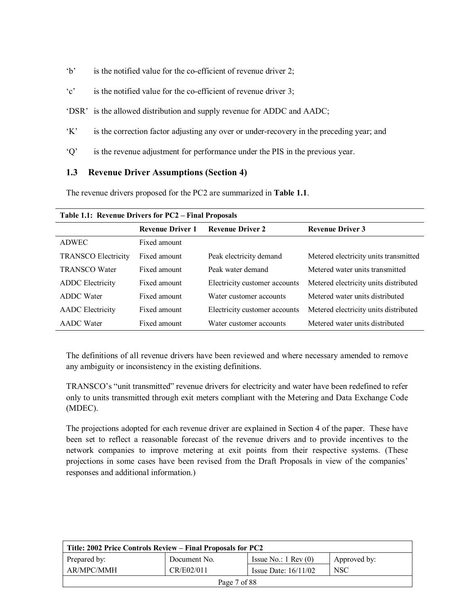- $b'$  is the notified value for the co-efficient of revenue driver 2;
- $\degree$  is the notified value for the co-efficient of revenue driver 3;
- 'DSR' is the allowed distribution and supply revenue for ADDC and AADC;
- K<sup> $\cdot$ </sup> is the correction factor adjusting any over or under-recovery in the preceding year; and
- $\dot{Q}$ <sup> $\dot{Q}$ </sup> is the revenue adjustment for performance under the PIS in the previous year.

#### **1.3 Revenue Driver Assumptions (Section 4)**

The revenue drivers proposed for the PC2 are summarized in **Table 1.1**.

| <b>Table 1.1: Revenue Drivers for <math>P\mathbb{C}Z</math> – Final Proposals</b> |                         |                               |                                       |  |
|-----------------------------------------------------------------------------------|-------------------------|-------------------------------|---------------------------------------|--|
|                                                                                   | <b>Revenue Driver 1</b> | <b>Revenue Driver 2</b>       | <b>Revenue Driver 3</b>               |  |
| <b>ADWEC</b>                                                                      | Fixed amount            |                               |                                       |  |
| <b>TRANSCO Electricity</b>                                                        | Fixed amount            | Peak electricity demand       | Metered electricity units transmitted |  |
| <b>TRANSCO Water</b>                                                              | Fixed amount            | Peak water demand             | Metered water units transmitted       |  |
| <b>ADDC</b> Electricity                                                           | Fixed amount            | Electricity customer accounts | Metered electricity units distributed |  |
| <b>ADDC</b> Water                                                                 | Fixed amount            | Water customer accounts       | Metered water units distributed       |  |
| <b>AADC</b> Electricity                                                           | Fixed amount            | Electricity customer accounts | Metered electricity units distributed |  |
| <b>AADC</b> Water                                                                 | Fixed amount            | Water customer accounts       | Metered water units distributed       |  |

**Table 1.1: Revenue Drivers for PC2 ñ Final Proposals** 

The definitions of all revenue drivers have been reviewed and where necessary amended to remove any ambiguity or inconsistency in the existing definitions.

TRANSCO's "unit transmitted" revenue drivers for electricity and water have been redefined to refer only to units transmitted through exit meters compliant with the Metering and Data Exchange Code (MDEC).

The projections adopted for each revenue driver are explained in Section 4 of the paper. These have been set to reflect a reasonable forecast of the revenue drivers and to provide incentives to the network companies to improve metering at exit points from their respective systems. (These projections in some cases have been revised from the Draft Proposals in view of the companies<sup>7</sup> responses and additional information.)

| Title: 2002 Price Controls Review – Final Proposals for PC2      |              |                               |              |  |
|------------------------------------------------------------------|--------------|-------------------------------|--------------|--|
| Prepared by:                                                     | Document No. | Issue No.: $1 \text{ Rev}(0)$ | Approved by: |  |
| AR/MPC/MMH<br>CR/E02/011<br><b>NSC</b><br>Issue Date: $16/11/02$ |              |                               |              |  |
| Page 7 of 88                                                     |              |                               |              |  |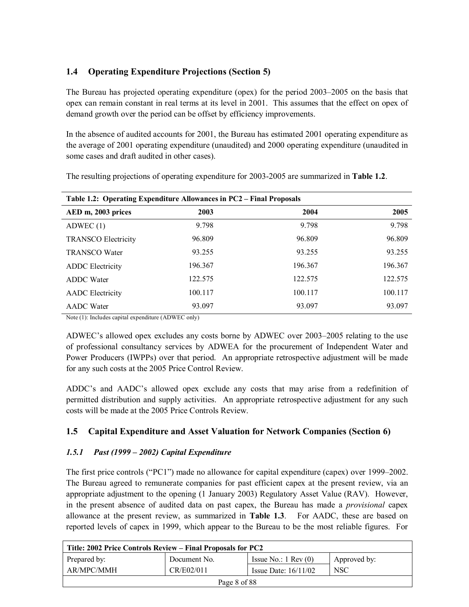## **1.4 Operating Expenditure Projections (Section 5)**

The Bureau has projected operating expenditure (opex) for the period  $2003-2005$  on the basis that opex can remain constant in real terms at its level in 2001. This assumes that the effect on opex of demand growth over the period can be offset by efficiency improvements.

In the absence of audited accounts for 2001, the Bureau has estimated 2001 operating expenditure as the average of 2001 operating expenditure (unaudited) and 2000 operating expenditure (unaudited in some cases and draft audited in other cases).

| Table 1.2: Operating Expenditure Allowances in PC2 - Final Proposals |         |         |         |  |
|----------------------------------------------------------------------|---------|---------|---------|--|
| AED m, 2003 prices                                                   | 2003    | 2004    | 2005    |  |
| ADWEC(1)                                                             | 9.798   | 9.798   | 9.798   |  |
| <b>TRANSCO Electricity</b>                                           | 96.809  | 96.809  | 96.809  |  |
| <b>TRANSCO Water</b>                                                 | 93.255  | 93.255  | 93.255  |  |
| <b>ADDC</b> Electricity                                              | 196.367 | 196.367 | 196.367 |  |
| <b>ADDC</b> Water                                                    | 122.575 | 122.575 | 122.575 |  |
| <b>AADC</b> Electricity                                              | 100.117 | 100.117 | 100.117 |  |
| <b>AADC</b> Water                                                    | 93.097  | 93.097  | 93.097  |  |

The resulting projections of operating expenditure for 2003-2005 are summarized in **Table 1.2**.

Note (1): Includes capital expenditure (ADWEC only)

ADWEC's allowed opex excludes any costs borne by ADWEC over 2003–2005 relating to the use of professional consultancy services by ADWEA for the procurement of Independent Water and Power Producers (IWPPs) over that period. An appropriate retrospective adjustment will be made for any such costs at the 2005 Price Control Review.

ADDC's and AADC's allowed opex exclude any costs that may arise from a redefinition of permitted distribution and supply activities. An appropriate retrospective adjustment for any such costs will be made at the 2005 Price Controls Review.

## **1.5 Capital Expenditure and Asset Valuation for Network Companies (Section 6)**

## *1.5.1 Past (1999 – 2002) Capital Expenditure*

The first price controls ("PC1") made no allowance for capital expenditure (capex) over 1999–2002. The Bureau agreed to remunerate companies for past efficient capex at the present review, via an appropriate adjustment to the opening (1 January 2003) Regulatory Asset Value (RAV). However, in the present absence of audited data on past capex, the Bureau has made a *provisional* capex allowance at the present review, as summarized in **Table 1.3**. For AADC, these are based on reported levels of capex in 1999, which appear to the Bureau to be the most reliable figures. For

| Title: 2002 Price Controls Review – Final Proposals for PC2 |              |                               |              |  |
|-------------------------------------------------------------|--------------|-------------------------------|--------------|--|
| Prepared by:                                                | Document No. | Issue No.: $1 \text{ Rev}(0)$ | Approved by: |  |
| AR/MPC/MMH                                                  | CR/E02/011   | Issue Date: $16/11/02$        | <b>NSC</b>   |  |
| Page 8 of 88                                                |              |                               |              |  |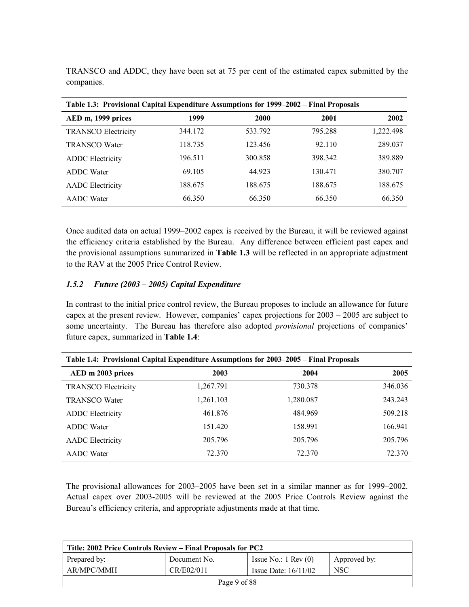| Table 1.3: Provisional Capital Expenditure Assumptions for 1999–2002 – Final Proposals |         |         |         |           |  |
|----------------------------------------------------------------------------------------|---------|---------|---------|-----------|--|
| AED m, 1999 prices                                                                     | 1999    | 2000    | 2001    | 2002      |  |
| <b>TRANSCO Electricity</b>                                                             | 344.172 | 533.792 | 795.288 | 1,222.498 |  |
| <b>TRANSCO Water</b>                                                                   | 118.735 | 123.456 | 92.110  | 289.037   |  |
| <b>ADDC</b> Electricity                                                                | 196.511 | 300.858 | 398.342 | 389.889   |  |
| <b>ADDC</b> Water                                                                      | 69.105  | 44.923  | 130.471 | 380.707   |  |
| <b>AADC</b> Electricity                                                                | 188.675 | 188.675 | 188.675 | 188.675   |  |
| <b>AADC</b> Water                                                                      | 66.350  | 66.350  | 66.350  | 66.350    |  |

TRANSCO and ADDC, they have been set at 75 per cent of the estimated capex submitted by the companies.

Once audited data on actual 1999–2002 capex is received by the Bureau, it will be reviewed against the efficiency criteria established by the Bureau. Any difference between efficient past capex and the provisional assumptions summarized in **Table 1.3** will be reflected in an appropriate adjustment to the RAV at the 2005 Price Control Review.

#### *1.5.2 Future (2003 – 2005) Capital Expenditure*

In contrast to the initial price control review, the Bureau proposes to include an allowance for future capex at the present review. However, companies' capex projections for  $2003 - 2005$  are subject to some uncertainty. The Bureau has therefore also adopted *provisional* projections of companies' future capex, summarized in **Table 1.4**:

| Table 1.4: Provisional Capital Expenditure Assumptions for 2003–2005 – Final Proposals |           |           |         |  |
|----------------------------------------------------------------------------------------|-----------|-----------|---------|--|
| AED m 2003 prices                                                                      | 2003      | 2004      | 2005    |  |
| <b>TRANSCO Electricity</b>                                                             | 1,267.791 | 730.378   | 346.036 |  |
| <b>TRANSCO Water</b>                                                                   | 1,261.103 | 1,280.087 | 243.243 |  |
| <b>ADDC</b> Electricity                                                                | 461.876   | 484.969   | 509.218 |  |
| <b>ADDC</b> Water                                                                      | 151.420   | 158.991   | 166.941 |  |
| <b>AADC</b> Electricity                                                                | 205.796   | 205.796   | 205.796 |  |
| <b>AADC</b> Water                                                                      | 72.370    | 72.370    | 72.370  |  |

The provisional allowances for  $2003-2005$  have been set in a similar manner as for  $1999-2002$ . Actual capex over 2003-2005 will be reviewed at the 2005 Price Controls Review against the Bureau's efficiency criteria, and appropriate adjustments made at that time.

| Title: 2002 Price Controls Review – Final Proposals for PC2 |              |                               |              |  |
|-------------------------------------------------------------|--------------|-------------------------------|--------------|--|
| Prepared by:                                                | Document No. | Issue No.: $1 \text{ Rev}(0)$ | Approved by: |  |
| AR/MPC/MMH                                                  | CR/E02/011   | Issue Date: $16/11/02$        | NSC          |  |
| Page 9 of 88                                                |              |                               |              |  |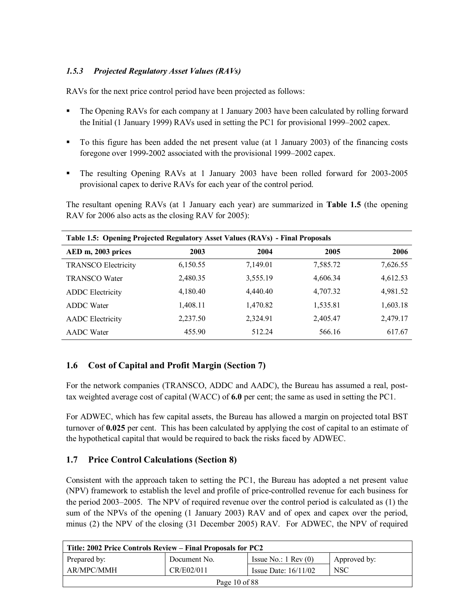## *1.5.3 Projected Regulatory Asset Values (RAVs)*

RAVs for the next price control period have been projected as follows:

- ! The Opening RAVs for each company at 1 January 2003 have been calculated by rolling forward the Initial (1 January 1999) RAVs used in setting the PC1 for provisional 1999–2002 capex.
- ! To this figure has been added the net present value (at 1 January 2003) of the financing costs foregone over 1999-2002 associated with the provisional 1999–2002 capex.
- ! The resulting Opening RAVs at 1 January 2003 have been rolled forward for 2003-2005 provisional capex to derive RAVs for each year of the control period.

The resultant opening RAVs (at 1 January each year) are summarized in **Table 1.5** (the opening RAV for 2006 also acts as the closing RAV for 2005):

| Table 1.5: Opening Projected Regulatory Asset Values (RAVs) - Final Proposals |          |          |          |          |  |
|-------------------------------------------------------------------------------|----------|----------|----------|----------|--|
| AED m, 2003 prices                                                            | 2003     | 2004     | 2005     | 2006     |  |
| <b>TRANSCO Electricity</b>                                                    | 6,150.55 | 7,149.01 | 7,585.72 | 7,626.55 |  |
| <b>TRANSCO Water</b>                                                          | 2,480.35 | 3,555.19 | 4,606.34 | 4,612.53 |  |
| <b>ADDC</b> Electricity                                                       | 4,180.40 | 4,440.40 | 4,707.32 | 4,981.52 |  |
| <b>ADDC</b> Water                                                             | 1,408.11 | 1,470.82 | 1,535.81 | 1,603.18 |  |
| <b>AADC</b> Electricity                                                       | 2,237.50 | 2,324.91 | 2,405.47 | 2,479.17 |  |
| <b>AADC</b> Water                                                             | 455.90   | 512.24   | 566.16   | 617.67   |  |

## **1.6 Cost of Capital and Profit Margin (Section 7)**

For the network companies (TRANSCO, ADDC and AADC), the Bureau has assumed a real, posttax weighted average cost of capital (WACC) of **6.0** per cent; the same as used in setting the PC1.

For ADWEC, which has few capital assets, the Bureau has allowed a margin on projected total BST turnover of **0.025** per cent. This has been calculated by applying the cost of capital to an estimate of the hypothetical capital that would be required to back the risks faced by ADWEC.

## **1.7 Price Control Calculations (Section 8)**

Consistent with the approach taken to setting the PC1, the Bureau has adopted a net present value (NPV) framework to establish the level and profile of price-controlled revenue for each business for the period 2003–2005. The NPV of required revenue over the control period is calculated as  $(1)$  the sum of the NPVs of the opening (1 January 2003) RAV and of opex and capex over the period, minus (2) the NPV of the closing (31 December 2005) RAV. For ADWEC, the NPV of required

| Title: 2002 Price Controls Review – Final Proposals for PC2 |              |                               |              |  |
|-------------------------------------------------------------|--------------|-------------------------------|--------------|--|
| Prepared by:                                                | Document No. | Issue No.: $1 \text{ Rev}(0)$ | Approved by: |  |
| AR/MPC/MMH                                                  | CR/E02/011   | Issue Date: $16/11/02$        | <b>NSC</b>   |  |
| Page 10 of $88$                                             |              |                               |              |  |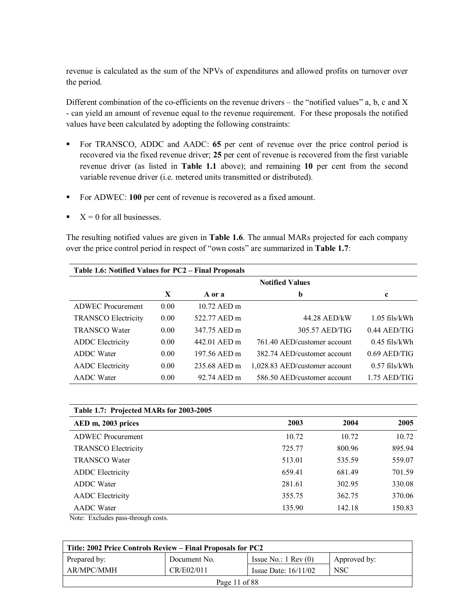revenue is calculated as the sum of the NPVs of expenditures and allowed profits on turnover over the period.

Different combination of the co-efficients on the revenue drivers – the "notified values" a, b, c and X - can yield an amount of revenue equal to the revenue requirement. For these proposals the notified values have been calculated by adopting the following constraints:

- ! For TRANSCO, ADDC and AADC: **65** per cent of revenue over the price control period is recovered via the fixed revenue driver; **25** per cent of revenue is recovered from the first variable revenue driver (as listed in **Table 1.1** above); and remaining **10** per cent from the second variable revenue driver (i.e. metered units transmitted or distributed).
- ! For ADWEC: **100** per cent of revenue is recovered as a fixed amount.
- $X = 0$  for all businesses.

The resulting notified values are given in **Table 1.6**. The annual MARs projected for each company over the price control period in respect of "own costs" are summarized in **Table 1.7**:

| Table 1.6: Notified Values for PC2 - Final Proposals |      |              |                               |                 |  |
|------------------------------------------------------|------|--------------|-------------------------------|-----------------|--|
|                                                      |      |              | <b>Notified Values</b>        |                 |  |
|                                                      | X    | A or a       | b                             | c               |  |
| <b>ADWEC</b> Procurement                             | 0.00 | 10.72 AED m  |                               |                 |  |
| <b>TRANSCO Electricity</b>                           | 0.00 | 522.77 AED m | 44.28 AED/kW                  | $1.05$ fils/kWh |  |
| <b>TRANSCO Water</b>                                 | 0.00 | 347.75 AED m | 305.57 AED/TIG                | $0.44$ AED/TIG  |  |
| <b>ADDC</b> Electricity                              | 0.00 | 442.01 AED m | 761 40 AED/customer account   | $0.45$ fils/kWh |  |
| <b>ADDC</b> Water                                    | 0.00 | 197.56 AED m | 382.74 AED/customer account   | $0.69$ AED/TIG  |  |
| <b>AADC</b> Electricity                              | 0.00 | 235.68 AED m | 1,028.83 AED/customer account | $0.57$ fils/kWh |  |
| <b>AADC</b> Water                                    | 0.00 | 92.74 AED m  | 586.50 AED/customer account   | $1.75$ AED/TIG  |  |

| Table 1.7: Projected MARs for 2003-2005 |        |        |        |  |  |
|-----------------------------------------|--------|--------|--------|--|--|
| AED m, 2003 prices                      | 2003   | 2004   | 2005   |  |  |
| <b>ADWEC</b> Procurement                | 10.72  | 10.72  | 10.72  |  |  |
| <b>TRANSCO Electricity</b>              | 725.77 | 800.96 | 895.94 |  |  |
| <b>TRANSCO Water</b>                    | 513.01 | 535.59 | 559.07 |  |  |
| <b>ADDC</b> Electricity                 | 659.41 | 681.49 | 701.59 |  |  |
| <b>ADDC</b> Water                       | 281.61 | 302.95 | 330.08 |  |  |
| <b>AADC</b> Electricity                 | 355.75 | 362.75 | 370.06 |  |  |
| <b>AADC</b> Water                       | 135.90 | 142.18 | 150.83 |  |  |

Note: Excludes pass-through costs.

| Title: 2002 Price Controls Review – Final Proposals for PC2 |              |                               |              |  |
|-------------------------------------------------------------|--------------|-------------------------------|--------------|--|
| Prepared by:                                                | Document No. | Issue No.: $1 \text{ Rev}(0)$ | Approved by: |  |
| AR/MPC/MMH                                                  | CR/E02/011   | Issue Date: $16/11/02$        | <b>NSC</b>   |  |
| Page 11 of $88$                                             |              |                               |              |  |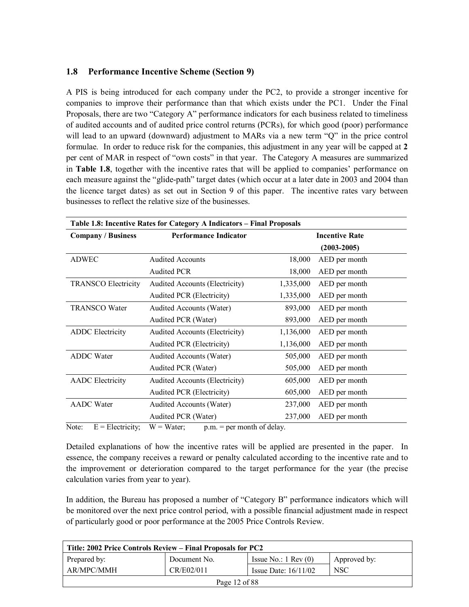### **1.8 Performance Incentive Scheme (Section 9)**

A PIS is being introduced for each company under the PC2, to provide a stronger incentive for companies to improve their performance than that which exists under the PC1. Under the Final Proposals, there are two "Category A" performance indicators for each business related to timeliness of audited accounts and of audited price control returns (PCRs), for which good (poor) performance will lead to an upward (downward) adjustment to MARs via a new term  $"O"$  in the price control formulae. In order to reduce risk for the companies, this adjustment in any year will be capped at **2** per cent of MAR in respect of "own costs" in that year. The Category A measures are summarized in **Table 1.8**, together with the incentive rates that will be applied to companies' performance on each measure against the "glide-path" target dates (which occur at a later date in 2003 and 2004 than the licence target dates) as set out in Section 9 of this paper. The incentive rates vary between businesses to reflect the relative size of the businesses.

| Table 1.8: Incentive Rates for Category A Indicators - Final Proposals |                                        |           |                       |  |
|------------------------------------------------------------------------|----------------------------------------|-----------|-----------------------|--|
| <b>Company / Business</b>                                              | <b>Performance Indicator</b>           |           | <b>Incentive Rate</b> |  |
|                                                                        |                                        |           | $(2003 - 2005)$       |  |
| <b>ADWEC</b>                                                           | <b>Audited Accounts</b>                | 18,000    | AED per month         |  |
|                                                                        | <b>Audited PCR</b>                     | 18,000    | AED per month         |  |
| <b>TRANSCO Electricity</b>                                             | Audited Accounts (Electricity)         | 1,335,000 | AED per month         |  |
|                                                                        | Audited PCR (Electricity)              | 1,335,000 | AED per month         |  |
| <b>TRANSCO Water</b>                                                   | Audited Accounts (Water)               | 893,000   | AED per month         |  |
|                                                                        | Audited PCR (Water)                    | 893,000   | AED per month         |  |
| <b>ADDC</b> Electricity                                                | Audited Accounts (Electricity)         | 1,136,000 | AED per month         |  |
|                                                                        | Audited PCR (Electricity)              | 1,136,000 | AED per month         |  |
| <b>ADDC</b> Water                                                      | Audited Accounts (Water)               | 505,000   | AED per month         |  |
|                                                                        | Audited PCR (Water)                    | 505,000   | AED per month         |  |
| <b>AADC</b> Electricity                                                | <b>Audited Accounts (Electricity)</b>  | 605,000   | AED per month         |  |
|                                                                        | Audited PCR (Electricity)              | 605,000   | AED per month         |  |
| <b>AADC</b> Water                                                      | Audited Accounts (Water)               | 237,000   | AED per month         |  |
|                                                                        | Audited PCR (Water)                    | 237,000   | AED per month         |  |
| $E = E1$ octuricity<br>$N_{\alpha+\alpha}$                             | $W = W_0$ tari nu = narmanth of dalari |           |                       |  |

Note:  $E = E$  lectricity;  $W = W$  ater;  $p.m. =$  per month of delay.

Detailed explanations of how the incentive rates will be applied are presented in the paper. In essence, the company receives a reward or penalty calculated according to the incentive rate and to the improvement or deterioration compared to the target performance for the year (the precise calculation varies from year to year).

In addition, the Bureau has proposed a number of "Category B" performance indicators which will be monitored over the next price control period, with a possible financial adjustment made in respect of particularly good or poor performance at the 2005 Price Controls Review.

| Title: 2002 Price Controls Review – Final Proposals for PC2 |              |                               |              |  |
|-------------------------------------------------------------|--------------|-------------------------------|--------------|--|
| Prepared by:                                                | Document No. | Issue No.: $1 \text{ Rev}(0)$ | Approved by: |  |
| AR/MPC/MMH                                                  | CR/E02/011   | Issue Date: $16/11/02$        | <b>NSC</b>   |  |
| Page 12 of 88                                               |              |                               |              |  |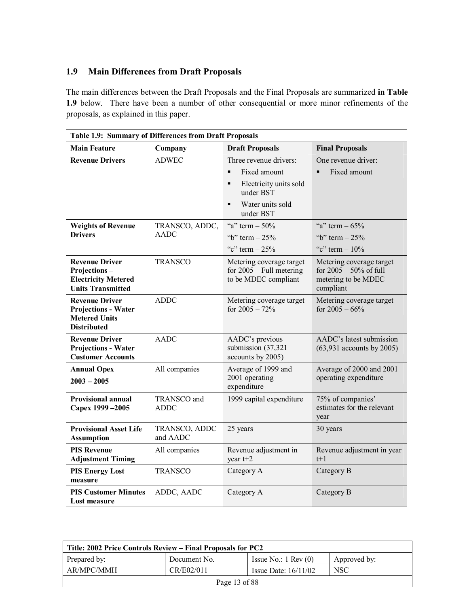### **1.9 Main Differences from Draft Proposals**

The main differences between the Draft Proposals and the Final Proposals are summarized **in Table 1.9** below. There have been a number of other consequential or more minor refinements of the proposals, as explained in this paper.

| Table 1.9: Summary of Differences from Draft Proposals                                            |                           |                                                                                |                                                                                           |  |
|---------------------------------------------------------------------------------------------------|---------------------------|--------------------------------------------------------------------------------|-------------------------------------------------------------------------------------------|--|
| <b>Main Feature</b>                                                                               | Company                   | <b>Draft Proposals</b>                                                         | <b>Final Proposals</b>                                                                    |  |
| <b>Revenue Drivers</b>                                                                            | <b>ADWEC</b>              | Three revenue drivers:                                                         | One revenue driver:                                                                       |  |
|                                                                                                   |                           | Fixed amount<br>$\blacksquare$                                                 | Fixed amount                                                                              |  |
|                                                                                                   |                           | Electricity units sold<br>$\blacksquare$<br>under BST                          |                                                                                           |  |
|                                                                                                   |                           | Water units sold<br>$\blacksquare$<br>under BST                                |                                                                                           |  |
| <b>Weights of Revenue</b>                                                                         | TRANSCO, ADDC,            | "a" term $-50%$                                                                | "a" term $-65%$                                                                           |  |
| <b>Drivers</b>                                                                                    | <b>AADC</b>               | "b" term $-25%$                                                                | "b" term $-25%$                                                                           |  |
|                                                                                                   |                           | "c" term $-25%$                                                                | "c" term $-10\%$                                                                          |  |
| <b>Revenue Driver</b><br>Projections-<br><b>Electricity Metered</b><br><b>Units Transmitted</b>   | <b>TRANSCO</b>            | Metering coverage target<br>for $2005 - Full$ metering<br>to be MDEC compliant | Metering coverage target<br>for $2005 - 50\%$ of full<br>metering to be MDEC<br>compliant |  |
| <b>Revenue Driver</b><br><b>Projections - Water</b><br><b>Metered Units</b><br><b>Distributed</b> | <b>ADDC</b>               | Metering coverage target<br>for $2005 - 72\%$                                  | Metering coverage target<br>for $2005 - 66\%$                                             |  |
| <b>Revenue Driver</b><br><b>Projections - Water</b><br><b>Customer Accounts</b>                   | <b>AADC</b>               | AADC's previous<br>submission (37,321)<br>accounts by 2005)                    | AADC's latest submission<br>$(63,931$ accounts by 2005)                                   |  |
| <b>Annual Opex</b><br>$2003 - 2005$                                                               | All companies             | Average of 1999 and<br>2001 operating<br>expenditure                           | Average of 2000 and 2001<br>operating expenditure                                         |  |
| <b>Provisional annual</b><br>Capex 1999-2005                                                      | TRANSCO and<br>ADDC       | 1999 capital expenditure                                                       | 75% of companies'<br>estimates for the relevant<br>year                                   |  |
| <b>Provisional Asset Life</b><br><b>Assumption</b>                                                | TRANSCO, ADDC<br>and AADC | 25 years                                                                       | 30 years                                                                                  |  |
| <b>PIS Revenue</b><br><b>Adjustment Timing</b>                                                    | All companies             | Revenue adjustment in<br>year t+2                                              | Revenue adjustment in year<br>$t+1$                                                       |  |
| <b>PIS Energy Lost</b><br>measure                                                                 | <b>TRANSCO</b>            | Category A                                                                     | Category B                                                                                |  |
| <b>PIS Customer Minutes</b><br>Lost measure                                                       | ADDC, AADC                | Category A                                                                     | Category B                                                                                |  |

| Title: 2002 Price Controls Review – Final Proposals for PC2 |              |                               |              |
|-------------------------------------------------------------|--------------|-------------------------------|--------------|
| Prepared by:                                                | Document No. | Issue No.: $1 \text{ Rev}(0)$ | Approved by: |
| AR/MPC/MMH                                                  | CR/E02/011   | Issue Date: $16/11/02$        | <b>NSC</b>   |
| Page 13 of 88                                               |              |                               |              |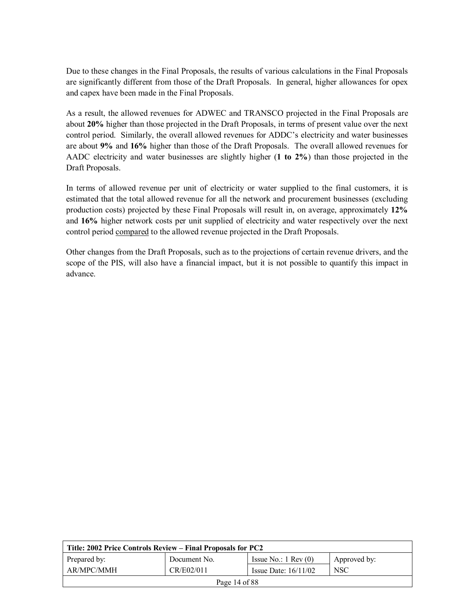Due to these changes in the Final Proposals, the results of various calculations in the Final Proposals are significantly different from those of the Draft Proposals. In general, higher allowances for opex and capex have been made in the Final Proposals.

As a result, the allowed revenues for ADWEC and TRANSCO projected in the Final Proposals are about **20%** higher than those projected in the Draft Proposals, in terms of present value over the next control period. Similarly, the overall allowed revenues for ADDC's electricity and water businesses are about **9%** and **16%** higher than those of the Draft Proposals. The overall allowed revenues for AADC electricity and water businesses are slightly higher (**1 to 2%**) than those projected in the Draft Proposals.

In terms of allowed revenue per unit of electricity or water supplied to the final customers, it is estimated that the total allowed revenue for all the network and procurement businesses (excluding production costs) projected by these Final Proposals will result in, on average, approximately **12%** and **16%** higher network costs per unit supplied of electricity and water respectively over the next control period compared to the allowed revenue projected in the Draft Proposals.

Other changes from the Draft Proposals, such as to the projections of certain revenue drivers, and the scope of the PIS, will also have a financial impact, but it is not possible to quantify this impact in advance.

| Title: 2002 Price Controls Review – Final Proposals for PC2 |              |                               |              |
|-------------------------------------------------------------|--------------|-------------------------------|--------------|
| Prepared by:                                                | Document No. | Issue No.: $1 \text{ Rev}(0)$ | Approved by: |
| AR/MPC/MMH                                                  | CR/E02/011   | Issue Date: $16/11/02$        | <b>NSC</b>   |
| Page 14 of $88$                                             |              |                               |              |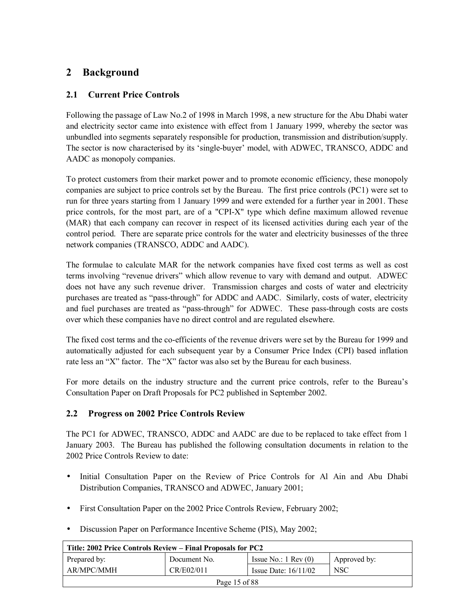## **2 Background**

## **2.1 Current Price Controls**

Following the passage of Law No.2 of 1998 in March 1998, a new structure for the Abu Dhabi water and electricity sector came into existence with effect from 1 January 1999, whereby the sector was unbundled into segments separately responsible for production, transmission and distribution/supply. The sector is now characterised by its 'single-buyer' model, with ADWEC, TRANSCO, ADDC and AADC as monopoly companies.

To protect customers from their market power and to promote economic efficiency, these monopoly companies are subject to price controls set by the Bureau. The first price controls (PC1) were set to run for three years starting from 1 January 1999 and were extended for a further year in 2001. These price controls, for the most part, are of a "CPI-X" type which define maximum allowed revenue (MAR) that each company can recover in respect of its licensed activities during each year of the control period. There are separate price controls for the water and electricity businesses of the three network companies (TRANSCO, ADDC and AADC).

The formulae to calculate MAR for the network companies have fixed cost terms as well as cost terms involving "revenue drivers" which allow revenue to vary with demand and output. ADWEC does not have any such revenue driver. Transmission charges and costs of water and electricity purchases are treated as "pass-through" for ADDC and AADC. Similarly, costs of water, electricity and fuel purchases are treated as "pass-through" for ADWEC. These pass-through costs are costs over which these companies have no direct control and are regulated elsewhere.

The fixed cost terms and the co-efficients of the revenue drivers were set by the Bureau for 1999 and automatically adjusted for each subsequent year by a Consumer Price Index (CPI) based inflation rate less an "X" factor. The "X" factor was also set by the Bureau for each business.

For more details on the industry structure and the current price controls, refer to the Bureauís Consultation Paper on Draft Proposals for PC2 published in September 2002.

## **2.2 Progress on 2002 Price Controls Review**

The PC1 for ADWEC, TRANSCO, ADDC and AADC are due to be replaced to take effect from 1 January 2003. The Bureau has published the following consultation documents in relation to the 2002 Price Controls Review to date:

- Initial Consultation Paper on the Review of Price Controls for Al Ain and Abu Dhabi Distribution Companies, TRANSCO and ADWEC, January 2001;
- First Consultation Paper on the 2002 Price Controls Review, February 2002;
- Discussion Paper on Performance Incentive Scheme (PIS), May 2002;

| Title: 2002 Price Controls Review – Final Proposals for PC2 |              |                               |              |
|-------------------------------------------------------------|--------------|-------------------------------|--------------|
| Prepared by:                                                | Document No. | Issue No.: $1 \text{ Rev}(0)$ | Approved by: |
| AR/MPC/MMH                                                  | CR/E02/011   | Issue Date: $16/11/02$        | <b>NSC</b>   |
| Page 15 of 88                                               |              |                               |              |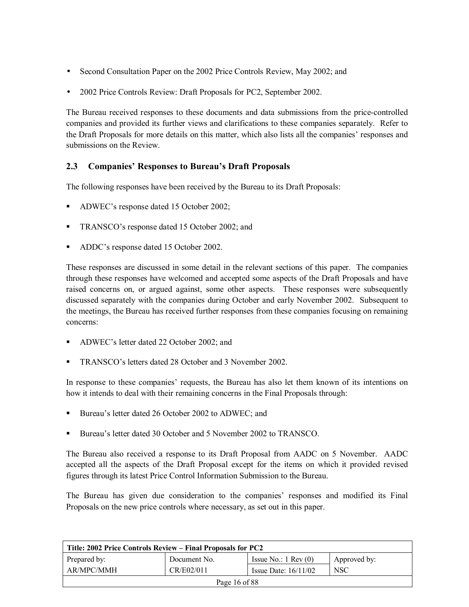- Second Consultation Paper on the 2002 Price Controls Review, May 2002; and
- 2002 Price Controls Review: Draft Proposals for PC2, September 2002.

The Bureau received responses to these documents and data submissions from the price-controlled companies and provided its further views and clarifications to these companies separately. Refer to the Draft Proposals for more details on this matter, which also lists all the companies' responses and submissions on the Review.

## **2.3 Companiesí Responses to Bureauís Draft Proposals**

The following responses have been received by the Bureau to its Draft Proposals:

- ADWEC's response dated 15 October 2002;
- TRANSCO's response dated 15 October 2002; and
- ADDC's response dated 15 October 2002.

These responses are discussed in some detail in the relevant sections of this paper. The companies through these responses have welcomed and accepted some aspects of the Draft Proposals and have raised concerns on, or argued against, some other aspects. These responses were subsequently discussed separately with the companies during October and early November 2002. Subsequent to the meetings, the Bureau has received further responses from these companies focusing on remaining concerns:

- ADWEC's letter dated 22 October 2002; and
- **EXECUTE:** TRANSCO's letters dated 28 October and 3 November 2002.

In response to these companies' requests, the Bureau has also let them known of its intentions on how it intends to deal with their remaining concerns in the Final Proposals through:

- ! Bureauís letter dated 26 October 2002 to ADWEC; and
- ! Bureauís letter dated 30 October and 5 November 2002 to TRANSCO.

The Bureau also received a response to its Draft Proposal from AADC on 5 November. AADC accepted all the aspects of the Draft Proposal except for the items on which it provided revised figures through its latest Price Control Information Submission to the Bureau.

The Bureau has given due consideration to the companies' responses and modified its Final Proposals on the new price controls where necessary, as set out in this paper.

| Title: 2002 Price Controls Review – Final Proposals for PC2 |              |                               |              |
|-------------------------------------------------------------|--------------|-------------------------------|--------------|
| Prepared by:                                                | Document No. | Issue No.: $1 \text{ Rev}(0)$ | Approved by: |
| AR/MPC/MMH                                                  | CR/E02/011   | Issue Date: $16/11/02$        | <b>NSC</b>   |
| Page 16 of 88                                               |              |                               |              |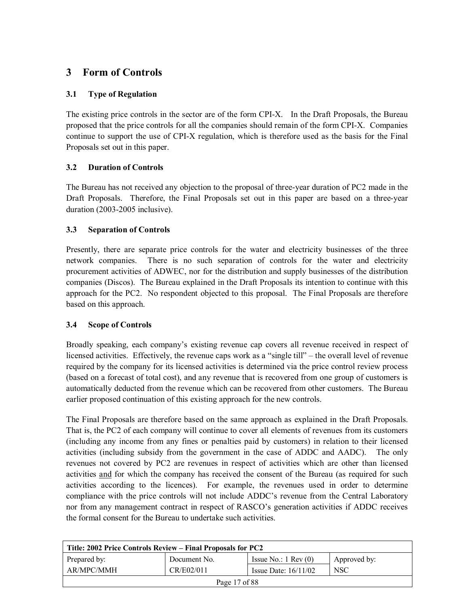## **3 Form of Controls**

## **3.1 Type of Regulation**

The existing price controls in the sector are of the form CPI-X. In the Draft Proposals, the Bureau proposed that the price controls for all the companies should remain of the form CPI-X. Companies continue to support the use of CPI-X regulation, which is therefore used as the basis for the Final Proposals set out in this paper.

### **3.2 Duration of Controls**

The Bureau has not received any objection to the proposal of three-year duration of PC2 made in the Draft Proposals. Therefore, the Final Proposals set out in this paper are based on a three-year duration (2003-2005 inclusive).

### **3.3 Separation of Controls**

Presently, there are separate price controls for the water and electricity businesses of the three network companies. There is no such separation of controls for the water and electricity procurement activities of ADWEC, nor for the distribution and supply businesses of the distribution companies (Discos). The Bureau explained in the Draft Proposals its intention to continue with this approach for the PC2. No respondent objected to this proposal. The Final Proposals are therefore based on this approach.

#### **3.4 Scope of Controls**

Broadly speaking, each company's existing revenue cap covers all revenue received in respect of licensed activities. Effectively, the revenue caps work as a "single till" – the overall level of revenue required by the company for its licensed activities is determined via the price control review process (based on a forecast of total cost), and any revenue that is recovered from one group of customers is automatically deducted from the revenue which can be recovered from other customers. The Bureau earlier proposed continuation of this existing approach for the new controls.

The Final Proposals are therefore based on the same approach as explained in the Draft Proposals. That is, the PC2 of each company will continue to cover all elements of revenues from its customers (including any income from any fines or penalties paid by customers) in relation to their licensed activities (including subsidy from the government in the case of ADDC and AADC). The only revenues not covered by PC2 are revenues in respect of activities which are other than licensed activities and for which the company has received the consent of the Bureau (as required for such activities according to the licences). For example, the revenues used in order to determine compliance with the price controls will not include ADDC's revenue from the Central Laboratory nor from any management contract in respect of RASCO's generation activities if ADDC receives the formal consent for the Bureau to undertake such activities.

| Title: 2002 Price Controls Review – Final Proposals for PC2 |              |                               |              |
|-------------------------------------------------------------|--------------|-------------------------------|--------------|
| Prepared by:                                                | Document No. | Issue No.: $1 \text{ Rev}(0)$ | Approved by: |
| AR/MPC/MMH                                                  | CR/E02/011   | Issue Date: $16/11/02$        | <b>NSC</b>   |
| Page 17 of 88                                               |              |                               |              |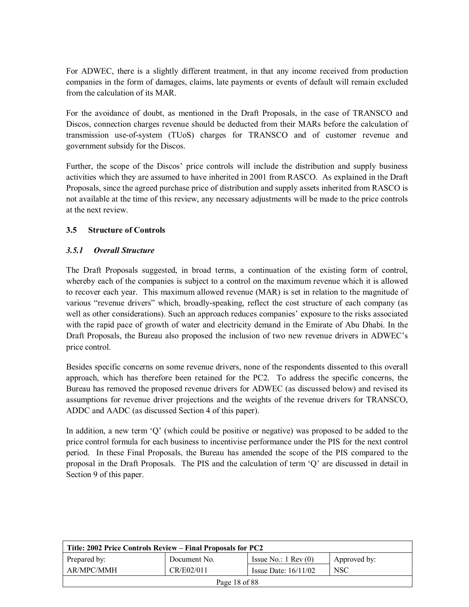For ADWEC, there is a slightly different treatment, in that any income received from production companies in the form of damages, claims, late payments or events of default will remain excluded from the calculation of its MAR.

For the avoidance of doubt, as mentioned in the Draft Proposals, in the case of TRANSCO and Discos, connection charges revenue should be deducted from their MARs before the calculation of transmission use-of-system (TUoS) charges for TRANSCO and of customer revenue and government subsidy for the Discos.

Further, the scope of the Discos' price controls will include the distribution and supply business activities which they are assumed to have inherited in 2001 from RASCO. As explained in the Draft Proposals, since the agreed purchase price of distribution and supply assets inherited from RASCO is not available at the time of this review, any necessary adjustments will be made to the price controls at the next review.

### **3.5 Structure of Controls**

#### *3.5.1 Overall Structure*

The Draft Proposals suggested, in broad terms, a continuation of the existing form of control, whereby each of the companies is subject to a control on the maximum revenue which it is allowed to recover each year. This maximum allowed revenue (MAR) is set in relation to the magnitude of various "revenue drivers" which, broadly-speaking, reflect the cost structure of each company (as well as other considerations). Such an approach reduces companies' exposure to the risks associated with the rapid pace of growth of water and electricity demand in the Emirate of Abu Dhabi. In the Draft Proposals, the Bureau also proposed the inclusion of two new revenue drivers in ADWEC's price control.

Besides specific concerns on some revenue drivers, none of the respondents dissented to this overall approach, which has therefore been retained for the PC2. To address the specific concerns, the Bureau has removed the proposed revenue drivers for ADWEC (as discussed below) and revised its assumptions for revenue driver projections and the weights of the revenue drivers for TRANSCO, ADDC and AADC (as discussed Section 4 of this paper).

In addition, a new term  $\ddot{Q}$  (which could be positive or negative) was proposed to be added to the price control formula for each business to incentivise performance under the PIS for the next control period. In these Final Proposals, the Bureau has amended the scope of the PIS compared to the proposal in the Draft Proposals. The PIS and the calculation of term 'Q' are discussed in detail in Section 9 of this paper.

| Title: 2002 Price Controls Review – Final Proposals for PC2 |              |                               |              |
|-------------------------------------------------------------|--------------|-------------------------------|--------------|
| Prepared by:                                                | Document No. | Issue No.: $1 \text{ Rev}(0)$ | Approved by: |
| AR/MPC/MMH                                                  | CR/E02/011   | Issue Date: $16/11/02$        | <b>NSC</b>   |
| Page 18 of 88                                               |              |                               |              |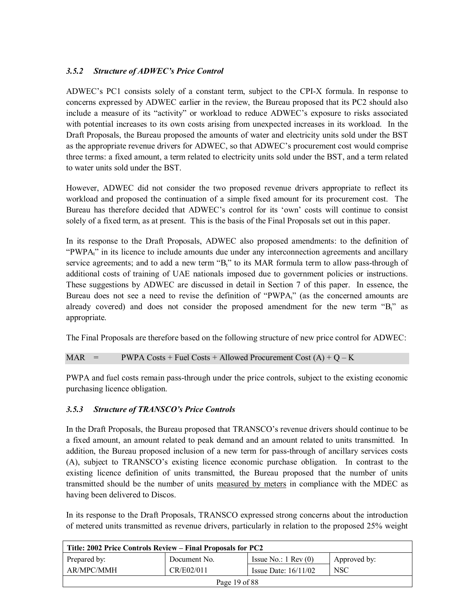## 3.5.2 Structure of ADWEC's Price Control

ADWEC's PC1 consists solely of a constant term, subject to the CPI-X formula. In response to concerns expressed by ADWEC earlier in the review, the Bureau proposed that its PC2 should also include a measure of its "activity" or workload to reduce ADWEC's exposure to risks associated with potential increases to its own costs arising from unexpected increases in its workload. In the Draft Proposals, the Bureau proposed the amounts of water and electricity units sold under the BST as the appropriate revenue drivers for ADWEC, so that ADWEC's procurement cost would comprise three terms: a fixed amount, a term related to electricity units sold under the BST, and a term related to water units sold under the BST.

However, ADWEC did not consider the two proposed revenue drivers appropriate to reflect its workload and proposed the continuation of a simple fixed amount for its procurement cost. The Bureau has therefore decided that ADWEC's control for its 'own' costs will continue to consist solely of a fixed term, as at present. This is the basis of the Final Proposals set out in this paper.

In its response to the Draft Proposals, ADWEC also proposed amendments: to the definition of "PWPA<sub>t</sub>" in its licence to include amounts due under any interconnection agreements and ancillary service agreements; and to add a new term  $B_t$ <sup>n</sup> to its MAR formula term to allow pass-through of additional costs of training of UAE nationals imposed due to government policies or instructions. These suggestions by ADWEC are discussed in detail in Section 7 of this paper. In essence, the Bureau does not see a need to revise the definition of "PWPA<sub>t"</sub> (as the concerned amounts are already covered) and does not consider the proposed amendment for the new term  ${}^{4}B_{t}$  as appropriate.

The Final Proposals are therefore based on the following structure of new price control for ADWEC:

#### MAR = PWPA Costs + Fuel Costs + Allowed Procurement Cost  $(A) + Q - K$

PWPA and fuel costs remain pass-through under the price controls, subject to the existing economic purchasing licence obligation.

#### *3.5.3 Structure of TRANSCOís Price Controls*

In the Draft Proposals, the Bureau proposed that TRANSCO's revenue drivers should continue to be a fixed amount, an amount related to peak demand and an amount related to units transmitted. In addition, the Bureau proposed inclusion of a new term for pass-through of ancillary services costs (A), subject to TRANSCOís existing licence economic purchase obligation. In contrast to the existing licence definition of units transmitted, the Bureau proposed that the number of units transmitted should be the number of units measured by meters in compliance with the MDEC as having been delivered to Discos.

In its response to the Draft Proposals, TRANSCO expressed strong concerns about the introduction of metered units transmitted as revenue drivers, particularly in relation to the proposed 25% weight

| Title: 2002 Price Controls Review – Final Proposals for PC2 |              |                               |              |
|-------------------------------------------------------------|--------------|-------------------------------|--------------|
| Prepared by:                                                | Document No. | Issue No.: $1 \text{ Rev}(0)$ | Approved by: |
| AR/MPC/MMH                                                  | CR/E02/011   | Issue Date: $16/11/02$        | <b>NSC</b>   |
| Page 19 of 88                                               |              |                               |              |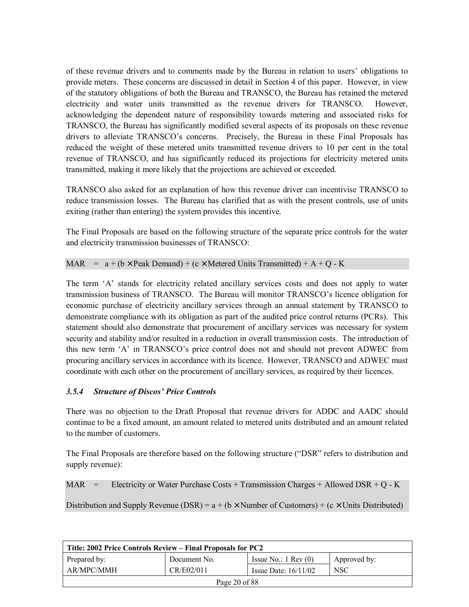of these revenue drivers and to comments made by the Bureau in relation to usersí obligations to provide meters. These concerns are discussed in detail in Section 4 of this paper. However, in view of the statutory obligations of both the Bureau and TRANSCO, the Bureau has retained the metered electricity and water units transmitted as the revenue drivers for TRANSCO. However, acknowledging the dependent nature of responsibility towards metering and associated risks for TRANSCO, the Bureau has significantly modified several aspects of its proposals on these revenue drivers to alleviate TRANSCO's concerns. Precisely, the Bureau in these Final Proposals has reduced the weight of these metered units transmitted revenue drivers to 10 per cent in the total revenue of TRANSCO, and has significantly reduced its projections for electricity metered units transmitted, making it more likely that the projections are achieved or exceeded.

TRANSCO also asked for an explanation of how this revenue driver can incentivise TRANSCO to reduce transmission losses. The Bureau has clarified that as with the present controls, use of units exiting (rather than entering) the system provides this incentive.

The Final Proposals are based on the following structure of the separate price controls for the water and electricity transmission businesses of TRANSCO:

MAR =  $a + (b \times \text{Peak Domain}) + (c \times \text{Metered Units Transmitted}) + A + O - K$ 

The term  $A'$  stands for electricity related ancillary services costs and does not apply to water transmission business of TRANSCO. The Bureau will monitor TRANSCO's licence obligation for economic purchase of electricity ancillary services through an annual statement by TRANSCO to demonstrate compliance with its obligation as part of the audited price control returns (PCRs). This statement should also demonstrate that procurement of ancillary services was necessary for system security and stability and/or resulted in a reduction in overall transmission costs. The introduction of this new term 'A' in TRANSCO's price control does not and should not prevent ADWEC from procuring ancillary services in accordance with its licence. However, TRANSCO and ADWEC must coordinate with each other on the procurement of ancillary services, as required by their licences.

#### 3.5.4 Structure of Discos' Price Controls

There was no objection to the Draft Proposal that revenue drivers for ADDC and AADC should continue to be a fixed amount, an amount related to metered units distributed and an amount related to the number of customers.

The Final Proposals are therefore based on the following structure ("DSR" refers to distribution and supply revenue):

MAR = Electricity or Water Purchase Costs + Transmission Charges + Allowed DSR + Q - K

Distribution and Supply Revenue (DSR) =  $a + (b \times$  Number of Customers) + (c  $\times$  Units Distributed)

| Title: 2002 Price Controls Review – Final Proposals for PC2 |              |                               |              |
|-------------------------------------------------------------|--------------|-------------------------------|--------------|
| Prepared by:                                                | Document No. | Issue No.: $1 \text{ Rev}(0)$ | Approved by: |
| AR/MPC/MMH                                                  | CR/E02/011   | Issue Date: $16/11/02$        | <b>NSC</b>   |
| Page 20 of 88                                               |              |                               |              |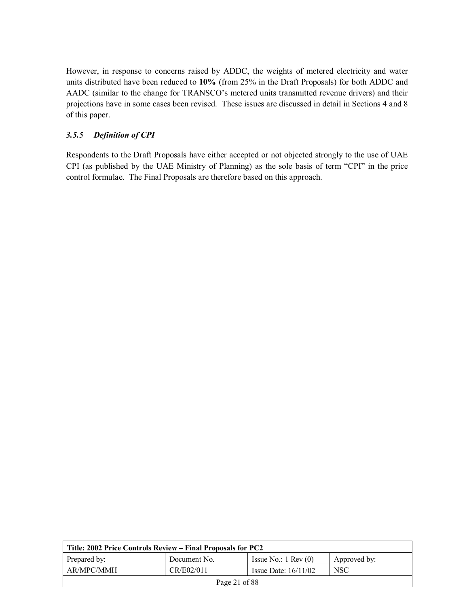However, in response to concerns raised by ADDC, the weights of metered electricity and water units distributed have been reduced to **10%** (from 25% in the Draft Proposals) for both ADDC and AADC (similar to the change for TRANSCO's metered units transmitted revenue drivers) and their projections have in some cases been revised. These issues are discussed in detail in Sections 4 and 8 of this paper.

### *3.5.5 Definition of CPI*

Respondents to the Draft Proposals have either accepted or not objected strongly to the use of UAE CPI (as published by the UAE Ministry of Planning) as the sole basis of term "CPI" in the price control formulae. The Final Proposals are therefore based on this approach.

| Title: 2002 Price Controls Review – Final Proposals for PC2 |              |                               |              |
|-------------------------------------------------------------|--------------|-------------------------------|--------------|
| Prepared by:                                                | Document No. | Issue No.: $1 \text{ Rev}(0)$ | Approved by: |
| AR/MPC/MMH                                                  | CR/E02/011   | Issue Date: $16/11/02$        | <b>NSC</b>   |
| Page 21 of $88$                                             |              |                               |              |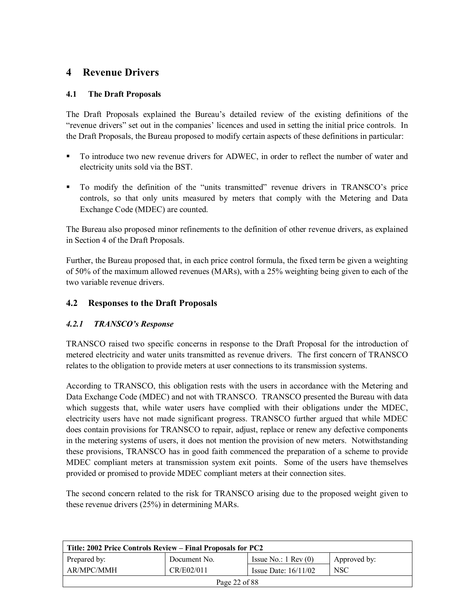## **4 Revenue Drivers**

### **4.1 The Draft Proposals**

The Draft Proposals explained the Bureauís detailed review of the existing definitions of the ìrevenue driversî set out in the companiesí licences and used in setting the initial price controls. In the Draft Proposals, the Bureau proposed to modify certain aspects of these definitions in particular:

- ! To introduce two new revenue drivers for ADWEC, in order to reflect the number of water and electricity units sold via the BST.
- To modify the definition of the "units transmitted" revenue drivers in TRANSCO's price controls, so that only units measured by meters that comply with the Metering and Data Exchange Code (MDEC) are counted.

The Bureau also proposed minor refinements to the definition of other revenue drivers, as explained in Section 4 of the Draft Proposals.

Further, the Bureau proposed that, in each price control formula, the fixed term be given a weighting of 50% of the maximum allowed revenues (MARs), with a 25% weighting being given to each of the two variable revenue drivers.

### **4.2 Responses to the Draft Proposals**

#### *4.2.1 TRANSCOís Response*

TRANSCO raised two specific concerns in response to the Draft Proposal for the introduction of metered electricity and water units transmitted as revenue drivers. The first concern of TRANSCO relates to the obligation to provide meters at user connections to its transmission systems.

According to TRANSCO, this obligation rests with the users in accordance with the Metering and Data Exchange Code (MDEC) and not with TRANSCO. TRANSCO presented the Bureau with data which suggests that, while water users have complied with their obligations under the MDEC, electricity users have not made significant progress. TRANSCO further argued that while MDEC does contain provisions for TRANSCO to repair, adjust, replace or renew any defective components in the metering systems of users, it does not mention the provision of new meters. Notwithstanding these provisions, TRANSCO has in good faith commenced the preparation of a scheme to provide MDEC compliant meters at transmission system exit points. Some of the users have themselves provided or promised to provide MDEC compliant meters at their connection sites.

The second concern related to the risk for TRANSCO arising due to the proposed weight given to these revenue drivers (25%) in determining MARs.

| Title: 2002 Price Controls Review – Final Proposals for PC2 |              |                               |              |
|-------------------------------------------------------------|--------------|-------------------------------|--------------|
| Prepared by:                                                | Document No. | Issue No.: $1 \text{ Rev}(0)$ | Approved by: |
| AR/MPC/MMH                                                  | CR/E02/011   | Issue Date: $16/11/02$        | NSC          |
| Page 22 of 88                                               |              |                               |              |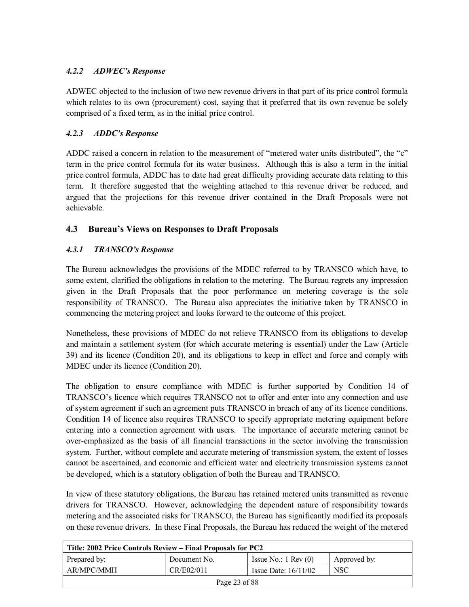## *4.2.2 ADWECís Response*

ADWEC objected to the inclusion of two new revenue drivers in that part of its price control formula which relates to its own (procurement) cost, saying that it preferred that its own revenue be solely comprised of a fixed term, as in the initial price control.

## *4.2.3 ADDCís Response*

ADDC raised a concern in relation to the measurement of "metered water units distributed", the " $c$ " term in the price control formula for its water business. Although this is also a term in the initial price control formula, ADDC has to date had great difficulty providing accurate data relating to this term. It therefore suggested that the weighting attached to this revenue driver be reduced, and argued that the projections for this revenue driver contained in the Draft Proposals were not achievable.

## **4.3 Bureauís Views on Responses to Draft Proposals**

## *4.3.1 TRANSCOís Response*

The Bureau acknowledges the provisions of the MDEC referred to by TRANSCO which have, to some extent, clarified the obligations in relation to the metering. The Bureau regrets any impression given in the Draft Proposals that the poor performance on metering coverage is the sole responsibility of TRANSCO. The Bureau also appreciates the initiative taken by TRANSCO in commencing the metering project and looks forward to the outcome of this project.

Nonetheless, these provisions of MDEC do not relieve TRANSCO from its obligations to develop and maintain a settlement system (for which accurate metering is essential) under the Law (Article 39) and its licence (Condition 20), and its obligations to keep in effect and force and comply with MDEC under its licence (Condition 20).

The obligation to ensure compliance with MDEC is further supported by Condition 14 of TRANSCO's licence which requires TRANSCO not to offer and enter into any connection and use of system agreement if such an agreement puts TRANSCO in breach of any of its licence conditions. Condition 14 of licence also requires TRANSCO to specify appropriate metering equipment before entering into a connection agreement with users. The importance of accurate metering cannot be over-emphasized as the basis of all financial transactions in the sector involving the transmission system. Further, without complete and accurate metering of transmission system, the extent of losses cannot be ascertained, and economic and efficient water and electricity transmission systems cannot be developed, which is a statutory obligation of both the Bureau and TRANSCO.

In view of these statutory obligations, the Bureau has retained metered units transmitted as revenue drivers for TRANSCO. However, acknowledging the dependent nature of responsibility towards metering and the associated risks for TRANSCO, the Bureau has significantly modified its proposals on these revenue drivers. In these Final Proposals, the Bureau has reduced the weight of the metered

| Title: 2002 Price Controls Review – Final Proposals for PC2 |              |                               |              |
|-------------------------------------------------------------|--------------|-------------------------------|--------------|
| Prepared by:                                                | Document No. | Issue No.: $1 \text{ Rev}(0)$ | Approved by: |
| AR/MPC/MMH                                                  | CR/E02/011   | Issue Date: $16/11/02$        | <b>NSC</b>   |
| Page 23 of 88                                               |              |                               |              |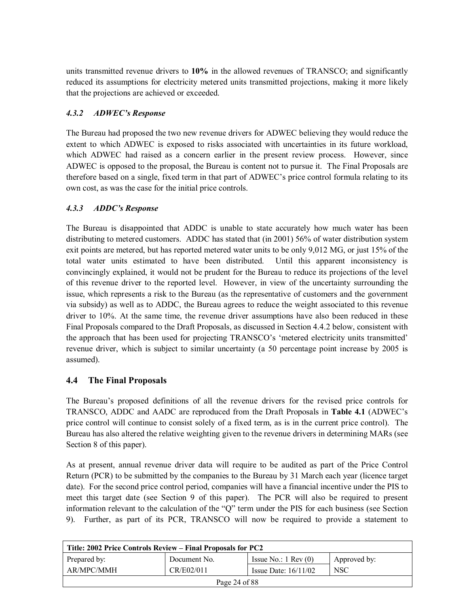units transmitted revenue drivers to **10%** in the allowed revenues of TRANSCO; and significantly reduced its assumptions for electricity metered units transmitted projections, making it more likely that the projections are achieved or exceeded.

## *4.3.2 ADWECís Response*

The Bureau had proposed the two new revenue drivers for ADWEC believing they would reduce the extent to which ADWEC is exposed to risks associated with uncertainties in its future workload, which ADWEC had raised as a concern earlier in the present review process. However, since ADWEC is opposed to the proposal, the Bureau is content not to pursue it. The Final Proposals are therefore based on a single, fixed term in that part of ADWEC's price control formula relating to its own cost, as was the case for the initial price controls.

### *4.3.3 ADDCís Response*

The Bureau is disappointed that ADDC is unable to state accurately how much water has been distributing to metered customers. ADDC has stated that (in 2001) 56% of water distribution system exit points are metered, but has reported metered water units to be only 9,012 MG, or just 15% of the total water units estimated to have been distributed. Until this apparent inconsistency is convincingly explained, it would not be prudent for the Bureau to reduce its projections of the level of this revenue driver to the reported level. However, in view of the uncertainty surrounding the issue, which represents a risk to the Bureau (as the representative of customers and the government via subsidy) as well as to ADDC, the Bureau agrees to reduce the weight associated to this revenue driver to 10%. At the same time, the revenue driver assumptions have also been reduced in these Final Proposals compared to the Draft Proposals, as discussed in Section 4.4.2 below, consistent with the approach that has been used for projecting TRANSCO's 'metered electricity units transmitted' revenue driver, which is subject to similar uncertainty (a 50 percentage point increase by 2005 is assumed).

## **4.4 The Final Proposals**

The Bureauís proposed definitions of all the revenue drivers for the revised price controls for TRANSCO, ADDC and AADC are reproduced from the Draft Proposals in **Table 4.1** (ADWECís price control will continue to consist solely of a fixed term, as is in the current price control). The Bureau has also altered the relative weighting given to the revenue drivers in determining MARs (see Section 8 of this paper).

As at present, annual revenue driver data will require to be audited as part of the Price Control Return (PCR) to be submitted by the companies to the Bureau by 31 March each year (licence target date). For the second price control period, companies will have a financial incentive under the PIS to meet this target date (see Section 9 of this paper). The PCR will also be required to present information relevant to the calculation of the "Q" term under the PIS for each business (see Section 9). Further, as part of its PCR, TRANSCO will now be required to provide a statement to

| Title: 2002 Price Controls Review – Final Proposals for PC2 |              |                               |              |
|-------------------------------------------------------------|--------------|-------------------------------|--------------|
| Prepared by:                                                | Document No. | Issue No.: $1 \text{ Rev}(0)$ | Approved by: |
| AR/MPC/MMH                                                  | CR/E02/011   | Issue Date: $16/11/02$        | NSC          |
| Page 24 of 88                                               |              |                               |              |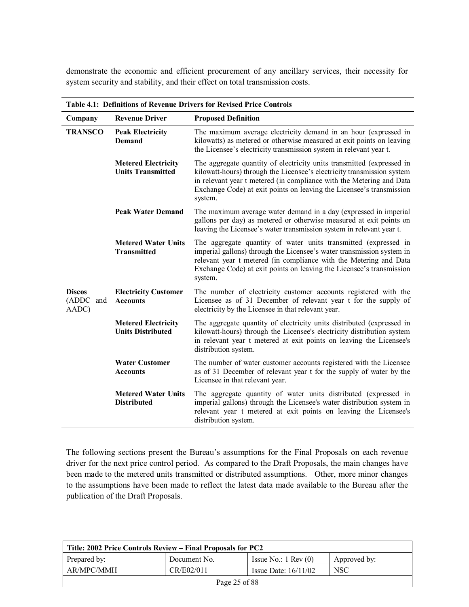demonstrate the economic and efficient procurement of any ancillary services, their necessity for system security and stability, and their effect on total transmission costs.

| Company                             | <b>Revenue Driver</b>                                  | <b>Proposed Definition</b>                                                                                                                                                                                                                                                                                 |
|-------------------------------------|--------------------------------------------------------|------------------------------------------------------------------------------------------------------------------------------------------------------------------------------------------------------------------------------------------------------------------------------------------------------------|
| <b>TRANSCO</b>                      | <b>Peak Electricity</b><br><b>Demand</b>               | The maximum average electricity demand in an hour (expressed in<br>kilowatts) as metered or otherwise measured at exit points on leaving<br>the Licensee's electricity transmission system in relevant year t.                                                                                             |
|                                     | <b>Metered Electricity</b><br><b>Units Transmitted</b> | The aggregate quantity of electricity units transmitted (expressed in<br>kilowatt-hours) through the Licensee's electricity transmission system<br>in relevant year t metered (in compliance with the Metering and Data<br>Exchange Code) at exit points on leaving the Licensee's transmission<br>system. |
|                                     | <b>Peak Water Demand</b>                               | The maximum average water demand in a day (expressed in imperial<br>gallons per day) as metered or otherwise measured at exit points on<br>leaving the Licensee's water transmission system in relevant year t.                                                                                            |
|                                     | <b>Metered Water Units</b><br><b>Transmitted</b>       | The aggregate quantity of water units transmitted (expressed in<br>imperial gallons) through the Licensee's water transmission system in<br>relevant year t metered (in compliance with the Metering and Data<br>Exchange Code) at exit points on leaving the Licensee's transmission<br>system.           |
| <b>Discos</b><br>(ADDC and<br>AADC) | <b>Electricity Customer</b><br><b>Accounts</b>         | The number of electricity customer accounts registered with the<br>Licensee as of 31 December of relevant year t for the supply of<br>electricity by the Licensee in that relevant year.                                                                                                                   |
|                                     | <b>Metered Electricity</b><br><b>Units Distributed</b> | The aggregate quantity of electricity units distributed (expressed in<br>kilowatt-hours) through the Licensee's electricity distribution system<br>in relevant year t metered at exit points on leaving the Licensee's<br>distribution system.                                                             |
|                                     | <b>Water Customer</b><br><b>Accounts</b>               | The number of water customer accounts registered with the Licensee<br>as of 31 December of relevant year t for the supply of water by the<br>Licensee in that relevant year.                                                                                                                               |
|                                     | <b>Metered Water Units</b><br><b>Distributed</b>       | The aggregate quantity of water units distributed (expressed in<br>imperial gallons) through the Licensee's water distribution system in<br>relevant year t metered at exit points on leaving the Licensee's<br>distribution system.                                                                       |

**Table 4.1: Definitions of Revenue Drivers for Revised Price Controls** 

The following sections present the Bureau's assumptions for the Final Proposals on each revenue driver for the next price control period. As compared to the Draft Proposals, the main changes have been made to the metered units transmitted or distributed assumptions. Other, more minor changes to the assumptions have been made to reflect the latest data made available to the Bureau after the publication of the Draft Proposals.

| Title: 2002 Price Controls Review – Final Proposals for PC2 |              |                               |              |
|-------------------------------------------------------------|--------------|-------------------------------|--------------|
| Prepared by:                                                | Document No. | Issue No.: $1 \text{ Rev}(0)$ | Approved by: |
| AR/MPC/MMH                                                  | CR/E02/011   | Issue Date: $16/11/02$        | <b>NSC</b>   |
| Page 25 of 88                                               |              |                               |              |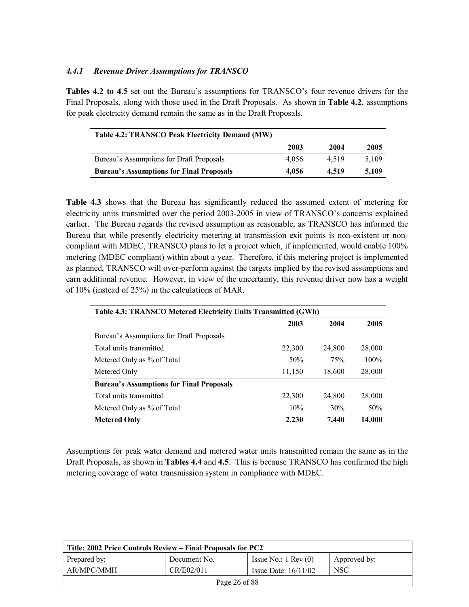#### *4.4.1 Revenue Driver Assumptions for TRANSCO*

**Tables 4.2 to 4.5** set out the Bureau's assumptions for TRANSCO's four revenue drivers for the Final Proposals, along with those used in the Draft Proposals. As shown in **Table 4.2**, assumptions for peak electricity demand remain the same as in the Draft Proposals.

| Table 4.2: TRANSCO Peak Electricity Demand (MW) |       |       |       |  |  |
|-------------------------------------------------|-------|-------|-------|--|--|
|                                                 | 2003  | 2004  | 2005  |  |  |
| Bureau's Assumptions for Draft Proposals        | 4.056 | 4.519 | 5.109 |  |  |
| <b>Bureau's Assumptions for Final Proposals</b> | 4.056 | 4.519 | 5,109 |  |  |

**Table 4.3** shows that the Bureau has significantly reduced the assumed extent of metering for electricity units transmitted over the period 2003-2005 in view of TRANSCO's concerns explained earlier. The Bureau regards the revised assumption as reasonable, as TRANSCO has informed the Bureau that while presently electricity metering at transmission exit points is non-existent or noncompliant with MDEC, TRANSCO plans to let a project which, if implemented, would enable 100% metering (MDEC compliant) within about a year. Therefore, if this metering project is implemented as planned, TRANSCO will over-perform against the targets implied by the revised assumptions and earn additional revenue. However, in view of the uncertainty, this revenue driver now has a weight of 10% (instead of 25%) in the calculations of MAR.

| Table 4.3: TRANSCO Metered Electricity Units Transmitted (GWh) |        |        |         |  |
|----------------------------------------------------------------|--------|--------|---------|--|
|                                                                | 2003   | 2004   | 2005    |  |
| Bureau's Assumptions for Draft Proposals                       |        |        |         |  |
| Total units transmitted                                        | 22,300 | 24,800 | 28,000  |  |
| Metered Only as % of Total                                     | 50%    | 75%    | $100\%$ |  |
| Metered Only                                                   | 11,150 | 18,600 | 28,000  |  |
| <b>Bureau's Assumptions for Final Proposals</b>                |        |        |         |  |
| Total units transmitted                                        | 22,300 | 24,800 | 28,000  |  |
| Metered Only as % of Total                                     | 10%    | 30%    | 50%     |  |
| <b>Metered Only</b>                                            | 2,230  | 7.440  | 14,000  |  |

Assumptions for peak water demand and metered water units transmitted remain the same as in the Draft Proposals, as shown in **Tables 4.4** and **4.5**. This is because TRANSCO has confirmed the high metering coverage of water transmission system in compliance with MDEC.

| Title: 2002 Price Controls Review – Final Proposals for PC2 |              |                               |              |
|-------------------------------------------------------------|--------------|-------------------------------|--------------|
| Prepared by:                                                | Document No. | Issue No.: $1 \text{ Rev}(0)$ | Approved by: |
| AR/MPC/MMH                                                  | CR/E02/011   | Issue Date: $16/11/02$        | NSC          |
| Page 26 of 88                                               |              |                               |              |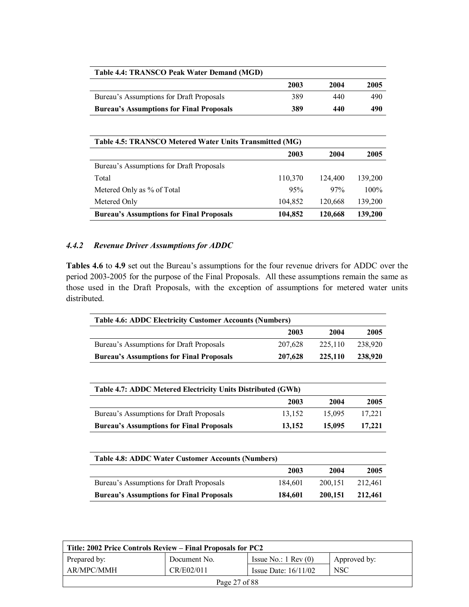| Table 4.4: TRANSCO Peak Water Demand (MGD)      |      |      |      |  |
|-------------------------------------------------|------|------|------|--|
|                                                 | 2003 | 2004 | 2005 |  |
| Bureau's Assumptions for Draft Proposals        | 389  | 440  | 490  |  |
| <b>Bureau's Assumptions for Final Proposals</b> | 389  | 440  | 490  |  |

| Table 4.5: TRANSCO Metered Water Units Transmitted (MG) |         |         |         |  |
|---------------------------------------------------------|---------|---------|---------|--|
|                                                         | 2003    | 2004    | 2005    |  |
| Bureau's Assumptions for Draft Proposals                |         |         |         |  |
| Total                                                   | 110,370 | 124,400 | 139,200 |  |
| Metered Only as % of Total                              | 95%     | 97%     | $100\%$ |  |
| Metered Only                                            | 104,852 | 120,668 | 139,200 |  |
| <b>Bureau's Assumptions for Final Proposals</b>         | 104,852 | 120,668 | 139,200 |  |

### *4.4.2 Revenue Driver Assumptions for ADDC*

Tables 4.6 to 4.9 set out the Bureau's assumptions for the four revenue drivers for ADDC over the period 2003-2005 for the purpose of the Final Proposals. All these assumptions remain the same as those used in the Draft Proposals, with the exception of assumptions for metered water units distributed.

| <b>Table 4.6: ADDC Electricity Customer Accounts (Numbers)</b> |         |         |         |  |
|----------------------------------------------------------------|---------|---------|---------|--|
|                                                                | 2003    | 2004    | 2005    |  |
| Bureau's Assumptions for Draft Proposals                       | 207.628 | 225.110 | 238,920 |  |
| <b>Bureau's Assumptions for Final Proposals</b>                | 207,628 | 225,110 | 238,920 |  |

| Table 4.7: ADDC Metered Electricity Units Distributed (GWh) |        |        |        |  |
|-------------------------------------------------------------|--------|--------|--------|--|
|                                                             | 2003   | 2004   | 2005   |  |
| Bureau's Assumptions for Draft Proposals                    | 13.152 | 15.095 | 17.221 |  |
| <b>Bureau's Assumptions for Final Proposals</b>             | 13.152 | 15,095 | 17,221 |  |

| <b>Table 4.8: ADDC Water Customer Accounts (Numbers)</b>                         |         |         |         |  |
|----------------------------------------------------------------------------------|---------|---------|---------|--|
|                                                                                  | 2003    | 2004    | 2005    |  |
| Bureau's Assumptions for Draft Proposals                                         | 184.601 | 200.151 | 212.461 |  |
| <b>Bureau's Assumptions for Final Proposals</b><br>184,601<br>200.151<br>212,461 |         |         |         |  |

| Title: 2002 Price Controls Review – Final Proposals for PC2 |              |                               |              |
|-------------------------------------------------------------|--------------|-------------------------------|--------------|
| Prepared by:                                                | Document No. | Issue No.: $1 \text{ Rev}(0)$ | Approved by: |
| AR/MPC/MMH                                                  | CR/E02/011   | Issue Date: $16/11/02$        | <b>NSC</b>   |
| Page 27 of 88                                               |              |                               |              |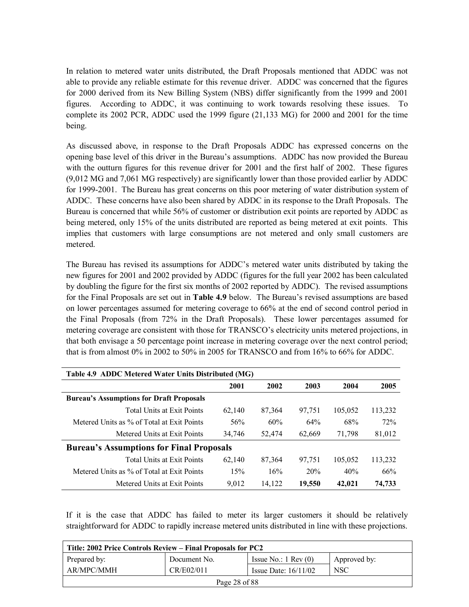In relation to metered water units distributed, the Draft Proposals mentioned that ADDC was not able to provide any reliable estimate for this revenue driver. ADDC was concerned that the figures for 2000 derived from its New Billing System (NBS) differ significantly from the 1999 and 2001 figures. According to ADDC, it was continuing to work towards resolving these issues. To complete its 2002 PCR, ADDC used the 1999 figure (21,133 MG) for 2000 and 2001 for the time being.

As discussed above, in response to the Draft Proposals ADDC has expressed concerns on the opening base level of this driver in the Bureauís assumptions. ADDC has now provided the Bureau with the outturn figures for this revenue driver for 2001 and the first half of 2002. These figures (9,012 MG and 7,061 MG respectively) are significantly lower than those provided earlier by ADDC for 1999-2001. The Bureau has great concerns on this poor metering of water distribution system of ADDC. These concerns have also been shared by ADDC in its response to the Draft Proposals. The Bureau is concerned that while 56% of customer or distribution exit points are reported by ADDC as being metered, only 15% of the units distributed are reported as being metered at exit points. This implies that customers with large consumptions are not metered and only small customers are metered.

The Bureau has revised its assumptions for ADDC's metered water units distributed by taking the new figures for 2001 and 2002 provided by ADDC (figures for the full year 2002 has been calculated by doubling the figure for the first six months of 2002 reported by ADDC). The revised assumptions for the Final Proposals are set out in **Table 4.9** below. The Bureauís revised assumptions are based on lower percentages assumed for metering coverage to 66% at the end of second control period in the Final Proposals (from 72% in the Draft Proposals). These lower percentages assumed for metering coverage are consistent with those for TRANSCO's electricity units metered projections, in that both envisage a 50 percentage point increase in metering coverage over the next control period; that is from almost 0% in 2002 to 50% in 2005 for TRANSCO and from 16% to 66% for ADDC.

| Table 4.9 ADDC Metered Water Units Distributed (MG) |        |        |        |         |         |
|-----------------------------------------------------|--------|--------|--------|---------|---------|
|                                                     | 2001   | 2002   | 2003   | 2004    | 2005    |
| <b>Bureau's Assumptions for Draft Proposals</b>     |        |        |        |         |         |
| <b>Total Units at Exit Points</b>                   | 62.140 | 87,364 | 97,751 | 105,052 | 113,232 |
| Metered Units as % of Total at Exit Points          | 56%    | 60%    | 64%    | 68%     | 72%     |
| Metered Units at Exit Points                        | 34,746 | 52,474 | 62,669 | 71.798  | 81,012  |
| <b>Bureau's Assumptions for Final Proposals</b>     |        |        |        |         |         |
| <b>Total Units at Exit Points</b>                   | 62.140 | 87,364 | 97,751 | 105,052 | 113,232 |
| Metered Units as % of Total at Exit Points          | 15%    | 16%    | 20%    | 40%     | 66%     |
| Metered Units at Exit Points                        | 9,012  | 14,122 | 19,550 | 42,021  | 74,733  |

If it is the case that ADDC has failed to meter its larger customers it should be relatively straightforward for ADDC to rapidly increase metered units distributed in line with these projections.

| Title: 2002 Price Controls Review – Final Proposals for PC2 |              |                               |              |  |
|-------------------------------------------------------------|--------------|-------------------------------|--------------|--|
| Prepared by:                                                | Document No. | Issue No.: $1 \text{ Rev}(0)$ | Approved by: |  |
| AR/MPC/MMH                                                  | CR/E02/011   | Issue Date: $16/11/02$        | <b>NSC</b>   |  |
| Page 28 of 88                                               |              |                               |              |  |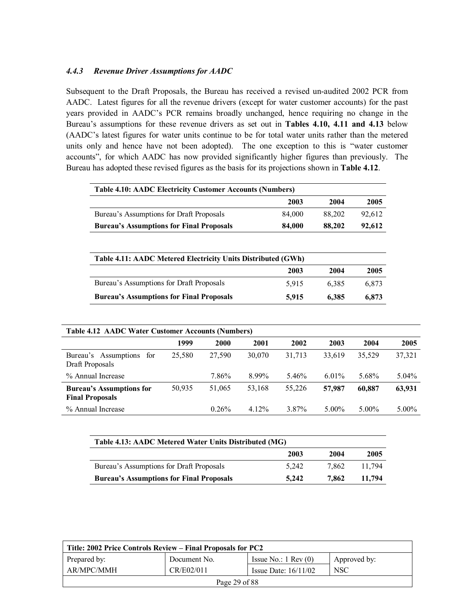#### *4.4.3 Revenue Driver Assumptions for AADC*

Subsequent to the Draft Proposals, the Bureau has received a revised un-audited 2002 PCR from AADC. Latest figures for all the revenue drivers (except for water customer accounts) for the past years provided in AADC's PCR remains broadly unchanged, hence requiring no change in the Bureauís assumptions for these revenue drivers as set out in **Tables 4.10, 4.11 and 4.13** below (AADC's latest figures for water units continue to be for total water units rather than the metered units only and hence have not been adopted). The one exception to this is "water customer accounts", for which AADC has now provided significantly higher figures than previously. The Bureau has adopted these revised figures as the basis for its projections shown in **Table 4.12**.

| <b>Table 4.10: AADC Electricity Customer Accounts (Numbers)</b> |        |        |        |  |  |
|-----------------------------------------------------------------|--------|--------|--------|--|--|
|                                                                 | 2003   | 2004   | 2005   |  |  |
| Bureau's Assumptions for Draft Proposals                        | 84.000 | 88.202 | 92.612 |  |  |
| <b>Bureau's Assumptions for Final Proposals</b>                 | 84,000 | 88,202 | 92.612 |  |  |

| Table 4.11: AADC Metered Electricity Units Distributed (GWh) |       |       |       |  |  |
|--------------------------------------------------------------|-------|-------|-------|--|--|
|                                                              | 2003  | 2004  | 2005  |  |  |
| Bureau's Assumptions for Draft Proposals                     | 5.915 | 6.385 | 6.873 |  |  |
| <b>Bureau's Assumptions for Final Proposals</b>              | 5.915 | 6.385 | 6.873 |  |  |

| <b>Table 4.12 AADC Water Customer Accounts (Numbers)</b>  |        |        |          |        |          |          |          |
|-----------------------------------------------------------|--------|--------|----------|--------|----------|----------|----------|
|                                                           | 1999   | 2000   | 2001     | 2002   | 2003     | 2004     | 2005     |
| Bureau's Assumptions<br>for<br>Draft Proposals            | 25.580 | 27,590 | 30,070   | 31,713 | 33,619   | 35.529   | 37,321   |
| % Annual Increase                                         |        | 7.86%  | 8.99%    | 5.46%  | $6.01\%$ | 5.68%    | $5.04\%$ |
| <b>Bureau's Assumptions for</b><br><b>Final Proposals</b> | 50,935 | 51,065 | 53,168   | 55,226 | 57,987   | 60.887   | 63,931   |
| % Annual Increase                                         |        | 0.26%  | $4.12\%$ | 3.87%  | $5.00\%$ | $5.00\%$ | $5.00\%$ |

| Table 4.13: AADC Metered Water Units Distributed (MG) |       |       |        |  |  |
|-------------------------------------------------------|-------|-------|--------|--|--|
|                                                       | 2003  | 2004  | 2005   |  |  |
| Bureau's Assumptions for Draft Proposals              | 5.242 | 7.862 | 11.794 |  |  |
| <b>Bureau's Assumptions for Final Proposals</b>       | 5.242 | 7.862 | 11.794 |  |  |

| Title: 2002 Price Controls Review – Final Proposals for PC2 |              |                               |              |  |
|-------------------------------------------------------------|--------------|-------------------------------|--------------|--|
| Prepared by:                                                | Document No. | Issue No.: $1 \text{ Rev}(0)$ | Approved by: |  |
| AR/MPC/MMH                                                  | CR/E02/011   | Issue Date: $16/11/02$        | <b>NSC</b>   |  |
| Page 29 of 88                                               |              |                               |              |  |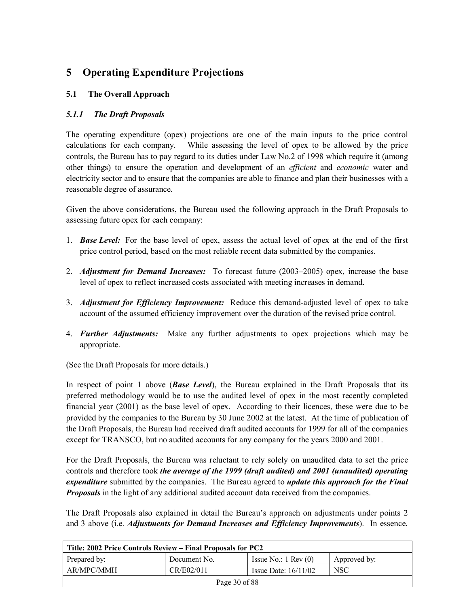## **5 Operating Expenditure Projections**

### **5.1 The Overall Approach**

### *5.1.1 The Draft Proposals*

The operating expenditure (opex) projections are one of the main inputs to the price control calculations for each company. While assessing the level of opex to be allowed by the price controls, the Bureau has to pay regard to its duties under Law No.2 of 1998 which require it (among other things) to ensure the operation and development of an *efficient* and *economic* water and electricity sector and to ensure that the companies are able to finance and plan their businesses with a reasonable degree of assurance.

Given the above considerations, the Bureau used the following approach in the Draft Proposals to assessing future opex for each company:

- 1. *Base Level:* For the base level of opex, assess the actual level of opex at the end of the first price control period, based on the most reliable recent data submitted by the companies.
- 2. *Adjustment for Demand Increases:* To forecast future (2003–2005) opex, increase the base level of opex to reflect increased costs associated with meeting increases in demand.
- 3. *Adjustment for Efficiency Improvement:* Reduce this demand-adjusted level of opex to take account of the assumed efficiency improvement over the duration of the revised price control.
- 4. *Further Adjustments:* Make any further adjustments to opex projections which may be appropriate.

(See the Draft Proposals for more details.)

In respect of point 1 above (*Base Level*), the Bureau explained in the Draft Proposals that its preferred methodology would be to use the audited level of opex in the most recently completed financial year (2001) as the base level of opex. According to their licences, these were due to be provided by the companies to the Bureau by 30 June 2002 at the latest. At the time of publication of the Draft Proposals, the Bureau had received draft audited accounts for 1999 for all of the companies except for TRANSCO, but no audited accounts for any company for the years 2000 and 2001.

For the Draft Proposals, the Bureau was reluctant to rely solely on unaudited data to set the price controls and therefore took *the average of the 1999 (draft audited) and 2001 (unaudited) operating expenditure* submitted by the companies. The Bureau agreed to *update this approach for the Final Proposals* in the light of any additional audited account data received from the companies.

The Draft Proposals also explained in detail the Bureau's approach on adjustments under points 2 and 3 above (i.e. *Adjustments for Demand Increases and Efficiency Improvements*). In essence,

| Title: 2002 Price Controls Review – Final Proposals for PC2 |              |                               |              |  |
|-------------------------------------------------------------|--------------|-------------------------------|--------------|--|
| Prepared by:                                                | Document No. | Issue No.: $1 \text{ Rev}(0)$ | Approved by: |  |
| AR/MPC/MMH                                                  | CR/E02/011   | Issue Date: $16/11/02$        | <b>NSC</b>   |  |
| Page 30 of 88                                               |              |                               |              |  |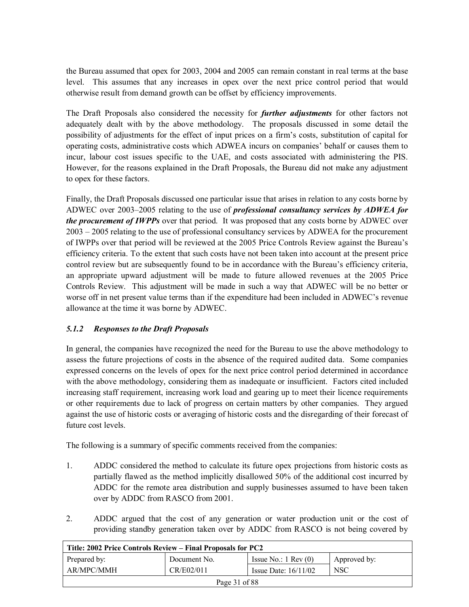the Bureau assumed that opex for 2003, 2004 and 2005 can remain constant in real terms at the base level. This assumes that any increases in opex over the next price control period that would otherwise result from demand growth can be offset by efficiency improvements.

The Draft Proposals also considered the necessity for *further adjustments* for other factors not adequately dealt with by the above methodology. The proposals discussed in some detail the possibility of adjustments for the effect of input prices on a firm's costs, substitution of capital for operating costs, administrative costs which ADWEA incurs on companiesí behalf or causes them to incur, labour cost issues specific to the UAE, and costs associated with administering the PIS. However, for the reasons explained in the Draft Proposals, the Bureau did not make any adjustment to opex for these factors.

Finally, the Draft Proposals discussed one particular issue that arises in relation to any costs borne by ADWEC over 2003–2005 relating to the use of *professional consultancy services by ADWEA for the procurement of IWPPs* over that period. It was proposed that any costs borne by ADWEC over  $2003 - 2005$  relating to the use of professional consultancy services by ADWEA for the procurement of IWPPs over that period will be reviewed at the 2005 Price Controls Review against the Bureauís efficiency criteria. To the extent that such costs have not been taken into account at the present price control review but are subsequently found to be in accordance with the Bureau's efficiency criteria, an appropriate upward adjustment will be made to future allowed revenues at the 2005 Price Controls Review. This adjustment will be made in such a way that ADWEC will be no better or worse off in net present value terms than if the expenditure had been included in ADWEC's revenue allowance at the time it was borne by ADWEC.

#### *5.1.2 Responses to the Draft Proposals*

In general, the companies have recognized the need for the Bureau to use the above methodology to assess the future projections of costs in the absence of the required audited data. Some companies expressed concerns on the levels of opex for the next price control period determined in accordance with the above methodology, considering them as inadequate or insufficient. Factors cited included increasing staff requirement, increasing work load and gearing up to meet their licence requirements or other requirements due to lack of progress on certain matters by other companies. They argued against the use of historic costs or averaging of historic costs and the disregarding of their forecast of future cost levels.

The following is a summary of specific comments received from the companies:

- 1. ADDC considered the method to calculate its future opex projections from historic costs as partially flawed as the method implicitly disallowed 50% of the additional cost incurred by ADDC for the remote area distribution and supply businesses assumed to have been taken over by ADDC from RASCO from 2001.
- 2. ADDC argued that the cost of any generation or water production unit or the cost of providing standby generation taken over by ADDC from RASCO is not being covered by

| Title: 2002 Price Controls Review – Final Proposals for PC2 |              |                               |              |  |
|-------------------------------------------------------------|--------------|-------------------------------|--------------|--|
| Prepared by:                                                | Document No. | Issue No.: $1 \text{ Rev}(0)$ | Approved by: |  |
| AR/MPC/MMH                                                  | CR/E02/011   | Issue Date: $16/11/02$        | <b>NSC</b>   |  |
| Page 31 of 88                                               |              |                               |              |  |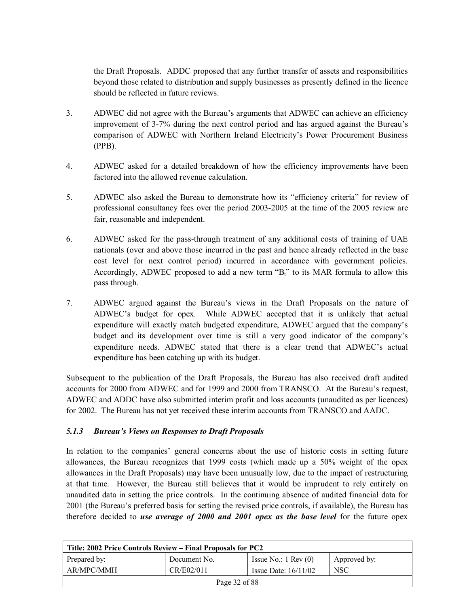the Draft Proposals. ADDC proposed that any further transfer of assets and responsibilities beyond those related to distribution and supply businesses as presently defined in the licence should be reflected in future reviews.

- 3. ADWEC did not agree with the Bureauís arguments that ADWEC can achieve an efficiency improvement of 3-7% during the next control period and has argued against the Bureauís comparison of ADWEC with Northern Ireland Electricity's Power Procurement Business (PPB).
- 4. ADWEC asked for a detailed breakdown of how the efficiency improvements have been factored into the allowed revenue calculation.
- 5. ADWEC also asked the Bureau to demonstrate how its "efficiency criteria" for review of professional consultancy fees over the period 2003-2005 at the time of the 2005 review are fair, reasonable and independent.
- 6. ADWEC asked for the pass-through treatment of any additional costs of training of UAE nationals (over and above those incurred in the past and hence already reflected in the base cost level for next control period) incurred in accordance with government policies. Accordingly, ADWEC proposed to add a new term  $B_t$ <sup>th</sup> to its MAR formula to allow this pass through.
- 7. ADWEC argued against the Bureauís views in the Draft Proposals on the nature of ADWEC's budget for opex. While ADWEC accepted that it is unlikely that actual expenditure will exactly match budgeted expenditure, ADWEC argued that the company's budget and its development over time is still a very good indicator of the companyís expenditure needs. ADWEC stated that there is a clear trend that ADWEC's actual expenditure has been catching up with its budget.

Subsequent to the publication of the Draft Proposals, the Bureau has also received draft audited accounts for 2000 from ADWEC and for 1999 and 2000 from TRANSCO. At the Bureau's request, ADWEC and ADDC have also submitted interim profit and loss accounts (unaudited as per licences) for 2002. The Bureau has not yet received these interim accounts from TRANSCO and AADC.

#### *5.1.3 Bureauís Views on Responses to Draft Proposals*

In relation to the companies' general concerns about the use of historic costs in setting future allowances, the Bureau recognizes that 1999 costs (which made up a 50% weight of the opex allowances in the Draft Proposals) may have been unusually low, due to the impact of restructuring at that time. However, the Bureau still believes that it would be imprudent to rely entirely on unaudited data in setting the price controls. In the continuing absence of audited financial data for 2001 (the Bureauís preferred basis for setting the revised price controls, if available), the Bureau has therefore decided to *use average of 2000 and 2001 opex as the base level* for the future opex

| Title: 2002 Price Controls Review – Final Proposals for PC2 |              |                               |              |  |  |
|-------------------------------------------------------------|--------------|-------------------------------|--------------|--|--|
| Prepared by:                                                | Document No. | Issue No.: $1 \text{ Rev}(0)$ | Approved by: |  |  |
| CR/E02/011<br>AR/MPC/MMH                                    |              | Issue Date: $16/11/02$        | <b>NSC</b>   |  |  |
| Page 32 of 88                                               |              |                               |              |  |  |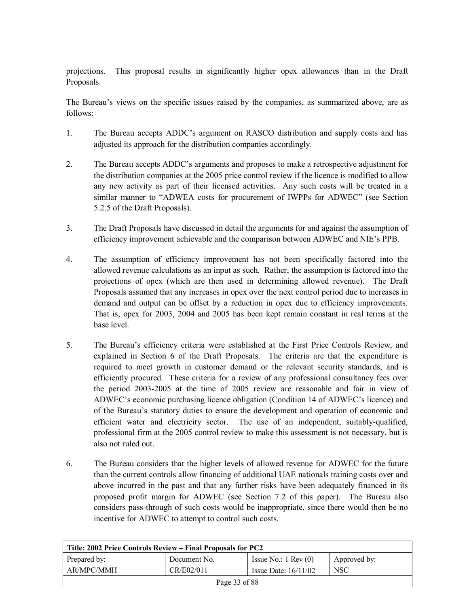projections. This proposal results in significantly higher opex allowances than in the Draft Proposals.

The Bureauís views on the specific issues raised by the companies, as summarized above, are as follows:

- 1. The Bureau accepts ADDC's argument on RASCO distribution and supply costs and has adjusted its approach for the distribution companies accordingly.
- 2. The Bureau accepts ADDC's arguments and proposes to make a retrospective adjustment for the distribution companies at the 2005 price control review if the licence is modified to allow any new activity as part of their licensed activities. Any such costs will be treated in a similar manner to "ADWEA costs for procurement of IWPPs for ADWEC" (see Section 5.2.5 of the Draft Proposals).
- 3. The Draft Proposals have discussed in detail the arguments for and against the assumption of efficiency improvement achievable and the comparison between ADWEC and NIE's PPB.
- 4. The assumption of efficiency improvement has not been specifically factored into the allowed revenue calculations as an input as such. Rather, the assumption is factored into the projections of opex (which are then used in determining allowed revenue). The Draft Proposals assumed that any increases in opex over the next control period due to increases in demand and output can be offset by a reduction in opex due to efficiency improvements. That is, opex for 2003, 2004 and 2005 has been kept remain constant in real terms at the base level.
- 5. The Bureauís efficiency criteria were established at the First Price Controls Review, and explained in Section 6 of the Draft Proposals. The criteria are that the expenditure is required to meet growth in customer demand or the relevant security standards, and is efficiently procured. These criteria for a review of any professional consultancy fees over the period 2003-2005 at the time of 2005 review are reasonable and fair in view of ADWEC's economic purchasing licence obligation (Condition 14 of ADWEC's licence) and of the Bureauís statutory duties to ensure the development and operation of economic and efficient water and electricity sector. The use of an independent, suitably-qualified, professional firm at the 2005 control review to make this assessment is not necessary, but is also not ruled out.
- 6. The Bureau considers that the higher levels of allowed revenue for ADWEC for the future than the current controls allow financing of additional UAE nationals training costs over and above incurred in the past and that any further risks have been adequately financed in its proposed profit margin for ADWEC (see Section 7.2 of this paper). The Bureau also considers pass-through of such costs would be inappropriate, since there would then be no incentive for ADWEC to attempt to control such costs.

| Title: 2002 Price Controls Review – Final Proposals for PC2 |              |                               |              |  |  |
|-------------------------------------------------------------|--------------|-------------------------------|--------------|--|--|
| Prepared by:                                                | Document No. | Issue No.: $1 \text{ Rev}(0)$ | Approved by: |  |  |
| AR/MPC/MMH                                                  | CR/E02/011   | Issue Date: $16/11/02$        | NSC          |  |  |
| Page 33 of 88                                               |              |                               |              |  |  |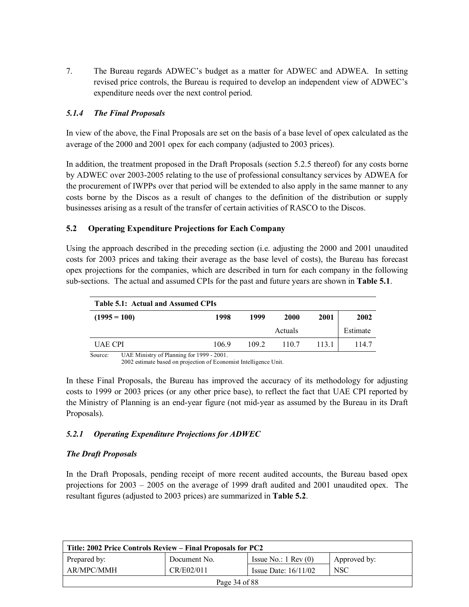7. The Bureau regards ADWECís budget as a matter for ADWEC and ADWEA. In setting revised price controls, the Bureau is required to develop an independent view of ADWEC's expenditure needs over the next control period.

### *5.1.4 The Final Proposals*

In view of the above, the Final Proposals are set on the basis of a base level of opex calculated as the average of the 2000 and 2001 opex for each company (adjusted to 2003 prices).

In addition, the treatment proposed in the Draft Proposals (section 5.2.5 thereof) for any costs borne by ADWEC over 2003-2005 relating to the use of professional consultancy services by ADWEA for the procurement of IWPPs over that period will be extended to also apply in the same manner to any costs borne by the Discos as a result of changes to the definition of the distribution or supply businesses arising as a result of the transfer of certain activities of RASCO to the Discos.

#### **5.2 Operating Expenditure Projections for Each Company**

Using the approach described in the preceding section (i.e. adjusting the 2000 and 2001 unaudited costs for 2003 prices and taking their average as the base level of costs), the Bureau has forecast opex projections for the companies, which are described in turn for each company in the following sub-sections. The actual and assumed CPIs for the past and future years are shown in **Table 5.1**.

| Table 5.1: Actual and Assumed CPIs                   |       |       |         |       |          |  |
|------------------------------------------------------|-------|-------|---------|-------|----------|--|
| $(1995 = 100)$                                       | 1998  | 1999  | 2000    | 2001  | 2002     |  |
|                                                      |       |       | Actuals |       | Estimate |  |
| <b>UAE CPI</b>                                       | 106.9 | 109.2 | 110.7   | 113.1 | 114.7    |  |
| Source:<br>UAE Ministry of Planning for 1999 - 2001. |       |       |         |       |          |  |

2002 estimate based on projection of Economist Intelligence Unit.

In these Final Proposals, the Bureau has improved the accuracy of its methodology for adjusting costs to 1999 or 2003 prices (or any other price base), to reflect the fact that UAE CPI reported by the Ministry of Planning is an end-year figure (not mid-year as assumed by the Bureau in its Draft Proposals).

## *5.2.1 Operating Expenditure Projections for ADWEC*

#### *The Draft Proposals*

In the Draft Proposals, pending receipt of more recent audited accounts, the Bureau based opex projections for  $2003 - 2005$  on the average of 1999 draft audited and 2001 unaudited opex. The resultant figures (adjusted to 2003 prices) are summarized in **Table 5.2**.

| Title: 2002 Price Controls Review – Final Proposals for PC2 |              |                               |              |  |
|-------------------------------------------------------------|--------------|-------------------------------|--------------|--|
| Prepared by:                                                | Document No. | Issue No.: $1 \text{ Rev}(0)$ | Approved by: |  |
| AR/MPC/MMH                                                  | CR/E02/011   | Issue Date: $16/11/02$        | <b>NSC</b>   |  |
| Page 34 of 88                                               |              |                               |              |  |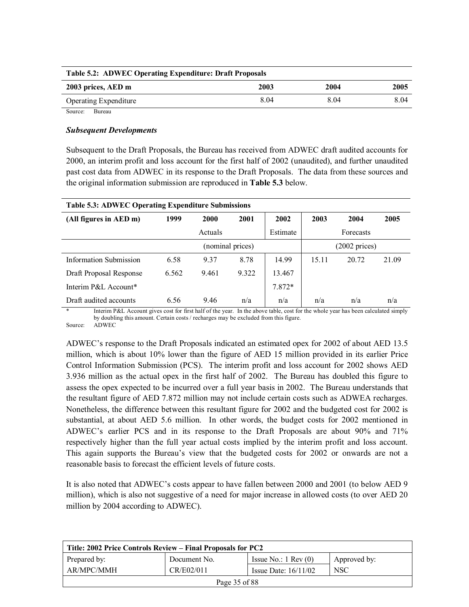| <b>Table 5.2: ADWEC Operating Expenditure: Draft Proposals</b> |      |      |      |  |
|----------------------------------------------------------------|------|------|------|--|
| 2003 prices, AED m                                             | 2003 | 2004 | 2005 |  |
| <b>Operating Expenditure</b>                                   | 8.04 | 804  | 8.04 |  |

Source: Bureau

#### *Subsequent Developments*

Subsequent to the Draft Proposals, the Bureau has received from ADWEC draft audited accounts for 2000, an interim profit and loss account for the first half of 2002 (unaudited), and further unaudited past cost data from ADWEC in its response to the Draft Proposals. The data from these sources and the original information submission are reproduced in **Table 5.3** below.

| <b>Table 5.3: ADWEC Operating Expenditure Submissions</b> |       |                  |       |          |       |                         |       |
|-----------------------------------------------------------|-------|------------------|-------|----------|-------|-------------------------|-------|
| (All figures in AED m)                                    | 1999  | 2000             | 2001  | 2002     | 2003  | 2004                    | 2005  |
|                                                           |       | Actuals          |       | Estimate |       | Forecasts               |       |
|                                                           |       | (nominal prices) |       |          |       | $(2002 \text{ prices})$ |       |
| <b>Information Submission</b>                             | 6.58  | 9.37             | 8.78  | 14.99    | 15.11 | 20.72                   | 21.09 |
| Draft Proposal Response                                   | 6.562 | 9.461            | 9.322 | 13.467   |       |                         |       |
| Interim P&L Account*                                      |       |                  |       | 7.872*   |       |                         |       |
| Draft audited accounts                                    | 6.56  | 9.46             | n/a   | n/a      | n/a   | n/a                     | n/a   |

Interim P&L Account gives cost for first half of the year. In the above table, cost for the whole year has been calculated simply by doubling this amount. Certain costs / recharges may be excluded from this figure.

Source: ADWEC

ADWEC's response to the Draft Proposals indicated an estimated opex for 2002 of about AED 13.5 million, which is about 10% lower than the figure of AED 15 million provided in its earlier Price Control Information Submission (PCS). The interim profit and loss account for 2002 shows AED 3.936 million as the actual opex in the first half of 2002. The Bureau has doubled this figure to assess the opex expected to be incurred over a full year basis in 2002. The Bureau understands that the resultant figure of AED 7.872 million may not include certain costs such as ADWEA recharges. Nonetheless, the difference between this resultant figure for 2002 and the budgeted cost for 2002 is substantial, at about AED 5.6 million. In other words, the budget costs for 2002 mentioned in ADWEC's earlier PCS and in its response to the Draft Proposals are about 90% and 71% respectively higher than the full year actual costs implied by the interim profit and loss account. This again supports the Bureau's view that the budgeted costs for 2002 or onwards are not a reasonable basis to forecast the efficient levels of future costs.

It is also noted that ADWEC's costs appear to have fallen between 2000 and 2001 (to below AED 9 million), which is also not suggestive of a need for major increase in allowed costs (to over AED 20 million by 2004 according to ADWEC).

| Title: 2002 Price Controls Review – Final Proposals for PC2 |              |                               |              |  |
|-------------------------------------------------------------|--------------|-------------------------------|--------------|--|
| Prepared by:                                                | Document No. | Issue No.: $1 \text{ Rev}(0)$ | Approved by: |  |
| AR/MPC/MMH                                                  | CR/E02/011   | Issue Date: $16/11/02$        | <b>NSC</b>   |  |
| Page 35 of 88                                               |              |                               |              |  |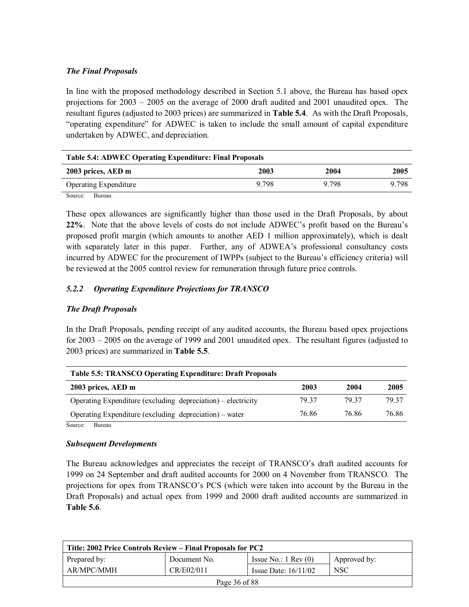#### *The Final Proposals*

In line with the proposed methodology described in Section 5.1 above, the Bureau has based opex projections for  $2003 - 2005$  on the average of 2000 draft audited and 2001 unaudited opex. The resultant figures (adjusted to 2003 prices) are summarized in **Table 5.4**. As with the Draft Proposals, ìoperating expenditureî for ADWEC is taken to include the small amount of capital expenditure undertaken by ADWEC, and depreciation.

| <b>Table 5.4: ADWEC Operating Expenditure: Final Proposals</b> |         |       |       |  |
|----------------------------------------------------------------|---------|-------|-------|--|
| 2003 prices, AED m                                             | 2003    | 2004  | 2005  |  |
| <b>Operating Expenditure</b>                                   | 9 7 9 8 | 9.798 | 9 798 |  |
| Source:<br>Bureau                                              |         |       |       |  |

These opex allowances are significantly higher than those used in the Draft Proposals, by about **22%**. Note that the above levels of costs do not include ADWEC's profit based on the Bureau's proposed profit margin (which amounts to another AED 1 million approximately), which is dealt with separately later in this paper. Further, any of ADWEA's professional consultancy costs incurred by ADWEC for the procurement of IWPPs (subject to the Bureau's efficiency criteria) will be reviewed at the 2005 control review for remuneration through future price controls.

## *5.2.2 Operating Expenditure Projections for TRANSCO*

#### *The Draft Proposals*

In the Draft Proposals, pending receipt of any audited accounts, the Bureau based opex projections for  $2003 - 2005$  on the average of 1999 and 2001 unaudited opex. The resultant figures (adjusted to 2003 prices) are summarized in **Table 5.5**.

| <b>Table 5.5: TRANSCO Operating Expenditure: Draft Proposals</b> |       |       |       |  |  |
|------------------------------------------------------------------|-------|-------|-------|--|--|
| 2003 prices, AED m                                               | 2003  | 2004  | 2005  |  |  |
| Operating Expenditure (excluding depreciation) – electricity     | 79 37 | 79 37 | 79.37 |  |  |
| Operating Expenditure (excluding depreciation) – water           | 76 86 | 76.86 | 76.86 |  |  |
| Source:<br>Bureau                                                |       |       |       |  |  |

#### *Subsequent Developments*

The Bureau acknowledges and appreciates the receipt of TRANSCO's draft audited accounts for 1999 on 24 September and draft audited accounts for 2000 on 4 November from TRANSCO. The projections for opex from TRANSCO's PCS (which were taken into account by the Bureau in the Draft Proposals) and actual opex from 1999 and 2000 draft audited accounts are summarized in **Table 5.6**.

| Title: 2002 Price Controls Review – Final Proposals for PC2 |              |                               |              |  |
|-------------------------------------------------------------|--------------|-------------------------------|--------------|--|
| Prepared by:                                                | Document No. | Issue No.: $1 \text{ Rev}(0)$ | Approved by: |  |
| AR/MPC/MMH                                                  | CR/E02/011   | Issue Date: $16/11/02$        | <b>NSC</b>   |  |
| Page 36 of 88                                               |              |                               |              |  |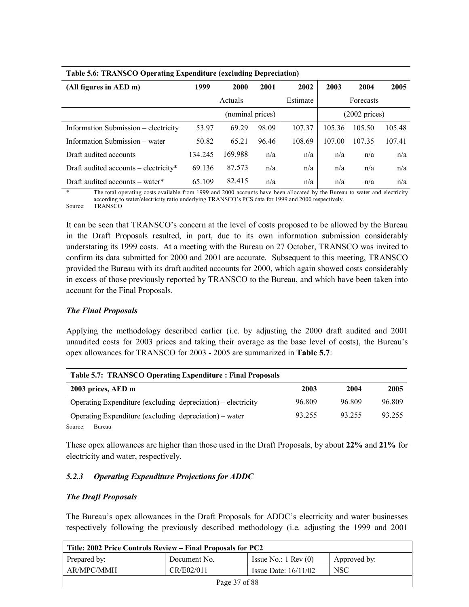| <b>Table 5.6: TRANSCO Operating Expenditure (excluding Depreciation)</b> |                  |         |       |          |                         |           |        |  |
|--------------------------------------------------------------------------|------------------|---------|-------|----------|-------------------------|-----------|--------|--|
| (All figures in AED m)                                                   | 1999             | 2000    | 2001  | 2002     | 2003                    | 2004      | 2005   |  |
|                                                                          |                  | Actuals |       | Estimate |                         | Forecasts |        |  |
|                                                                          | (nominal prices) |         |       |          | $(2002 \text{ prices})$ |           |        |  |
| Information Submission – electricity                                     | 53.97            | 69.29   | 98.09 | 107.37   | 105.36                  | 105.50    | 105.48 |  |
| Information Submission – water                                           | 50.82            | 65.21   | 96.46 | 108.69   | 107.00                  | 107.35    | 107.41 |  |
| Draft audited accounts                                                   | 134.245          | 169.988 | n/a   | n/a      | n/a                     | n/a       | n/a    |  |
| Draft audited accounts – electricity*                                    | 69.136           | 87.573  | n/a   | n/a      | n/a                     | n/a       | n/a    |  |
| Draft audited accounts $-$ water $*$                                     | 65.109           | 82.415  | n/a   | n/a      | n/a                     | n/a       | n/a    |  |

The total operating costs available from 1999 and 2000 accounts have been allocated by the Bureau to water and electricity according to water/electricity ratio underlying TRANSCO's PCS data for 1999 and 2000 respectively. Source: TRANSCO

It can be seen that TRANSCO's concern at the level of costs proposed to be allowed by the Bureau in the Draft Proposals resulted, in part, due to its own information submission considerably understating its 1999 costs. At a meeting with the Bureau on 27 October, TRANSCO was invited to confirm its data submitted for 2000 and 2001 are accurate. Subsequent to this meeting, TRANSCO provided the Bureau with its draft audited accounts for 2000, which again showed costs considerably in excess of those previously reported by TRANSCO to the Bureau, and which have been taken into account for the Final Proposals.

### *The Final Proposals*

Applying the methodology described earlier (i.e. by adjusting the 2000 draft audited and 2001 unaudited costs for 2003 prices and taking their average as the base level of costs), the Bureau's opex allowances for TRANSCO for 2003 - 2005 are summarized in **Table 5.7**:

| <b>Table 5.7: TRANSCO Operating Expenditure: Final Proposals</b> |        |        |  |  |  |  |  |  |
|------------------------------------------------------------------|--------|--------|--|--|--|--|--|--|
| 2003                                                             | 2004   | 2005   |  |  |  |  |  |  |
| 96.809                                                           | 96.809 | 96.809 |  |  |  |  |  |  |
| 93.255                                                           | 93 255 | 93.255 |  |  |  |  |  |  |
|                                                                  |        |        |  |  |  |  |  |  |

Source: Bureau

These opex allowances are higher than those used in the Draft Proposals, by about **22%** and **21%** for electricity and water, respectively.

### *5.2.3 Operating Expenditure Projections for ADDC*

### *The Draft Proposals*

The Bureau's opex allowances in the Draft Proposals for ADDC's electricity and water businesses respectively following the previously described methodology (i.e. adjusting the 1999 and 2001

| Title: 2002 Price Controls Review – Final Proposals for PC2 |              |                               |              |  |  |  |
|-------------------------------------------------------------|--------------|-------------------------------|--------------|--|--|--|
| Prepared by:                                                | Document No. | Issue No.: $1 \text{ Rev}(0)$ | Approved by: |  |  |  |
| AR/MPC/MMH                                                  | CR/E02/011   | Issue Date: $16/11/02$        | <b>NSC</b>   |  |  |  |
| Page 37 of 88                                               |              |                               |              |  |  |  |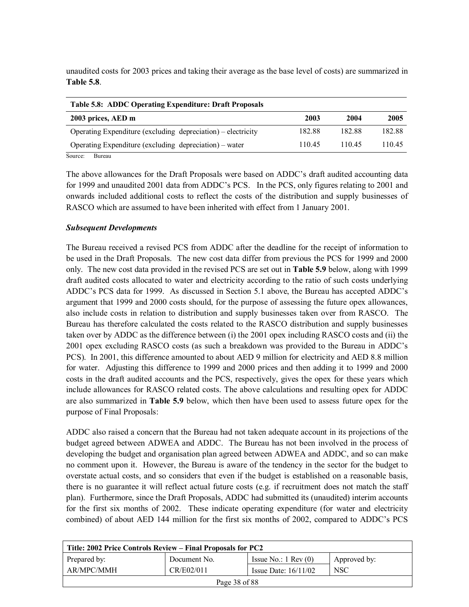unaudited costs for 2003 prices and taking their average as the base level of costs) are summarized in **Table 5.8**.

| <b>Table 5.8: ADDC Operating Expenditure: Draft Proposals</b> |        |        |        |  |  |  |  |  |  |
|---------------------------------------------------------------|--------|--------|--------|--|--|--|--|--|--|
| 2003 prices, AED m                                            | 2003   | 2004   | 2005   |  |  |  |  |  |  |
| Operating Expenditure (excluding depreciation) – electricity  | 182.88 | 182.88 | 182.88 |  |  |  |  |  |  |
| Operating Expenditure (excluding depreciation) – water        | 11045  | 110.45 | 110.45 |  |  |  |  |  |  |
| Source:<br>Bureau                                             |        |        |        |  |  |  |  |  |  |

The above allowances for the Draft Proposals were based on ADDC's draft audited accounting data for 1999 and unaudited 2001 data from ADDC's PCS. In the PCS, only figures relating to 2001 and onwards included additional costs to reflect the costs of the distribution and supply businesses of RASCO which are assumed to have been inherited with effect from 1 January 2001.

#### *Subsequent Developments*

The Bureau received a revised PCS from ADDC after the deadline for the receipt of information to be used in the Draft Proposals. The new cost data differ from previous the PCS for 1999 and 2000 only. The new cost data provided in the revised PCS are set out in **Table 5.9** below, along with 1999 draft audited costs allocated to water and electricity according to the ratio of such costs underlying ADDC's PCS data for 1999. As discussed in Section 5.1 above, the Bureau has accepted ADDC's argument that 1999 and 2000 costs should, for the purpose of assessing the future opex allowances, also include costs in relation to distribution and supply businesses taken over from RASCO. The Bureau has therefore calculated the costs related to the RASCO distribution and supply businesses taken over by ADDC as the difference between (i) the 2001 opex including RASCO costs and (ii) the 2001 opex excluding RASCO costs (as such a breakdown was provided to the Bureau in ADDCís PCS). In 2001, this difference amounted to about AED 9 million for electricity and AED 8.8 million for water. Adjusting this difference to 1999 and 2000 prices and then adding it to 1999 and 2000 costs in the draft audited accounts and the PCS, respectively, gives the opex for these years which include allowances for RASCO related costs. The above calculations and resulting opex for ADDC are also summarized in **Table 5.9** below, which then have been used to assess future opex for the purpose of Final Proposals:

ADDC also raised a concern that the Bureau had not taken adequate account in its projections of the budget agreed between ADWEA and ADDC. The Bureau has not been involved in the process of developing the budget and organisation plan agreed between ADWEA and ADDC, and so can make no comment upon it. However, the Bureau is aware of the tendency in the sector for the budget to overstate actual costs, and so considers that even if the budget is established on a reasonable basis, there is no guarantee it will reflect actual future costs (e.g. if recruitment does not match the staff plan). Furthermore, since the Draft Proposals, ADDC had submitted its (unaudited) interim accounts for the first six months of 2002. These indicate operating expenditure (for water and electricity combined) of about AED 144 million for the first six months of 2002, compared to ADDC's PCS

| Title: 2002 Price Controls Review – Final Proposals for PC2 |              |                               |              |  |  |
|-------------------------------------------------------------|--------------|-------------------------------|--------------|--|--|
| Prepared by:                                                | Document No. | Issue No.: $1 \text{ Rev}(0)$ | Approved by: |  |  |
| AR/MPC/MMH                                                  | CR/E02/011   | Issue Date: $16/11/02$        | NSC          |  |  |
| Page 38 of 88                                               |              |                               |              |  |  |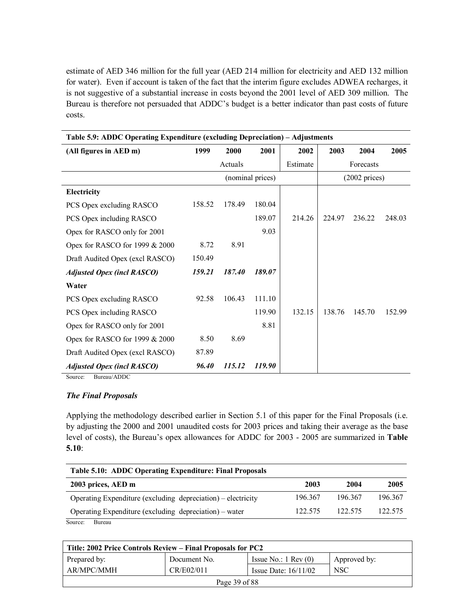estimate of AED 346 million for the full year (AED 214 million for electricity and AED 132 million for water). Even if account is taken of the fact that the interim figure excludes ADWEA recharges, it is not suggestive of a substantial increase in costs beyond the 2001 level of AED 309 million. The Bureau is therefore not persuaded that ADDC's budget is a better indicator than past costs of future costs.

| Table 5.9: ADDC Operating Expenditure (excluding Depreciation) - Adjustments |        |         |                  |          |        |                         |        |
|------------------------------------------------------------------------------|--------|---------|------------------|----------|--------|-------------------------|--------|
| (All figures in AED m)                                                       | 1999   | 2000    | 2001             | 2002     | 2003   | 2004                    | 2005   |
|                                                                              |        | Actuals |                  | Estimate |        | Forecasts               |        |
|                                                                              |        |         | (nominal prices) |          |        | $(2002 \text{ prices})$ |        |
| Electricity                                                                  |        |         |                  |          |        |                         |        |
| PCS Opex excluding RASCO                                                     | 158.52 | 178.49  | 180.04           |          |        |                         |        |
| PCS Opex including RASCO                                                     |        |         | 189.07           | 214.26   | 224.97 | 236.22                  | 248.03 |
| Opex for RASCO only for 2001                                                 |        |         | 9.03             |          |        |                         |        |
| Opex for RASCO for 1999 & 2000                                               | 8.72   | 8.91    |                  |          |        |                         |        |
| Draft Audited Opex (excl RASCO)                                              | 150.49 |         |                  |          |        |                         |        |
| <b>Adjusted Opex (incl RASCO)</b>                                            | 159.21 | 187.40  | 189.07           |          |        |                         |        |
| Water                                                                        |        |         |                  |          |        |                         |        |
| PCS Opex excluding RASCO                                                     | 92.58  | 106.43  | 111.10           |          |        |                         |        |
| PCS Opex including RASCO                                                     |        |         | 119.90           | 132.15   | 138.76 | 145.70                  | 152.99 |
| Opex for RASCO only for 2001                                                 |        |         | 8.81             |          |        |                         |        |
| Opex for RASCO for 1999 & 2000                                               | 8.50   | 8.69    |                  |          |        |                         |        |
| Draft Audited Opex (excl RASCO)                                              | 87.89  |         |                  |          |        |                         |        |
| <b>Adjusted Opex (incl RASCO)</b><br>$\sqrt{2}$                              | 96.40  | 115.12  | 119.90           |          |        |                         |        |

Source: Bureau/ADDC

#### *The Final Proposals*

Applying the methodology described earlier in Section 5.1 of this paper for the Final Proposals (i.e. by adjusting the 2000 and 2001 unaudited costs for 2003 prices and taking their average as the base level of costs), the Bureauís opex allowances for ADDC for 2003 - 2005 are summarized in **Table 5.10**:

| Table 5.10: ADDC Operating Expenditure: Final Proposals      |         |         |         |  |  |  |  |  |
|--------------------------------------------------------------|---------|---------|---------|--|--|--|--|--|
| 2003 prices, AED m                                           | 2003    | 2004    | 2005    |  |  |  |  |  |
| Operating Expenditure (excluding depreciation) – electricity | 196.367 | 196.367 | 196.367 |  |  |  |  |  |
| Operating Expenditure (excluding depreciation) – water       | 122.575 | 122.575 | 122.575 |  |  |  |  |  |
| Source:<br>Bureau                                            |         |         |         |  |  |  |  |  |

| Title: 2002 Price Controls Review – Final Proposals for PC2 |              |                               |              |  |  |
|-------------------------------------------------------------|--------------|-------------------------------|--------------|--|--|
| Prepared by:                                                | Document No. | Issue No.: $1 \text{ Rev}(0)$ | Approved by: |  |  |
| AR/MPC/MMH                                                  | CR/E02/011   | Issue Date: $16/11/02$        | NSC          |  |  |
| Page 39 of 88                                               |              |                               |              |  |  |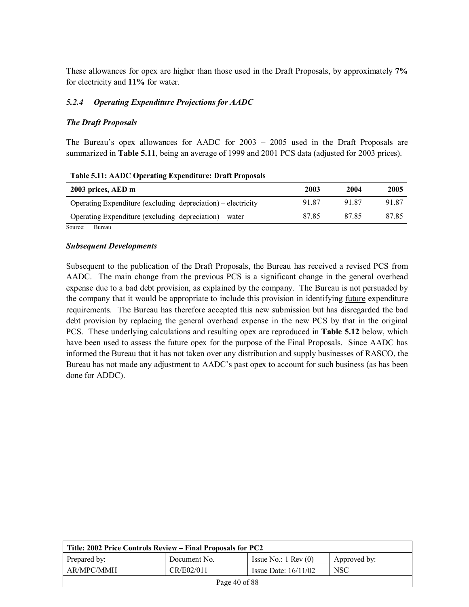These allowances for opex are higher than those used in the Draft Proposals, by approximately **7%** for electricity and **11%** for water.

#### *5.2.4 Operating Expenditure Projections for AADC*

#### *The Draft Proposals*

The Bureau's opex allowances for AADC for  $2003 - 2005$  used in the Draft Proposals are summarized in **Table 5.11**, being an average of 1999 and 2001 PCS data (adjusted for 2003 prices).

| <b>Table 5.11: AADC Operating Expenditure: Draft Proposals</b> |       |       |       |  |  |  |  |  |
|----------------------------------------------------------------|-------|-------|-------|--|--|--|--|--|
| 2003 prices, AED m                                             | 2003  | 2004  | 2005  |  |  |  |  |  |
| Operating Expenditure (excluding depreciation) – electricity   | 91.87 | 91.87 | 91.87 |  |  |  |  |  |
| Operating Expenditure (excluding depreciation) – water         | 8785  | 8785  | 8785  |  |  |  |  |  |

Source: Bureau

#### *Subsequent Developments*

Subsequent to the publication of the Draft Proposals, the Bureau has received a revised PCS from AADC. The main change from the previous PCS is a significant change in the general overhead expense due to a bad debt provision, as explained by the company. The Bureau is not persuaded by the company that it would be appropriate to include this provision in identifying future expenditure requirements. The Bureau has therefore accepted this new submission but has disregarded the bad debt provision by replacing the general overhead expense in the new PCS by that in the original PCS. These underlying calculations and resulting opex are reproduced in **Table 5.12** below, which have been used to assess the future opex for the purpose of the Final Proposals. Since AADC has informed the Bureau that it has not taken over any distribution and supply businesses of RASCO, the Bureau has not made any adjustment to AADC's past opex to account for such business (as has been done for ADDC).

| Title: 2002 Price Controls Review – Final Proposals for PC2 |              |                               |              |  |  |
|-------------------------------------------------------------|--------------|-------------------------------|--------------|--|--|
| Prepared by:                                                | Document No. | Issue No.: $1 \text{ Rev}(0)$ | Approved by: |  |  |
| AR/MPC/MMH                                                  | CR/E02/011   | Issue Date: $16/11/02$        | <b>NSC</b>   |  |  |
| Page 40 of 88                                               |              |                               |              |  |  |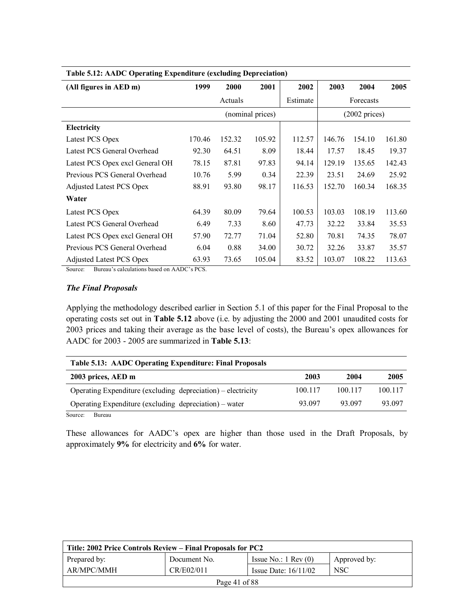| Table 5.12: AADC Operating Expenditure (excluding Depreciation) |        |         |                  |          |        |                         |        |
|-----------------------------------------------------------------|--------|---------|------------------|----------|--------|-------------------------|--------|
| (All figures in AED m)                                          | 1999   | 2000    | 2001             | 2002     | 2003   | 2004                    | 2005   |
|                                                                 |        | Actuals |                  | Estimate |        | Forecasts               |        |
|                                                                 |        |         | (nominal prices) |          |        | $(2002 \text{ prices})$ |        |
| Electricity                                                     |        |         |                  |          |        |                         |        |
| Latest PCS Opex                                                 | 170.46 | 152.32  | 105.92           | 112.57   | 146.76 | 154.10                  | 161.80 |
| Latest PCS General Overhead                                     | 92.30  | 64.51   | 8.09             | 18.44    | 17.57  | 18.45                   | 19.37  |
| Latest PCS Opex excl General OH                                 | 78.15  | 87.81   | 97.83            | 94.14    | 129.19 | 135.65                  | 142.43 |
| Previous PCS General Overhead                                   | 10.76  | 5.99    | 0.34             | 22.39    | 23.51  | 24.69                   | 25.92  |
| <b>Adjusted Latest PCS Opex</b>                                 | 88.91  | 93.80   | 98.17            | 116.53   | 152.70 | 160.34                  | 168.35 |
| Water                                                           |        |         |                  |          |        |                         |        |
| Latest PCS Opex                                                 | 64.39  | 80.09   | 79.64            | 100.53   | 103.03 | 108.19                  | 113.60 |
| Latest PCS General Overhead                                     | 6.49   | 7.33    | 8.60             | 47.73    | 32.22  | 33.84                   | 35.53  |
| Latest PCS Opex excl General OH                                 | 57.90  | 72.77   | 71.04            | 52.80    | 70.81  | 74.35                   | 78.07  |
| Previous PCS General Overhead                                   | 6.04   | 0.88    | 34.00            | 30.72    | 32.26  | 33.87                   | 35.57  |
| <b>Adjusted Latest PCS Opex</b>                                 | 63.93  | 73.65   | 105.04           | 83.52    | 103.07 | 108.22                  | 113.63 |

Source: Bureau's calculations based on AADC's PCS.

#### *The Final Proposals*

Applying the methodology described earlier in Section 5.1 of this paper for the Final Proposal to the operating costs set out in **Table 5.12** above (i.e. by adjusting the 2000 and 2001 unaudited costs for 2003 prices and taking their average as the base level of costs), the Bureau's opex allowances for AADC for 2003 - 2005 are summarized in **Table 5.13**:

| Table 5.13: AADC Operating Expenditure: Final Proposals |         |         |  |  |  |  |  |  |
|---------------------------------------------------------|---------|---------|--|--|--|--|--|--|
| 2003                                                    | 2004    | 2005    |  |  |  |  |  |  |
| 100.117                                                 | 100.117 | 100.117 |  |  |  |  |  |  |
| 93.097                                                  | 93.097  | 93.097  |  |  |  |  |  |  |
|                                                         |         |         |  |  |  |  |  |  |

Source: Bureau

These allowances for AADC's opex are higher than those used in the Draft Proposals, by approximately **9%** for electricity and **6%** for water.

| Title: 2002 Price Controls Review – Final Proposals for PC2      |              |                               |              |  |  |
|------------------------------------------------------------------|--------------|-------------------------------|--------------|--|--|
| Prepared by:                                                     | Document No. | Issue No.: $1 \text{ Rev}(0)$ | Approved by: |  |  |
| AR/MPC/MMH<br>CR/E02/011<br><b>NSC</b><br>Issue Date: $16/11/02$ |              |                               |              |  |  |
| Page 41 of 88                                                    |              |                               |              |  |  |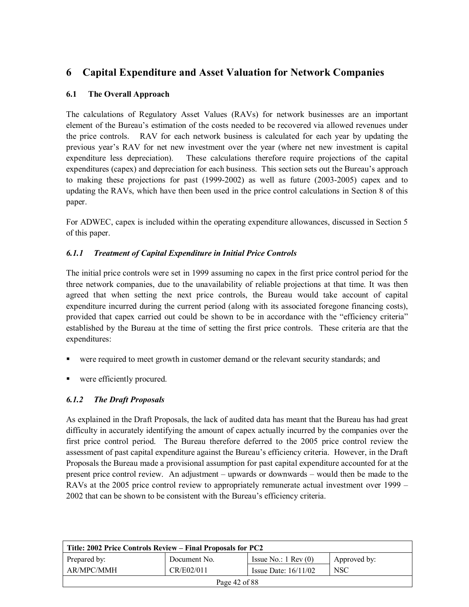# **6 Capital Expenditure and Asset Valuation for Network Companies**

# **6.1 The Overall Approach**

The calculations of Regulatory Asset Values (RAVs) for network businesses are an important element of the Bureauís estimation of the costs needed to be recovered via allowed revenues under the price controls. RAV for each network business is calculated for each year by updating the previous yearís RAV for net new investment over the year (where net new investment is capital expenditure less depreciation). These calculations therefore require projections of the capital expenditures (capex) and depreciation for each business. This section sets out the Bureau's approach to making these projections for past (1999-2002) as well as future (2003-2005) capex and to updating the RAVs, which have then been used in the price control calculations in Section 8 of this paper.

For ADWEC, capex is included within the operating expenditure allowances, discussed in Section 5 of this paper.

# *6.1.1 Treatment of Capital Expenditure in Initial Price Controls*

The initial price controls were set in 1999 assuming no capex in the first price control period for the three network companies, due to the unavailability of reliable projections at that time. It was then agreed that when setting the next price controls, the Bureau would take account of capital expenditure incurred during the current period (along with its associated foregone financing costs), provided that capex carried out could be shown to be in accordance with the "efficiency criteria" established by the Bureau at the time of setting the first price controls. These criteria are that the expenditures:

- were required to meet growth in customer demand or the relevant security standards; and
- were efficiently procured.

# *6.1.2 The Draft Proposals*

As explained in the Draft Proposals, the lack of audited data has meant that the Bureau has had great difficulty in accurately identifying the amount of capex actually incurred by the companies over the first price control period. The Bureau therefore deferred to the 2005 price control review the assessment of past capital expenditure against the Bureauís efficiency criteria. However, in the Draft Proposals the Bureau made a provisional assumption for past capital expenditure accounted for at the present price control review. An adjustment – upwards or downwards – would then be made to the RAVs at the 2005 price control review to appropriately remunerate actual investment over  $1999 -$ 2002 that can be shown to be consistent with the Bureau's efficiency criteria.

| Title: 2002 Price Controls Review – Final Proposals for PC2 |                                                    |                               |              |  |  |
|-------------------------------------------------------------|----------------------------------------------------|-------------------------------|--------------|--|--|
| Prepared by:                                                | Document No.                                       | Issue No.: $1 \text{ Rev}(0)$ | Approved by: |  |  |
| AR/MPC/MMH                                                  | <b>NSC</b><br>CR/E02/011<br>Issue Date: $16/11/02$ |                               |              |  |  |
| Page $42$ of $88$                                           |                                                    |                               |              |  |  |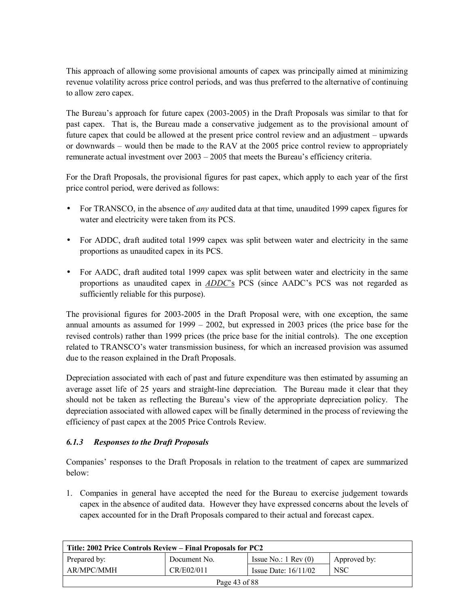This approach of allowing some provisional amounts of capex was principally aimed at minimizing revenue volatility across price control periods, and was thus preferred to the alternative of continuing to allow zero capex.

The Bureauís approach for future capex (2003-2005) in the Draft Proposals was similar to that for past capex. That is, the Bureau made a conservative judgement as to the provisional amount of future capex that could be allowed at the present price control review and an adjustment  $-$  upwards or downwards – would then be made to the RAV at the 2005 price control review to appropriately remunerate actual investment over  $2003 - 2005$  that meets the Bureau's efficiency criteria.

For the Draft Proposals, the provisional figures for past capex, which apply to each year of the first price control period, were derived as follows:

- For TRANSCO, in the absence of *any* audited data at that time, unaudited 1999 capex figures for water and electricity were taken from its PCS.
- For ADDC, draft audited total 1999 capex was split between water and electricity in the same proportions as unaudited capex in its PCS.
- For AADC, draft audited total 1999 capex was split between water and electricity in the same proportions as unaudited capex in *ADDC*'s PCS (since AADC's PCS was not regarded as sufficiently reliable for this purpose).

The provisional figures for 2003-2005 in the Draft Proposal were, with one exception, the same annual amounts as assumed for  $1999 - 2002$ , but expressed in 2003 prices (the price base for the revised controls) rather than 1999 prices (the price base for the initial controls). The one exception related to TRANSCO's water transmission business, for which an increased provision was assumed due to the reason explained in the Draft Proposals.

Depreciation associated with each of past and future expenditure was then estimated by assuming an average asset life of 25 years and straight-line depreciation. The Bureau made it clear that they should not be taken as reflecting the Bureauís view of the appropriate depreciation policy. The depreciation associated with allowed capex will be finally determined in the process of reviewing the efficiency of past capex at the 2005 Price Controls Review.

### *6.1.3 Responses to the Draft Proposals*

Companiesí responses to the Draft Proposals in relation to the treatment of capex are summarized below:

1. Companies in general have accepted the need for the Bureau to exercise judgement towards capex in the absence of audited data. However they have expressed concerns about the levels of capex accounted for in the Draft Proposals compared to their actual and forecast capex.

| Title: 2002 Price Controls Review – Final Proposals for PC2 |                                                    |                               |              |  |  |  |
|-------------------------------------------------------------|----------------------------------------------------|-------------------------------|--------------|--|--|--|
| Prepared by:                                                | Document No.                                       | Issue No.: $1 \text{ Rev}(0)$ | Approved by: |  |  |  |
| AR/MPC/MMH                                                  | CR/E02/011<br><b>NSC</b><br>Issue Date: $16/11/02$ |                               |              |  |  |  |
| Page $43$ of $88$                                           |                                                    |                               |              |  |  |  |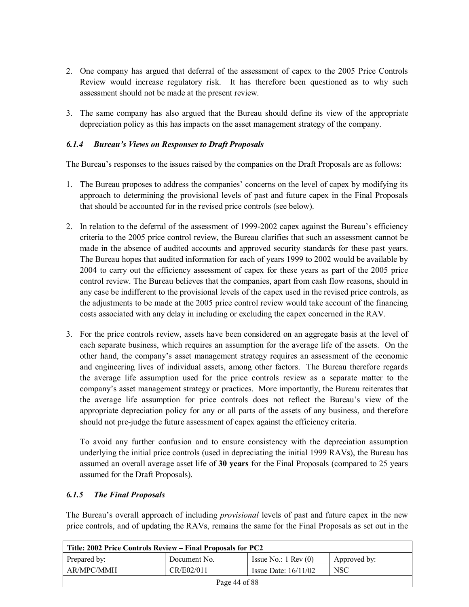- 2. One company has argued that deferral of the assessment of capex to the 2005 Price Controls Review would increase regulatory risk. It has therefore been questioned as to why such assessment should not be made at the present review.
- 3. The same company has also argued that the Bureau should define its view of the appropriate depreciation policy as this has impacts on the asset management strategy of the company.

### *6.1.4 Bureauís Views on Responses to Draft Proposals*

The Bureau's responses to the issues raised by the companies on the Draft Proposals are as follows:

- 1. The Bureau proposes to address the companies' concerns on the level of capex by modifying its approach to determining the provisional levels of past and future capex in the Final Proposals that should be accounted for in the revised price controls (see below).
- 2. In relation to the deferral of the assessment of 1999-2002 capex against the Bureau's efficiency criteria to the 2005 price control review, the Bureau clarifies that such an assessment cannot be made in the absence of audited accounts and approved security standards for these past years. The Bureau hopes that audited information for each of years 1999 to 2002 would be available by 2004 to carry out the efficiency assessment of capex for these years as part of the 2005 price control review. The Bureau believes that the companies, apart from cash flow reasons, should in any case be indifferent to the provisional levels of the capex used in the revised price controls, as the adjustments to be made at the 2005 price control review would take account of the financing costs associated with any delay in including or excluding the capex concerned in the RAV.
- 3. For the price controls review, assets have been considered on an aggregate basis at the level of each separate business, which requires an assumption for the average life of the assets. On the other hand, the companyís asset management strategy requires an assessment of the economic and engineering lives of individual assets, among other factors. The Bureau therefore regards the average life assumption used for the price controls review as a separate matter to the companyís asset management strategy or practices. More importantly, the Bureau reiterates that the average life assumption for price controls does not reflect the Bureauís view of the appropriate depreciation policy for any or all parts of the assets of any business, and therefore should not pre-judge the future assessment of capex against the efficiency criteria.

To avoid any further confusion and to ensure consistency with the depreciation assumption underlying the initial price controls (used in depreciating the initial 1999 RAVs), the Bureau has assumed an overall average asset life of **30 years** for the Final Proposals (compared to 25 years assumed for the Draft Proposals).

### *6.1.5 The Final Proposals*

The Bureauís overall approach of including *provisional* levels of past and future capex in the new price controls, and of updating the RAVs, remains the same for the Final Proposals as set out in the

| Title: 2002 Price Controls Review – Final Proposals for PC2      |              |                               |              |  |  |
|------------------------------------------------------------------|--------------|-------------------------------|--------------|--|--|
| Prepared by:                                                     | Document No. | Issue No.: $1 \text{ Rev}(0)$ | Approved by: |  |  |
| AR/MPC/MMH<br>CR/E02/011<br><b>NSC</b><br>Issue Date: $16/11/02$ |              |                               |              |  |  |
| Page 44 of 88                                                    |              |                               |              |  |  |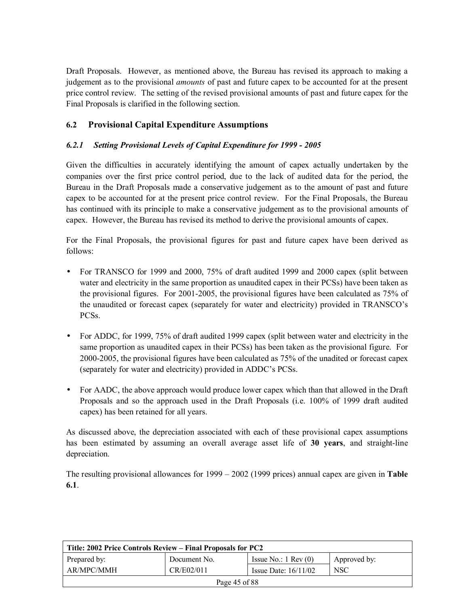Draft Proposals. However, as mentioned above, the Bureau has revised its approach to making a judgement as to the provisional *amounts* of past and future capex to be accounted for at the present price control review. The setting of the revised provisional amounts of past and future capex for the Final Proposals is clarified in the following section.

# **6.2 Provisional Capital Expenditure Assumptions**

# *6.2.1 Setting Provisional Levels of Capital Expenditure for 1999 - 2005*

Given the difficulties in accurately identifying the amount of capex actually undertaken by the companies over the first price control period, due to the lack of audited data for the period, the Bureau in the Draft Proposals made a conservative judgement as to the amount of past and future capex to be accounted for at the present price control review. For the Final Proposals, the Bureau has continued with its principle to make a conservative judgement as to the provisional amounts of capex. However, the Bureau has revised its method to derive the provisional amounts of capex.

For the Final Proposals, the provisional figures for past and future capex have been derived as follows:

- For TRANSCO for 1999 and 2000, 75% of draft audited 1999 and 2000 capex (split between water and electricity in the same proportion as unaudited capex in their PCSs) have been taken as the provisional figures. For 2001-2005, the provisional figures have been calculated as 75% of the unaudited or forecast capex (separately for water and electricity) provided in TRANSCO's PCSs.
- For ADDC, for 1999, 75% of draft audited 1999 capex (split between water and electricity in the same proportion as unaudited capex in their PCSs) has been taken as the provisional figure. For 2000-2005, the provisional figures have been calculated as 75% of the unadited or forecast capex (separately for water and electricity) provided in ADDC's PCSs.
- For AADC, the above approach would produce lower capex which than that allowed in the Draft Proposals and so the approach used in the Draft Proposals (i.e. 100% of 1999 draft audited capex) has been retained for all years.

As discussed above, the depreciation associated with each of these provisional capex assumptions has been estimated by assuming an overall average asset life of **30 years**, and straight-line depreciation.

The resulting provisional allowances for  $1999 - 2002$  (1999 prices) annual capex are given in **Table 6.1**.

| Title: 2002 Price Controls Review – Final Proposals for PC2      |              |                               |              |  |  |
|------------------------------------------------------------------|--------------|-------------------------------|--------------|--|--|
| Prepared by:                                                     | Document No. | Issue No.: $1 \text{ Rev}(0)$ | Approved by: |  |  |
| AR/MPC/MMH<br>CR/E02/011<br><b>NSC</b><br>Issue Date: $16/11/02$ |              |                               |              |  |  |
| Page 45 of 88                                                    |              |                               |              |  |  |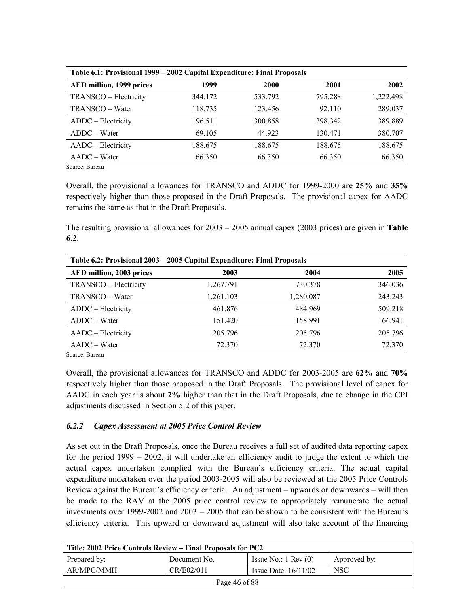| Table 6.1: Provisional 1999 – 2002 Capital Expenditure: Final Proposals |         |             |         |           |  |
|-------------------------------------------------------------------------|---------|-------------|---------|-----------|--|
| AED million, 1999 prices                                                | 1999    | <b>2000</b> | 2001    | 2002      |  |
| TRANSCO - Electricity                                                   | 344.172 | 533.792     | 795.288 | 1,222.498 |  |
| TRANSCO – Water                                                         | 118.735 | 123.456     | 92.110  | 289.037   |  |
| ADDC - Electricity                                                      | 196.511 | 300.858     | 398.342 | 389.889   |  |
| $ADDC - Water$                                                          | 69.105  | 44.923      | 130.471 | 380.707   |  |
| AADC – Electricity                                                      | 188.675 | 188.675     | 188.675 | 188.675   |  |
| $AADC-Water$                                                            | 66.350  | 66.350      | 66.350  | 66.350    |  |

Source: Bureau

Overall, the provisional allowances for TRANSCO and ADDC for 1999-2000 are **25%** and **35%** respectively higher than those proposed in the Draft Proposals. The provisional capex for AADC remains the same as that in the Draft Proposals.

The resulting provisional allowances for  $2003 - 2005$  annual capex (2003 prices) are given in **Table 6.2**.

| Table 6.2: Provisional 2003 - 2005 Capital Expenditure: Final Proposals |           |           |         |  |
|-------------------------------------------------------------------------|-----------|-----------|---------|--|
| AED million, 2003 prices                                                | 2003      | 2004      | 2005    |  |
| TRANSCO - Electricity                                                   | 1,267.791 | 730.378   | 346.036 |  |
| TRANSCO – Water                                                         | 1,261.103 | 1,280.087 | 243.243 |  |
| ADDC – Electricity                                                      | 461.876   | 484.969   | 509.218 |  |
| $ADDC - Water$                                                          | 151.420   | 158.991   | 166.941 |  |
| AADC – Electricity                                                      | 205.796   | 205.796   | 205.796 |  |
| AADC – Water<br>$\sim$ $\sim$                                           | 72.370    | 72.370    | 72.370  |  |

Source: Bureau

Overall, the provisional allowances for TRANSCO and ADDC for 2003-2005 are **62%** and **70%** respectively higher than those proposed in the Draft Proposals. The provisional level of capex for AADC in each year is about **2%** higher than that in the Draft Proposals, due to change in the CPI adjustments discussed in Section 5.2 of this paper.

### *6.2.2 Capex Assessment at 2005 Price Control Review*

As set out in the Draft Proposals, once the Bureau receives a full set of audited data reporting capex for the period  $1999 - 2002$ , it will undertake an efficiency audit to judge the extent to which the actual capex undertaken complied with the Bureau's efficiency criteria. The actual capital expenditure undertaken over the period 2003-2005 will also be reviewed at the 2005 Price Controls Review against the Bureau's efficiency criteria. An adjustment  $-$  upwards or downwards  $-$  will then be made to the RAV at the 2005 price control review to appropriately remunerate the actual investments over 1999-2002 and  $2003 - 2005$  that can be shown to be consistent with the Bureau's efficiency criteria. This upward or downward adjustment will also take account of the financing

| Title: 2002 Price Controls Review – Final Proposals for PC2      |              |                               |              |  |  |
|------------------------------------------------------------------|--------------|-------------------------------|--------------|--|--|
| Prepared by:                                                     | Document No. | Issue No.: $1 \text{ Rev}(0)$ | Approved by: |  |  |
| AR/MPC/MMH<br>CR/E02/011<br><b>NSC</b><br>Issue Date: $16/11/02$ |              |                               |              |  |  |
| Page 46 of 88                                                    |              |                               |              |  |  |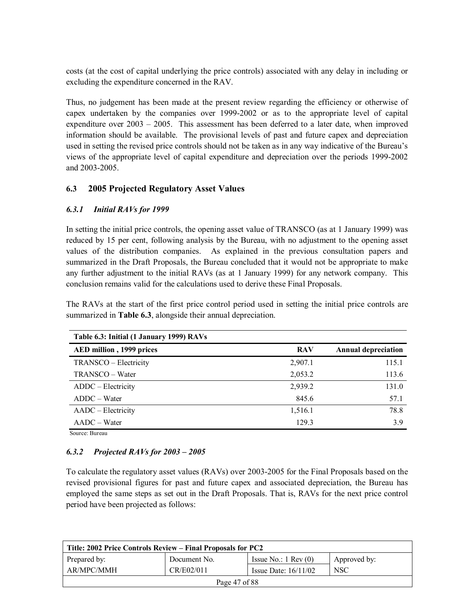costs (at the cost of capital underlying the price controls) associated with any delay in including or excluding the expenditure concerned in the RAV.

Thus, no judgement has been made at the present review regarding the efficiency or otherwise of capex undertaken by the companies over 1999-2002 or as to the appropriate level of capital expenditure over  $2003 - 2005$ . This assessment has been deferred to a later date, when improved information should be available. The provisional levels of past and future capex and depreciation used in setting the revised price controls should not be taken as in any way indicative of the Bureauís views of the appropriate level of capital expenditure and depreciation over the periods 1999-2002 and 2003-2005.

# **6.3 2005 Projected Regulatory Asset Values**

### *6.3.1 Initial RAVs for 1999*

In setting the initial price controls, the opening asset value of TRANSCO (as at 1 January 1999) was reduced by 15 per cent, following analysis by the Bureau, with no adjustment to the opening asset values of the distribution companies. As explained in the previous consultation papers and summarized in the Draft Proposals, the Bureau concluded that it would not be appropriate to make any further adjustment to the initial RAVs (as at 1 January 1999) for any network company. This conclusion remains valid for the calculations used to derive these Final Proposals.

The RAVs at the start of the first price control period used in setting the initial price controls are summarized in **Table 6.3**, alongside their annual depreciation.

| Table 6.3: Initial (1 January 1999) RAVs |            |                            |
|------------------------------------------|------------|----------------------------|
| AED million, 1999 prices                 | <b>RAV</b> | <b>Annual depreciation</b> |
| TRANSCO – Electricity                    | 2,907.1    | 115.1                      |
| TRANSCO – Water                          | 2,053.2    | 113.6                      |
| ADDC – Electricity                       | 2,939.2    | 131.0                      |
| $ADDC - Water$                           | 845.6      | 57.1                       |
| AADC – Electricity                       | 1,516.1    | 78.8                       |
| $AADC-Water$                             | 129.3      | 3.9                        |

Source: Bureau

### **6.3.2** Projected RAVs for  $2003 - 2005$

To calculate the regulatory asset values (RAVs) over 2003-2005 for the Final Proposals based on the revised provisional figures for past and future capex and associated depreciation, the Bureau has employed the same steps as set out in the Draft Proposals. That is, RAVs for the next price control period have been projected as follows:

| Title: 2002 Price Controls Review – Final Proposals for PC2 |                                                    |                               |              |  |  |  |
|-------------------------------------------------------------|----------------------------------------------------|-------------------------------|--------------|--|--|--|
| Prepared by:                                                | Document No.                                       | Issue No.: $1 \text{ Rev}(0)$ | Approved by: |  |  |  |
| AR/MPC/MMH                                                  | <b>NSC</b><br>CR/E02/011<br>Issue Date: $16/11/02$ |                               |              |  |  |  |
| Page 47 of 88                                               |                                                    |                               |              |  |  |  |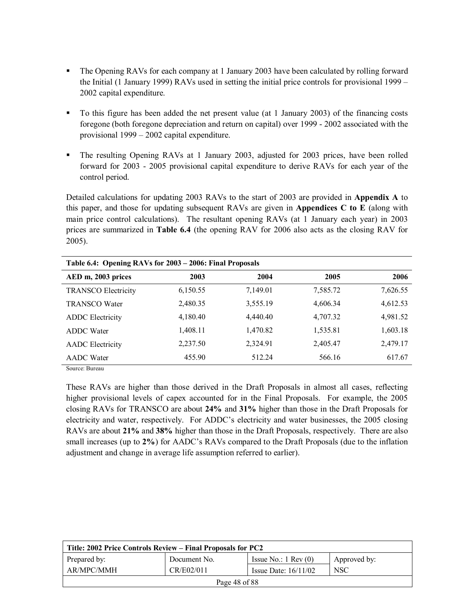- ! The Opening RAVs for each company at 1 January 2003 have been calculated by rolling forward the Initial (1 January 1999) RAVs used in setting the initial price controls for provisional  $1999 -$ 2002 capital expenditure.
- ! To this figure has been added the net present value (at 1 January 2003) of the financing costs foregone (both foregone depreciation and return on capital) over 1999 - 2002 associated with the provisional  $1999 - 2002$  capital expenditure.
- ! The resulting Opening RAVs at 1 January 2003, adjusted for 2003 prices, have been rolled forward for 2003 - 2005 provisional capital expenditure to derive RAVs for each year of the control period.

Detailed calculations for updating 2003 RAVs to the start of 2003 are provided in **Appendix A** to this paper, and those for updating subsequent RAVs are given in **Appendices C to E** (along with main price control calculations). The resultant opening RAVs (at 1 January each year) in 2003 prices are summarized in **Table 6.4** (the opening RAV for 2006 also acts as the closing RAV for 2005).

| Table 6.4: Opening RAVs for 2003 - 2006: Final Proposals |          |          |          |          |  |
|----------------------------------------------------------|----------|----------|----------|----------|--|
| AED m, 2003 prices                                       | 2003     | 2004     | 2005     | 2006     |  |
| <b>TRANSCO Electricity</b>                               | 6,150.55 | 7,149.01 | 7,585.72 | 7,626.55 |  |
| <b>TRANSCO Water</b>                                     | 2,480.35 | 3,555.19 | 4,606.34 | 4,612.53 |  |
| <b>ADDC</b> Electricity                                  | 4,180.40 | 4,440.40 | 4,707.32 | 4,981.52 |  |
| <b>ADDC</b> Water                                        | 1,408.11 | 1,470.82 | 1,535.81 | 1,603.18 |  |
| <b>AADC</b> Electricity                                  | 2,237.50 | 2,324.91 | 2,405.47 | 2,479.17 |  |
| <b>AADC</b> Water                                        | 455.90   | 512.24   | 566.16   | 617.67   |  |

Source: Bureau

These RAVs are higher than those derived in the Draft Proposals in almost all cases, reflecting higher provisional levels of capex accounted for in the Final Proposals. For example, the 2005 closing RAVs for TRANSCO are about **24%** and **31%** higher than those in the Draft Proposals for electricity and water, respectively. For ADDC's electricity and water businesses, the 2005 closing RAVs are about **21%** and **38%** higher than those in the Draft Proposals, respectively. There are also small increases (up to 2%) for AADC's RAVs compared to the Draft Proposals (due to the inflation adjustment and change in average life assumption referred to earlier).

| Title: 2002 Price Controls Review – Final Proposals for PC2 |                                             |                               |              |  |  |  |
|-------------------------------------------------------------|---------------------------------------------|-------------------------------|--------------|--|--|--|
| Prepared by:                                                | Document No.                                | Issue No.: $1 \text{ Rev}(0)$ | Approved by: |  |  |  |
| AR/MPC/MMH                                                  | CR/E02/011<br>NSC<br>Issue Date: $16/11/02$ |                               |              |  |  |  |
| Page 48 of 88                                               |                                             |                               |              |  |  |  |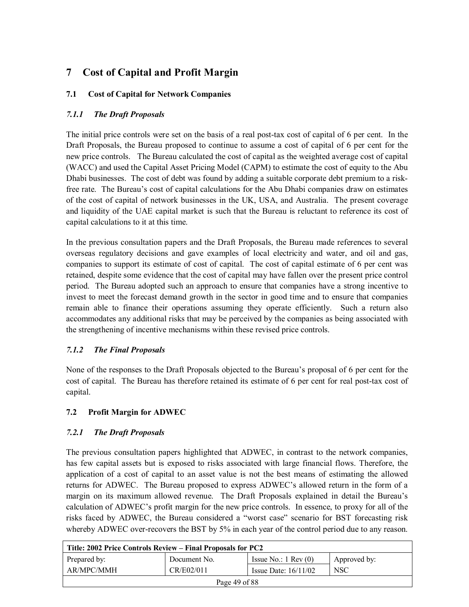# **7 Cost of Capital and Profit Margin**

# **7.1 Cost of Capital for Network Companies**

# *7.1.1 The Draft Proposals*

The initial price controls were set on the basis of a real post-tax cost of capital of 6 per cent. In the Draft Proposals, the Bureau proposed to continue to assume a cost of capital of 6 per cent for the new price controls. The Bureau calculated the cost of capital as the weighted average cost of capital (WACC) and used the Capital Asset Pricing Model (CAPM) to estimate the cost of equity to the Abu Dhabi businesses. The cost of debt was found by adding a suitable corporate debt premium to a riskfree rate. The Bureauís cost of capital calculations for the Abu Dhabi companies draw on estimates of the cost of capital of network businesses in the UK, USA, and Australia. The present coverage and liquidity of the UAE capital market is such that the Bureau is reluctant to reference its cost of capital calculations to it at this time.

In the previous consultation papers and the Draft Proposals, the Bureau made references to several overseas regulatory decisions and gave examples of local electricity and water, and oil and gas, companies to support its estimate of cost of capital. The cost of capital estimate of 6 per cent was retained, despite some evidence that the cost of capital may have fallen over the present price control period. The Bureau adopted such an approach to ensure that companies have a strong incentive to invest to meet the forecast demand growth in the sector in good time and to ensure that companies remain able to finance their operations assuming they operate efficiently. Such a return also accommodates any additional risks that may be perceived by the companies as being associated with the strengthening of incentive mechanisms within these revised price controls.

# *7.1.2 The Final Proposals*

None of the responses to the Draft Proposals objected to the Bureauís proposal of 6 per cent for the cost of capital. The Bureau has therefore retained its estimate of 6 per cent for real post-tax cost of capital.

# **7.2 Profit Margin for ADWEC**

# *7.2.1 The Draft Proposals*

The previous consultation papers highlighted that ADWEC, in contrast to the network companies, has few capital assets but is exposed to risks associated with large financial flows. Therefore, the application of a cost of capital to an asset value is not the best means of estimating the allowed returns for ADWEC. The Bureau proposed to express ADWEC's allowed return in the form of a margin on its maximum allowed revenue. The Draft Proposals explained in detail the Bureauís calculation of ADWEC's profit margin for the new price controls. In essence, to proxy for all of the risks faced by ADWEC, the Bureau considered a "worst case" scenario for BST forecasting risk whereby ADWEC over-recovers the BST by 5% in each year of the control period due to any reason.

| Title: 2002 Price Controls Review – Final Proposals for PC2 |              |                               |              |  |
|-------------------------------------------------------------|--------------|-------------------------------|--------------|--|
| Prepared by:                                                | Document No. | Issue No.: $1 \text{ Rev}(0)$ | Approved by: |  |
| AR/MPC/MMH                                                  | <b>NSC</b>   |                               |              |  |
| Page 49 of 88                                               |              |                               |              |  |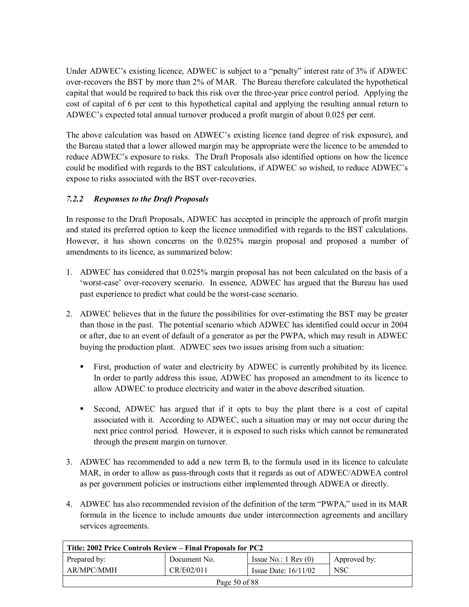Under ADWEC's existing licence, ADWEC is subject to a "penalty" interest rate of 3% if ADWEC over-recovers the BST by more than 2% of MAR. The Bureau therefore calculated the hypothetical capital that would be required to back this risk over the three-year price control period. Applying the cost of capital of 6 per cent to this hypothetical capital and applying the resulting annual return to ADWEC's expected total annual turnover produced a profit margin of about 0.025 per cent.

The above calculation was based on ADWEC's existing licence (and degree of risk exposure), and the Bureau stated that a lower allowed margin may be appropriate were the licence to be amended to reduce ADWEC's exposure to risks. The Draft Proposals also identified options on how the licence could be modified with regards to the BST calculations, if ADWEC so wished, to reduce ADWEC's expose to risks associated with the BST over-recoveries.

# *7.2.2 Responses to the Draft Proposals*

In response to the Draft Proposals, ADWEC has accepted in principle the approach of profit margin and stated its preferred option to keep the licence unmodified with regards to the BST calculations. However, it has shown concerns on the 0.025% margin proposal and proposed a number of amendments to its licence, as summarized below:

- 1. ADWEC has considered that 0.025% margin proposal has not been calculated on the basis of a ëworst-caseí over-recovery scenario. In essence, ADWEC has argued that the Bureau has used past experience to predict what could be the worst-case scenario.
- 2. ADWEC believes that in the future the possibilities for over-estimating the BST may be greater than those in the past. The potential scenario which ADWEC has identified could occur in 2004 or after, due to an event of default of a generator as per the PWPA, which may result in ADWEC buying the production plant. ADWEC sees two issues arising from such a situation:
	- ! First, production of water and electricity by ADWEC is currently prohibited by its licence. In order to partly address this issue, ADWEC has proposed an amendment to its licence to allow ADWEC to produce electricity and water in the above described situation.
	- Second, ADWEC has argued that if it opts to buy the plant there is a cost of capital associated with it. According to ADWEC, such a situation may or may not occur during the next price control period. However, it is exposed to such risks which cannot be remunerated through the present margin on turnover.
- 3. ADWEC has recommended to add a new term  $B<sub>t</sub>$  to the formula used in its licence to calculate MAR, in order to allow as pass-through costs that it regards as out of ADWEC/ADWEA control as per government policies or instructions either implemented through ADWEA or directly.
- 4. ADWEC has also recommended revision of the definition of the term "PWPA $<sub>i</sub>$ " used in its MAR</sub> formula in the licence to include amounts due under interconnection agreements and ancillary services agreements.

| Title: 2002 Price Controls Review – Final Proposals for PC2 |              |                               |              |
|-------------------------------------------------------------|--------------|-------------------------------|--------------|
| Prepared by:                                                | Document No. | Issue No.: $1 \text{ Rev}(0)$ | Approved by: |
| AR/MPC/MMH                                                  | CR/E02/011   | Issue Date: $16/11/02$        | <b>NSC</b>   |
| Page 50 of 88                                               |              |                               |              |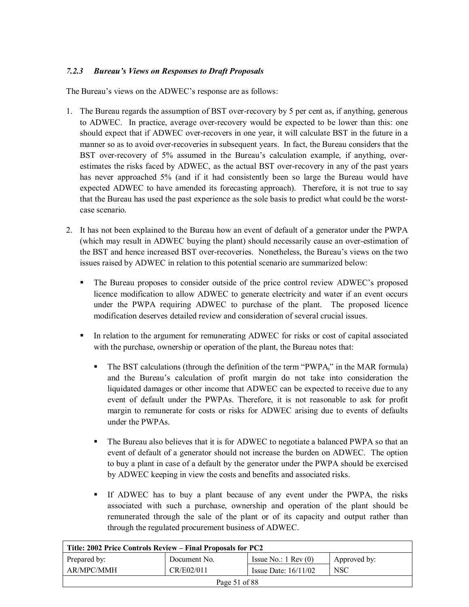# *7.2.3 Bureauís Views on Responses to Draft Proposals*

The Bureau's views on the ADWEC's response are as follows:

- 1. The Bureau regards the assumption of BST over-recovery by 5 per cent as, if anything, generous to ADWEC. In practice, average over-recovery would be expected to be lower than this: one should expect that if ADWEC over-recovers in one year, it will calculate BST in the future in a manner so as to avoid over-recoveries in subsequent years. In fact, the Bureau considers that the BST over-recovery of 5% assumed in the Bureau's calculation example, if anything, overestimates the risks faced by ADWEC, as the actual BST over-recovery in any of the past years has never approached 5% (and if it had consistently been so large the Bureau would have expected ADWEC to have amended its forecasting approach). Therefore, it is not true to say that the Bureau has used the past experience as the sole basis to predict what could be the worstcase scenario.
- 2. It has not been explained to the Bureau how an event of default of a generator under the PWPA (which may result in ADWEC buying the plant) should necessarily cause an over-estimation of the BST and hence increased BST over-recoveries. Nonetheless, the Bureau's views on the two issues raised by ADWEC in relation to this potential scenario are summarized below:
	- The Bureau proposes to consider outside of the price control review ADWEC's proposed licence modification to allow ADWEC to generate electricity and water if an event occurs under the PWPA requiring ADWEC to purchase of the plant. The proposed licence modification deserves detailed review and consideration of several crucial issues.
	- ! In relation to the argument for remunerating ADWEC for risks or cost of capital associated with the purchase, ownership or operation of the plant, the Bureau notes that:
		- The BST calculations (through the definition of the term "PWPA<sub>t</sub>" in the MAR formula) and the Bureauís calculation of profit margin do not take into consideration the liquidated damages or other income that ADWEC can be expected to receive due to any event of default under the PWPAs. Therefore, it is not reasonable to ask for profit margin to remunerate for costs or risks for ADWEC arising due to events of defaults under the PWPAs.
		- ! The Bureau also believes that it is for ADWEC to negotiate a balanced PWPA so that an event of default of a generator should not increase the burden on ADWEC. The option to buy a plant in case of a default by the generator under the PWPA should be exercised by ADWEC keeping in view the costs and benefits and associated risks.
		- ! If ADWEC has to buy a plant because of any event under the PWPA, the risks associated with such a purchase, ownership and operation of the plant should be remunerated through the sale of the plant or of its capacity and output rather than through the regulated procurement business of ADWEC.

| Title: 2002 Price Controls Review – Final Proposals for PC2 |              |                               |              |
|-------------------------------------------------------------|--------------|-------------------------------|--------------|
| Prepared by:                                                | Document No. | Issue No.: $1 \text{ Rev}(0)$ | Approved by: |
| AR/MPC/MMH                                                  | CR/E02/011   | Issue Date: $16/11/02$        | NSC          |
| Page 51 of $88$                                             |              |                               |              |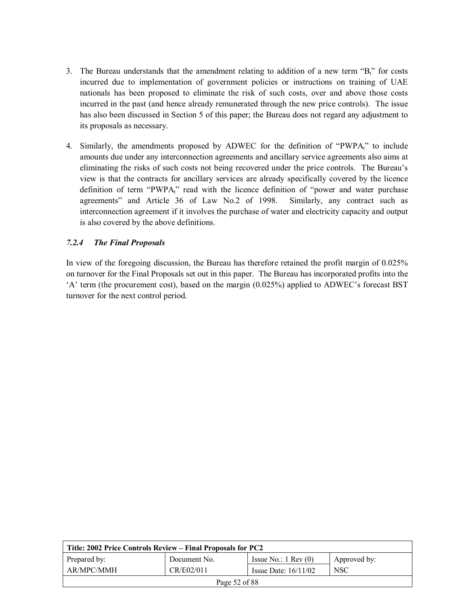- 3. The Bureau understands that the amendment relating to addition of a new term  $B_t^*$  for costs incurred due to implementation of government policies or instructions on training of UAE nationals has been proposed to eliminate the risk of such costs, over and above those costs incurred in the past (and hence already remunerated through the new price controls). The issue has also been discussed in Section 5 of this paper; the Bureau does not regard any adjustment to its proposals as necessary.
- 4. Similarly, the amendments proposed by ADWEC for the definition of "PWPA<sub>t</sub>" to include amounts due under any interconnection agreements and ancillary service agreements also aims at eliminating the risks of such costs not being recovered under the price controls. The Bureau's view is that the contracts for ancillary services are already specifically covered by the licence definition of term "PWPA<sub>t</sub>" read with the licence definition of "power and water purchase agreementsî and Article 36 of Law No.2 of 1998. Similarly, any contract such as interconnection agreement if it involves the purchase of water and electricity capacity and output is also covered by the above definitions.

# *7.2.4 The Final Proposals*

In view of the foregoing discussion, the Bureau has therefore retained the profit margin of 0.025% on turnover for the Final Proposals set out in this paper. The Bureau has incorporated profits into the  $A'$  term (the procurement cost), based on the margin (0.025%) applied to ADWEC's forecast BST turnover for the next control period.

| Title: 2002 Price Controls Review – Final Proposals for PC2      |              |                               |              |  |
|------------------------------------------------------------------|--------------|-------------------------------|--------------|--|
| Prepared by:                                                     | Document No. | Issue No.: $1 \text{ Rev}(0)$ | Approved by: |  |
| AR/MPC/MMH<br>CR/E02/011<br><b>NSC</b><br>Issue Date: $16/11/02$ |              |                               |              |  |
| Page 52 of 88                                                    |              |                               |              |  |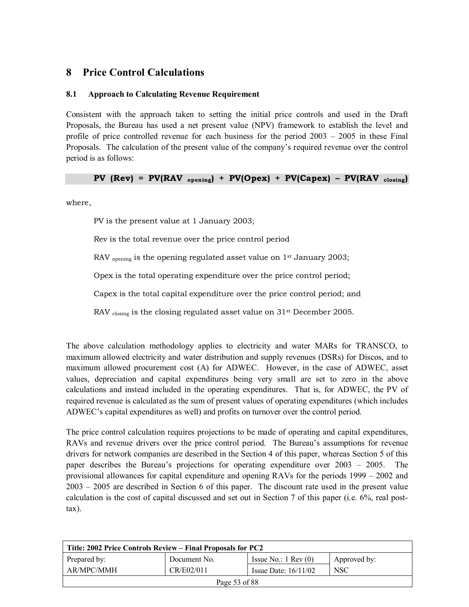# **8 Price Control Calculations**

### **8.1 Approach to Calculating Revenue Requirement**

Consistent with the approach taken to setting the initial price controls and used in the Draft Proposals, the Bureau has used a net present value (NPV) framework to establish the level and profile of price controlled revenue for each business for the period  $2003 - 2005$  in these Final Proposals. The calculation of the present value of the company's required revenue over the control period is as follows:

**PV** ( $Rev$ ) =  $PV(RAV_{opening}) + PV(Opex) + PV(Capex) - PV(RAV_{ closing})$ 

where,

PV is the present value at 1 January 2003;

Rev is the total revenue over the price control period

RAV <sub>opening</sub> is the opening regulated asset value on 1<sup>st</sup> January 2003;

Opex is the total operating expenditure over the price control period;

Capex is the total capital expenditure over the price control period; and

RAV closing is the closing regulated asset value on 31<sup>st</sup> December 2005.

The above calculation methodology applies to electricity and water MARs for TRANSCO, to maximum allowed electricity and water distribution and supply revenues (DSRs) for Discos, and to maximum allowed procurement cost (A) for ADWEC. However, in the case of ADWEC, asset values, depreciation and capital expenditures being very small are set to zero in the above calculations and instead included in the operating expenditures. That is, for ADWEC, the PV of required revenue is calculated as the sum of present values of operating expenditures (which includes ADWEC's capital expenditures as well) and profits on turnover over the control period.

The price control calculation requires projections to be made of operating and capital expenditures, RAVs and revenue drivers over the price control period. The Bureau's assumptions for revenue drivers for network companies are described in the Section 4 of this paper, whereas Section 5 of this paper describes the Bureau's projections for operating expenditure over  $2003 - 2005$ . The provisional allowances for capital expenditure and opening RAVs for the periods  $1999 - 2002$  and  $2003 - 2005$  are described in Section 6 of this paper. The discount rate used in the present value calculation is the cost of capital discussed and set out in Section 7 of this paper (i.e. 6%, real posttax).

| Title: 2002 Price Controls Review – Final Proposals for PC2 |              |                               |              |  |
|-------------------------------------------------------------|--------------|-------------------------------|--------------|--|
| Prepared by:                                                | Document No. | Issue No.: $1 \text{ Rev}(0)$ | Approved by: |  |
| AR/MPC/MMH                                                  | CR/E02/011   | Issue Date: $16/11/02$        | <b>NSC</b>   |  |
| Page 53 of 88                                               |              |                               |              |  |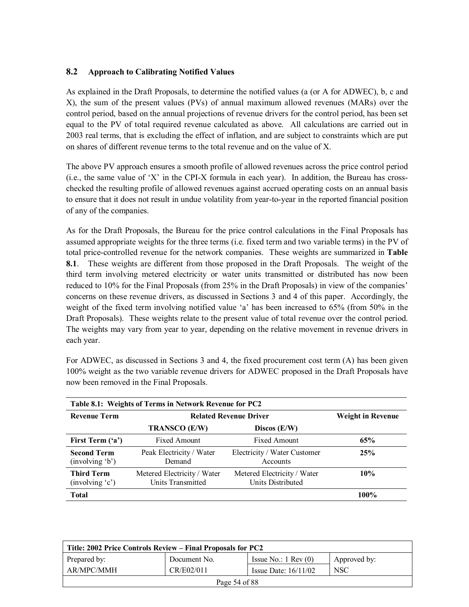# **8.2 Approach to Calibrating Notified Values**

As explained in the Draft Proposals, to determine the notified values (a (or A for ADWEC), b, c and X), the sum of the present values (PVs) of annual maximum allowed revenues (MARs) over the control period, based on the annual projections of revenue drivers for the control period, has been set equal to the PV of total required revenue calculated as above. All calculations are carried out in 2003 real terms, that is excluding the effect of inflation, and are subject to constraints which are put on shares of different revenue terms to the total revenue and on the value of X.

The above PV approach ensures a smooth profile of allowed revenues across the price control period  $(i.e., the same value of 'X' in the CPI-X formula in each year).$  In addition, the Bureau has crosschecked the resulting profile of allowed revenues against accrued operating costs on an annual basis to ensure that it does not result in undue volatility from year-to-year in the reported financial position of any of the companies.

As for the Draft Proposals, the Bureau for the price control calculations in the Final Proposals has assumed appropriate weights for the three terms (i.e. fixed term and two variable terms) in the PV of total price-controlled revenue for the network companies. These weights are summarized in **Table 8.1**. These weights are different from those proposed in the Draft Proposals. The weight of the third term involving metered electricity or water units transmitted or distributed has now been reduced to 10% for the Final Proposals (from 25% in the Draft Proposals) in view of the companies' concerns on these revenue drivers, as discussed in Sections 3 and 4 of this paper. Accordingly, the weight of the fixed term involving notified value 'a' has been increased to 65% (from 50% in the Draft Proposals). These weights relate to the present value of total revenue over the control period. The weights may vary from year to year, depending on the relative movement in revenue drivers in each year.

| Table 8.1: Weights of Terms in Network Revenue for PC2 |                                                  |                                                  |                          |  |
|--------------------------------------------------------|--------------------------------------------------|--------------------------------------------------|--------------------------|--|
| <b>Revenue Term</b>                                    |                                                  | <b>Related Revenue Driver</b>                    | <b>Weight in Revenue</b> |  |
|                                                        | <b>TRANSCO (E/W)</b>                             | Discos $(E/W)$                                   |                          |  |
| First Term ('a')                                       | <b>Fixed Amount</b>                              | <b>Fixed Amount</b>                              | 65%                      |  |
| <b>Second Term</b><br>(involving 'b')                  | Peak Electricity / Water<br>Demand               | Electricity / Water Customer<br>Accounts         | 25%                      |  |
| <b>Third Term</b><br>(involving 'c')                   | Metered Electricity / Water<br>Units Transmitted | Metered Electricity / Water<br>Units Distributed | 10%                      |  |
| <b>Total</b>                                           |                                                  |                                                  | 100%                     |  |

For ADWEC, as discussed in Sections 3 and 4, the fixed procurement cost term (A) has been given 100% weight as the two variable revenue drivers for ADWEC proposed in the Draft Proposals have now been removed in the Final Proposals.

| Title: 2002 Price Controls Review – Final Proposals for PC2      |              |                               |              |  |  |
|------------------------------------------------------------------|--------------|-------------------------------|--------------|--|--|
| Prepared by:                                                     | Document No. | Issue No.: $1 \text{ Rev}(0)$ | Approved by: |  |  |
| CR/E02/011<br>AR/MPC/MMH<br><b>NSC</b><br>Issue Date: $16/11/02$ |              |                               |              |  |  |
| Page 54 of 88                                                    |              |                               |              |  |  |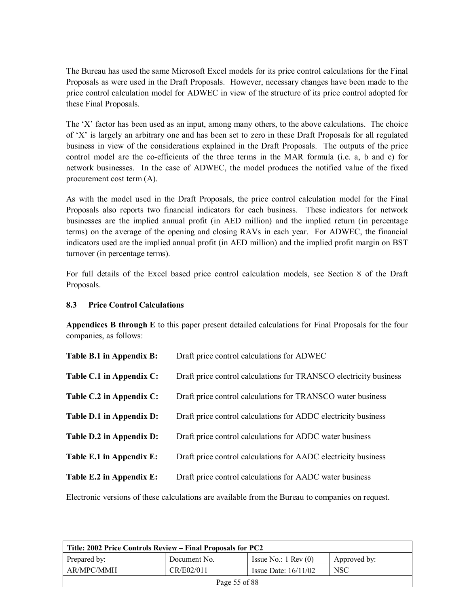The Bureau has used the same Microsoft Excel models for its price control calculations for the Final Proposals as were used in the Draft Proposals. However, necessary changes have been made to the price control calculation model for ADWEC in view of the structure of its price control adopted for these Final Proposals.

The 'X' factor has been used as an input, among many others, to the above calculations. The choice of ëXí is largely an arbitrary one and has been set to zero in these Draft Proposals for all regulated business in view of the considerations explained in the Draft Proposals. The outputs of the price control model are the co-efficients of the three terms in the MAR formula (i.e. a, b and c) for network businesses. In the case of ADWEC, the model produces the notified value of the fixed procurement cost term (A).

As with the model used in the Draft Proposals, the price control calculation model for the Final Proposals also reports two financial indicators for each business. These indicators for network businesses are the implied annual profit (in AED million) and the implied return (in percentage terms) on the average of the opening and closing RAVs in each year. For ADWEC, the financial indicators used are the implied annual profit (in AED million) and the implied profit margin on BST turnover (in percentage terms).

For full details of the Excel based price control calculation models, see Section 8 of the Draft Proposals.

#### **8.3 Price Control Calculations**

**Appendices B through E** to this paper present detailed calculations for Final Proposals for the four companies, as follows:

| Table B.1 in Appendix B: | Draft price control calculations for ADWEC                        |
|--------------------------|-------------------------------------------------------------------|
| Table C.1 in Appendix C: | Draft price control calculations for TRANSCO electricity business |
| Table C.2 in Appendix C: | Draft price control calculations for TRANSCO water business       |
| Table D.1 in Appendix D: | Draft price control calculations for ADDC electricity business    |
| Table D.2 in Appendix D: | Draft price control calculations for ADDC water business          |
| Table E.1 in Appendix E: | Draft price control calculations for AADC electricity business    |
| Table E.2 in Appendix E: | Draft price control calculations for AADC water business          |
|                          |                                                                   |

Electronic versions of these calculations are available from the Bureau to companies on request.

| Title: 2002 Price Controls Review – Final Proposals for PC2      |              |                               |              |  |
|------------------------------------------------------------------|--------------|-------------------------------|--------------|--|
| Prepared by:                                                     | Document No. | Issue No.: $1 \text{ Rev}(0)$ | Approved by: |  |
| AR/MPC/MMH<br><b>NSC</b><br>CR/E02/011<br>Issue Date: $16/11/02$ |              |                               |              |  |
| Page 55 of 88                                                    |              |                               |              |  |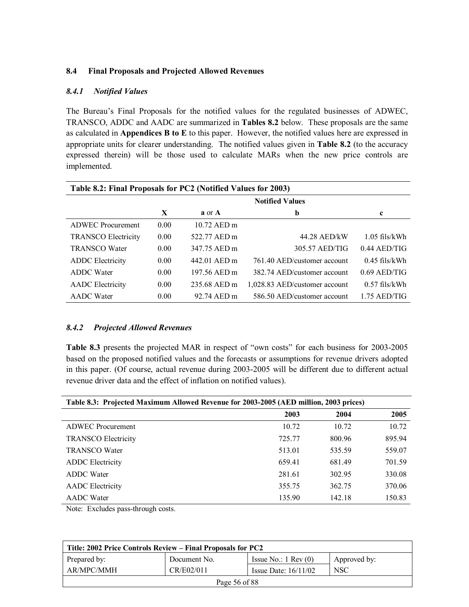#### **8.4 Final Proposals and Projected Allowed Revenues**

#### *8.4.1 Notified Values*

The Bureauís Final Proposals for the notified values for the regulated businesses of ADWEC, TRANSCO, ADDC and AADC are summarized in **Tables 8.2** below. These proposals are the same as calculated in **Appendices B to E** to this paper. However, the notified values here are expressed in appropriate units for clearer understanding. The notified values given in **Table 8.2** (to the accuracy expressed therein) will be those used to calculate MARs when the new price controls are implemented.

| Table 8.2: Final Proposals for PC2 (Notified Values for 2003) |                        |              |                               |                 |
|---------------------------------------------------------------|------------------------|--------------|-------------------------------|-----------------|
|                                                               | <b>Notified Values</b> |              |                               |                 |
|                                                               | X                      | a or A       | b                             | $\mathbf c$     |
| <b>ADWEC</b> Procurement                                      | 0.00                   | 10.72 AED m  |                               |                 |
| <b>TRANSCO Electricity</b>                                    | 0.00                   | 522.77 AED m | 44.28 AED/kW                  | $1.05$ fils/kWh |
| <b>TRANSCO Water</b>                                          | 0.00                   | 347 75 AED m | 305.57 AED/TIG                | $0.44$ AED/TIG  |
| <b>ADDC</b> Electricity                                       | 0.00                   | 442.01 AED m | 761.40 AED/customer account   | $0.45$ fils/kWh |
| <b>ADDC</b> Water                                             | 0.00                   | 197.56 AED m | 382.74 AED/customer account   | $0.69$ AED/TIG  |
| <b>AADC</b> Electricity                                       | 0.00                   | 235.68 AED m | 1,028.83 AED/customer account | $0.57$ fils/kWh |
| <b>AADC</b> Water                                             | 0.00                   | 92.74 AED m  | 586.50 AED/customer account   | 1.75 AED/TIG    |

#### *8.4.2 Projected Allowed Revenues*

Table 8.3 presents the projected MAR in respect of "own costs" for each business for 2003-2005 based on the proposed notified values and the forecasts or assumptions for revenue drivers adopted in this paper. (Of course, actual revenue during 2003-2005 will be different due to different actual revenue driver data and the effect of inflation on notified values).

| Table 8.3: Projected Maximum Allowed Revenue for 2003-2005 (AED million, 2003 prices) |        |        |        |  |
|---------------------------------------------------------------------------------------|--------|--------|--------|--|
|                                                                                       | 2003   | 2004   | 2005   |  |
| ADWEC Procurement                                                                     | 10.72  | 10.72  | 10.72  |  |
| <b>TRANSCO Electricity</b>                                                            | 725.77 | 800.96 | 895.94 |  |
| <b>TRANSCO Water</b>                                                                  | 513.01 | 535.59 | 559.07 |  |
| <b>ADDC</b> Electricity                                                               | 659.41 | 681.49 | 701.59 |  |
| <b>ADDC</b> Water                                                                     | 281.61 | 302.95 | 330.08 |  |
| <b>AADC</b> Electricity                                                               | 355.75 | 362.75 | 370.06 |  |
| <b>AADC</b> Water                                                                     | 135.90 | 142.18 | 150.83 |  |

Note: Excludes pass-through costs.

| Title: 2002 Price Controls Review – Final Proposals for PC2      |              |                               |              |  |  |
|------------------------------------------------------------------|--------------|-------------------------------|--------------|--|--|
| Prepared by:                                                     | Document No. | Issue No.: $1 \text{ Rev}(0)$ | Approved by: |  |  |
| AR/MPC/MMH<br>CR/E02/011<br><b>NSC</b><br>Issue Date: $16/11/02$ |              |                               |              |  |  |
| Page 56 of 88                                                    |              |                               |              |  |  |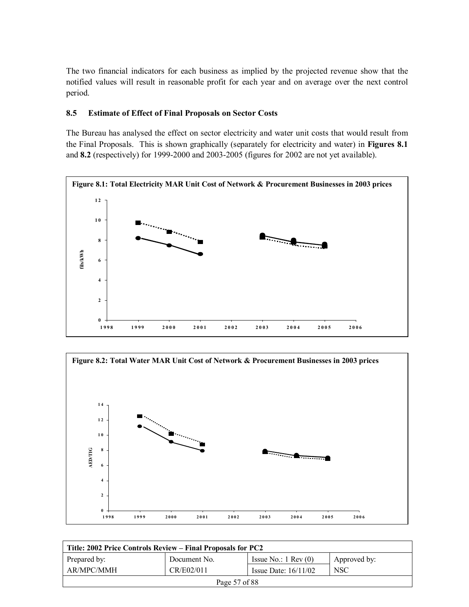The two financial indicators for each business as implied by the projected revenue show that the notified values will result in reasonable profit for each year and on average over the next control period.

#### **8.5 Estimate of Effect of Final Proposals on Sector Costs**

The Bureau has analysed the effect on sector electricity and water unit costs that would result from the Final Proposals. This is shown graphically (separately for electricity and water) in **Figures 8.1** and **8.2** (respectively) for 1999-2000 and 2003-2005 (figures for 2002 are not yet available).





| Title: 2002 Price Controls Review – Final Proposals for PC2 |              |                               |              |  |
|-------------------------------------------------------------|--------------|-------------------------------|--------------|--|
| Prepared by:                                                | Document No. | Issue No.: $1 \text{ Rev}(0)$ | Approved by: |  |
| AR/MPC/MMH                                                  | CR/E02/011   | Issue Date: $16/11/02$        | <b>NSC</b>   |  |
| Page 57 of 88                                               |              |                               |              |  |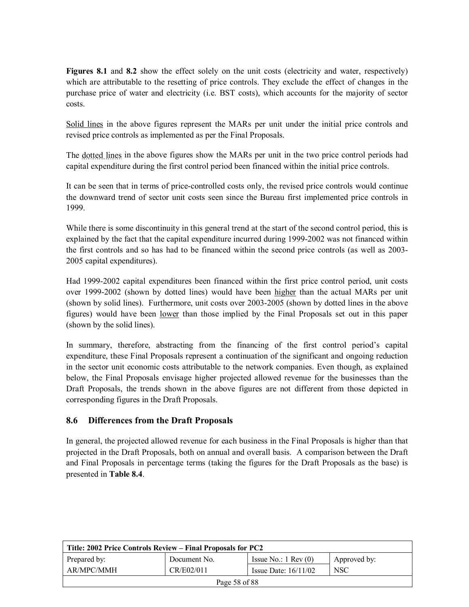**Figures 8.1** and 8.2 show the effect solely on the unit costs (electricity and water, respectively) which are attributable to the resetting of price controls. They exclude the effect of changes in the purchase price of water and electricity (i.e. BST costs), which accounts for the majority of sector costs.

Solid lines in the above figures represent the MARs per unit under the initial price controls and revised price controls as implemented as per the Final Proposals.

The dotted lines in the above figures show the MARs per unit in the two price control periods had capital expenditure during the first control period been financed within the initial price controls.

It can be seen that in terms of price-controlled costs only, the revised price controls would continue the downward trend of sector unit costs seen since the Bureau first implemented price controls in 1999.

While there is some discontinuity in this general trend at the start of the second control period, this is explained by the fact that the capital expenditure incurred during 1999-2002 was not financed within the first controls and so has had to be financed within the second price controls (as well as 2003- 2005 capital expenditures).

Had 1999-2002 capital expenditures been financed within the first price control period, unit costs over 1999-2002 (shown by dotted lines) would have been higher than the actual MARs per unit (shown by solid lines). Furthermore, unit costs over 2003-2005 (shown by dotted lines in the above figures) would have been lower than those implied by the Final Proposals set out in this paper (shown by the solid lines).

In summary, therefore, abstracting from the financing of the first control period's capital expenditure, these Final Proposals represent a continuation of the significant and ongoing reduction in the sector unit economic costs attributable to the network companies. Even though, as explained below, the Final Proposals envisage higher projected allowed revenue for the businesses than the Draft Proposals, the trends shown in the above figures are not different from those depicted in corresponding figures in the Draft Proposals.

### **8.6 Differences from the Draft Proposals**

In general, the projected allowed revenue for each business in the Final Proposals is higher than that projected in the Draft Proposals, both on annual and overall basis. A comparison between the Draft and Final Proposals in percentage terms (taking the figures for the Draft Proposals as the base) is presented in **Table 8.4**.

| Title: 2002 Price Controls Review – Final Proposals for PC2 |              |                               |              |  |
|-------------------------------------------------------------|--------------|-------------------------------|--------------|--|
| Prepared by:                                                | Document No. | Issue No.: $1 \text{ Rev}(0)$ | Approved by: |  |
| AR/MPC/MMH                                                  | CR/E02/011   | Issue Date: $16/11/02$        | <b>NSC</b>   |  |
| Page 58 of 88                                               |              |                               |              |  |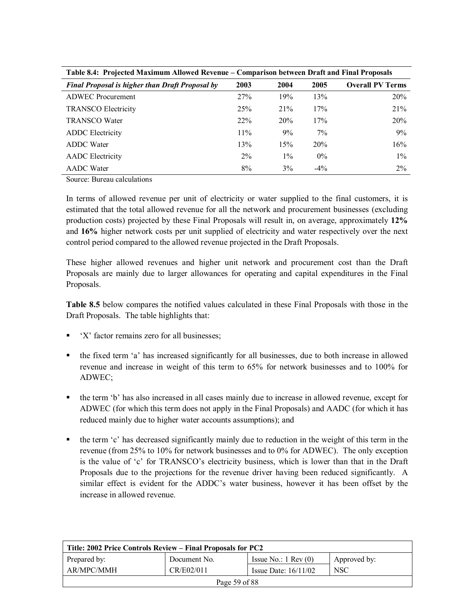| Table 8.4: Projected Maximum Allowed Revenue – Comparison between Draft and Final Proposals |       |       |        |                         |  |
|---------------------------------------------------------------------------------------------|-------|-------|--------|-------------------------|--|
| <b>Final Proposal is higher than Draft Proposal by</b>                                      | 2003  | 2004  | 2005   | <b>Overall PV Terms</b> |  |
| <b>ADWEC</b> Procurement                                                                    | 27%   | 19%   | 13%    | 20%                     |  |
| <b>TRANSCO Electricity</b>                                                                  | 25%   | 21%   | 17%    | 21%                     |  |
| <b>TRANSCO Water</b>                                                                        | 22%   | 20%   | 17%    | 20%                     |  |
| <b>ADDC</b> Electricity                                                                     | 11%   | 9%    | 7%     | 9%                      |  |
| <b>ADDC</b> Water                                                                           | 13%   | 15%   | 20%    | 16%                     |  |
| <b>AADC</b> Electricity                                                                     | $2\%$ | $1\%$ | $0\%$  | $1\%$                   |  |
| <b>AADC</b> Water                                                                           | 8%    | 3%    | $-4\%$ | $2\%$                   |  |

Table 8.4: Projected Maximum Allowed Revenue – Comparison between Draft and Final Proposals

Source: Bureau calculations

In terms of allowed revenue per unit of electricity or water supplied to the final customers, it is estimated that the total allowed revenue for all the network and procurement businesses (excluding production costs) projected by these Final Proposals will result in, on average, approximately **12%** and **16%** higher network costs per unit supplied of electricity and water respectively over the next control period compared to the allowed revenue projected in the Draft Proposals.

These higher allowed revenues and higher unit network and procurement cost than the Draft Proposals are mainly due to larger allowances for operating and capital expenditures in the Final Proposals.

**Table 8.5** below compares the notified values calculated in these Final Proposals with those in the Draft Proposals. The table highlights that:

- $\blacksquare$  'X' factor remains zero for all businesses;
- ! the fixed term ëaí has increased significantly for all businesses, due to both increase in allowed revenue and increase in weight of this term to 65% for network businesses and to 100% for ADWEC;
- the term 'b' has also increased in all cases mainly due to increase in allowed revenue, except for ADWEC (for which this term does not apply in the Final Proposals) and AADC (for which it has reduced mainly due to higher water accounts assumptions); and
- ! the term ëcí has decreased significantly mainly due to reduction in the weight of this term in the revenue (from 25% to 10% for network businesses and to 0% for ADWEC). The only exception is the value of 'c' for TRANSCO's electricity business, which is lower than that in the Draft Proposals due to the projections for the revenue driver having been reduced significantly. A similar effect is evident for the ADDC's water business, however it has been offset by the increase in allowed revenue.

| Title: 2002 Price Controls Review – Final Proposals for PC2 |              |                               |              |  |
|-------------------------------------------------------------|--------------|-------------------------------|--------------|--|
| Prepared by:                                                | Document No. | Issue No.: $1 \text{ Rev}(0)$ | Approved by: |  |
| AR/MPC/MMH                                                  | CR/E02/011   | Issue Date: $16/11/02$        | <b>NSC</b>   |  |
| Page 59 of 88                                               |              |                               |              |  |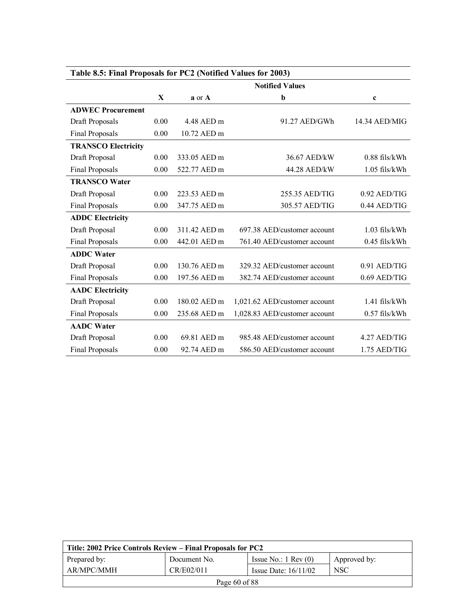| Table 8.5: Final Proposals for PC2 (Notified Values for 2003) |                        |              |                               |                 |
|---------------------------------------------------------------|------------------------|--------------|-------------------------------|-----------------|
|                                                               | <b>Notified Values</b> |              |                               |                 |
|                                                               | X                      | $a$ or $A$   | b                             | c               |
| <b>ADWEC Procurement</b>                                      |                        |              |                               |                 |
| Draft Proposals                                               | 0.00                   | 4.48 AED m   | 91.27 AED/GWh                 | 14.34 AED/MIG   |
| Final Proposals                                               | 0.00                   | 10.72 AED m  |                               |                 |
| <b>TRANSCO Electricity</b>                                    |                        |              |                               |                 |
| Draft Proposal                                                | 0.00                   | 333.05 AED m | 36.67 AED/kW                  | $0.88$ fils/kWh |
| Final Proposals                                               | 0.00                   | 522.77 AED m | 44.28 AED/kW                  | $1.05$ fils/kWh |
| <b>TRANSCO Water</b>                                          |                        |              |                               |                 |
| Draft Proposal                                                | 0.00                   | 223.53 AED m | 255.35 AED/TIG                | $0.92$ AED/TIG  |
| Final Proposals                                               | 0.00                   | 347.75 AED m | 305.57 AED/TIG                | 0.44 AED/TIG    |
| <b>ADDC Electricity</b>                                       |                        |              |                               |                 |
| Draft Proposal                                                | 0.00                   | 311.42 AED m | 697.38 AED/customer account   | $1.03$ fils/kWh |
| <b>Final Proposals</b>                                        | 0.00                   | 442.01 AED m | 761.40 AED/customer account   | $0.45$ fils/kWh |
| <b>ADDC</b> Water                                             |                        |              |                               |                 |
| Draft Proposal                                                | 0.00                   | 130.76 AED m | 329.32 AED/customer account   | 0.91 AED/TIG    |
| Final Proposals                                               | 0.00                   | 197.56 AED m | 382.74 AED/customer account   | 0.69 AED/TIG    |
| <b>AADC</b> Electricity                                       |                        |              |                               |                 |
| Draft Proposal                                                | 0.00                   | 180.02 AED m | 1,021.62 AED/customer account | $1.41$ fils/kWh |
| Final Proposals                                               | 0.00                   | 235.68 AED m | 1,028.83 AED/customer account | $0.57$ fils/kWh |
| <b>AADC</b> Water                                             |                        |              |                               |                 |
| Draft Proposal                                                | 0.00                   | 69.81 AED m  | 985.48 AED/customer account   | 4.27 AED/TIG    |
| <b>Final Proposals</b>                                        | 0.00                   | 92.74 AED m  | 586.50 AED/customer account   | 1.75 AED/TIG    |

| Title: 2002 Price Controls Review – Final Proposals for PC2 |              |                               |                  |  |
|-------------------------------------------------------------|--------------|-------------------------------|------------------|--|
| Prepared by:                                                | Document No. | Issue No.: $1 \text{ Rev}(0)$ | Approved by:     |  |
| AR/MPC/MMH                                                  | CR/E02/011   | Issue Date: $16/11/02$        | NSC <sup>.</sup> |  |
| Page $60$ of 88                                             |              |                               |                  |  |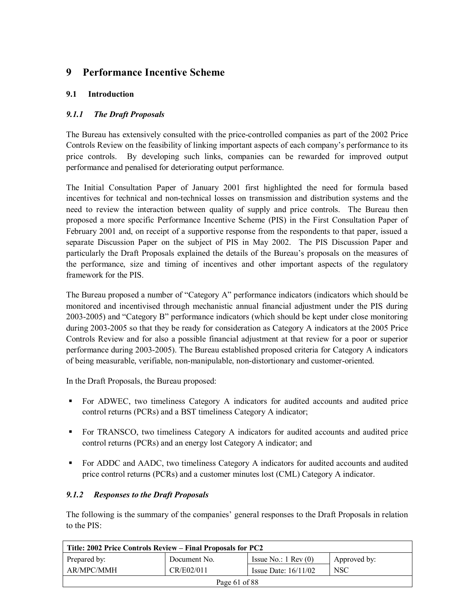# **9 Performance Incentive Scheme**

# **9.1 Introduction**

# *9.1.1 The Draft Proposals*

The Bureau has extensively consulted with the price-controlled companies as part of the 2002 Price Controls Review on the feasibility of linking important aspects of each company's performance to its price controls. By developing such links, companies can be rewarded for improved output performance and penalised for deteriorating output performance.

The Initial Consultation Paper of January 2001 first highlighted the need for formula based incentives for technical and non-technical losses on transmission and distribution systems and the need to review the interaction between quality of supply and price controls. The Bureau then proposed a more specific Performance Incentive Scheme (PIS) in the First Consultation Paper of February 2001 and, on receipt of a supportive response from the respondents to that paper, issued a separate Discussion Paper on the subject of PIS in May 2002. The PIS Discussion Paper and particularly the Draft Proposals explained the details of the Bureau's proposals on the measures of the performance, size and timing of incentives and other important aspects of the regulatory framework for the PIS.

The Bureau proposed a number of "Category A" performance indicators (indicators which should be monitored and incentivised through mechanistic annual financial adjustment under the PIS during 2003-2005) and "Category B" performance indicators (which should be kept under close monitoring during 2003-2005 so that they be ready for consideration as Category A indicators at the 2005 Price Controls Review and for also a possible financial adjustment at that review for a poor or superior performance during 2003-2005). The Bureau established proposed criteria for Category A indicators of being measurable, verifiable, non-manipulable, non-distortionary and customer-oriented.

In the Draft Proposals, the Bureau proposed:

- ! For ADWEC, two timeliness Category A indicators for audited accounts and audited price control returns (PCRs) and a BST timeliness Category A indicator;
- ! For TRANSCO, two timeliness Category A indicators for audited accounts and audited price control returns (PCRs) and an energy lost Category A indicator; and
- ! For ADDC and AADC, two timeliness Category A indicators for audited accounts and audited price control returns (PCRs) and a customer minutes lost (CML) Category A indicator.

# *9.1.2 Responses to the Draft Proposals*

The following is the summary of the companies' general responses to the Draft Proposals in relation to the PIS:

| Title: 2002 Price Controls Review – Final Proposals for PC2 |              |                               |              |  |
|-------------------------------------------------------------|--------------|-------------------------------|--------------|--|
| Prepared by:                                                | Document No. | Issue No.: $1 \text{ Rev}(0)$ | Approved by: |  |
| AR/MPC/MMH                                                  | CR/E02/011   | Issue Date: $16/11/02$        | <b>NSC</b>   |  |
| Page $61$ of 88                                             |              |                               |              |  |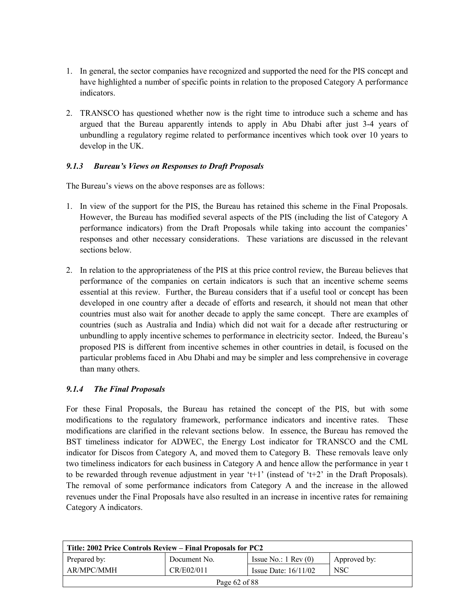- 1. In general, the sector companies have recognized and supported the need for the PIS concept and have highlighted a number of specific points in relation to the proposed Category A performance indicators.
- 2. TRANSCO has questioned whether now is the right time to introduce such a scheme and has argued that the Bureau apparently intends to apply in Abu Dhabi after just 3-4 years of unbundling a regulatory regime related to performance incentives which took over 10 years to develop in the UK.

# *9.1.3 Bureauís Views on Responses to Draft Proposals*

The Bureau's views on the above responses are as follows:

- 1. In view of the support for the PIS, the Bureau has retained this scheme in the Final Proposals. However, the Bureau has modified several aspects of the PIS (including the list of Category A performance indicators) from the Draft Proposals while taking into account the companies responses and other necessary considerations. These variations are discussed in the relevant sections below.
- 2. In relation to the appropriateness of the PIS at this price control review, the Bureau believes that performance of the companies on certain indicators is such that an incentive scheme seems essential at this review. Further, the Bureau considers that if a useful tool or concept has been developed in one country after a decade of efforts and research, it should not mean that other countries must also wait for another decade to apply the same concept. There are examples of countries (such as Australia and India) which did not wait for a decade after restructuring or unbundling to apply incentive schemes to performance in electricity sector. Indeed, the Bureauís proposed PIS is different from incentive schemes in other countries in detail, is focused on the particular problems faced in Abu Dhabi and may be simpler and less comprehensive in coverage than many others.

### *9.1.4 The Final Proposals*

For these Final Proposals, the Bureau has retained the concept of the PIS, but with some modifications to the regulatory framework, performance indicators and incentive rates. These modifications are clarified in the relevant sections below. In essence, the Bureau has removed the BST timeliness indicator for ADWEC, the Energy Lost indicator for TRANSCO and the CML indicator for Discos from Category A, and moved them to Category B. These removals leave only two timeliness indicators for each business in Category A and hence allow the performance in year t to be rewarded through revenue adjustment in year 't+1' (instead of 't+2' in the Draft Proposals). The removal of some performance indicators from Category A and the increase in the allowed revenues under the Final Proposals have also resulted in an increase in incentive rates for remaining Category A indicators.

| Title: 2002 Price Controls Review – Final Proposals for PC2 |              |                               |              |  |
|-------------------------------------------------------------|--------------|-------------------------------|--------------|--|
| Prepared by:                                                | Document No. | Issue No.: $1 \text{ Rev}(0)$ | Approved by: |  |
| AR/MPC/MMH                                                  | CR/E02/011   | Issue Date: $16/11/02$        | <b>NSC</b>   |  |
| Page $62$ of 88                                             |              |                               |              |  |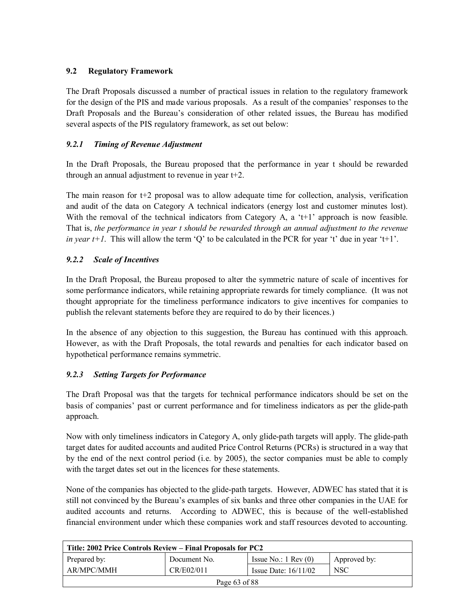# **9.2 Regulatory Framework**

The Draft Proposals discussed a number of practical issues in relation to the regulatory framework for the design of the PIS and made various proposals. As a result of the companies' responses to the Draft Proposals and the Bureauís consideration of other related issues, the Bureau has modified several aspects of the PIS regulatory framework, as set out below:

## *9.2.1 Timing of Revenue Adjustment*

In the Draft Proposals, the Bureau proposed that the performance in year t should be rewarded through an annual adjustment to revenue in year t+2.

The main reason for t+2 proposal was to allow adequate time for collection, analysis, verification and audit of the data on Category A technical indicators (energy lost and customer minutes lost). With the removal of the technical indicators from Category A, a 't+1' approach is now feasible. That is, *the performance in year t should be rewarded through an annual adjustment to the revenue in year t+1*. This will allow the term  $\dot{Q}$  to be calculated in the PCR for year  $\dot{f}$  due in year  $\dot{f}$ .

# *9.2.2 Scale of Incentives*

In the Draft Proposal, the Bureau proposed to alter the symmetric nature of scale of incentives for some performance indicators, while retaining appropriate rewards for timely compliance. (It was not thought appropriate for the timeliness performance indicators to give incentives for companies to publish the relevant statements before they are required to do by their licences.)

In the absence of any objection to this suggestion, the Bureau has continued with this approach. However, as with the Draft Proposals, the total rewards and penalties for each indicator based on hypothetical performance remains symmetric.

# *9.2.3 Setting Targets for Performance*

The Draft Proposal was that the targets for technical performance indicators should be set on the basis of companies' past or current performance and for timeliness indicators as per the glide-path approach.

Now with only timeliness indicators in Category A, only glide-path targets will apply. The glide-path target dates for audited accounts and audited Price Control Returns (PCRs) is structured in a way that by the end of the next control period (i.e. by 2005), the sector companies must be able to comply with the target dates set out in the licences for these statements.

None of the companies has objected to the glide-path targets. However, ADWEC has stated that it is still not convinced by the Bureau's examples of six banks and three other companies in the UAE for audited accounts and returns. According to ADWEC, this is because of the well-established financial environment under which these companies work and staff resources devoted to accounting.

| Title: 2002 Price Controls Review – Final Proposals for PC2 |              |                               |              |  |
|-------------------------------------------------------------|--------------|-------------------------------|--------------|--|
| Prepared by:                                                | Document No. | Issue No.: $1 \text{ Rev}(0)$ | Approved by: |  |
| AR/MPC/MMH                                                  | CR/E02/011   | Issue Date: $16/11/02$        | <b>NSC</b>   |  |
| Page 63 of 88                                               |              |                               |              |  |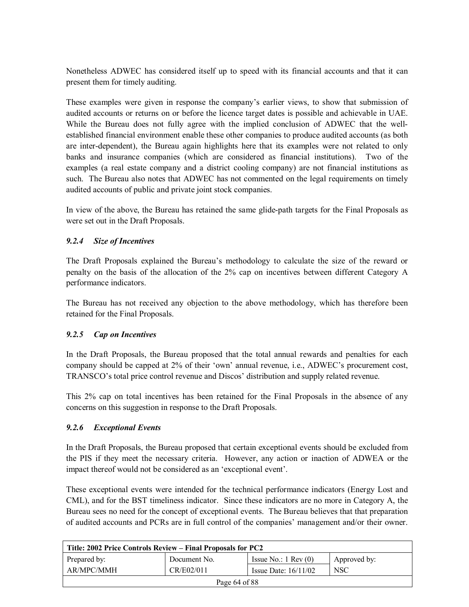Nonetheless ADWEC has considered itself up to speed with its financial accounts and that it can present them for timely auditing.

These examples were given in response the company's earlier views, to show that submission of audited accounts or returns on or before the licence target dates is possible and achievable in UAE. While the Bureau does not fully agree with the implied conclusion of ADWEC that the wellestablished financial environment enable these other companies to produce audited accounts (as both are inter-dependent), the Bureau again highlights here that its examples were not related to only banks and insurance companies (which are considered as financial institutions). Two of the examples (a real estate company and a district cooling company) are not financial institutions as such. The Bureau also notes that ADWEC has not commented on the legal requirements on timely audited accounts of public and private joint stock companies.

In view of the above, the Bureau has retained the same glide-path targets for the Final Proposals as were set out in the Draft Proposals.

# *9.2.4 Size of Incentives*

The Draft Proposals explained the Bureauís methodology to calculate the size of the reward or penalty on the basis of the allocation of the 2% cap on incentives between different Category A performance indicators.

The Bureau has not received any objection to the above methodology, which has therefore been retained for the Final Proposals.

### *9.2.5 Cap on Incentives*

In the Draft Proposals, the Bureau proposed that the total annual rewards and penalties for each company should be capped at 2% of their 'own' annual revenue, i.e., ADWEC's procurement cost, TRANSCO's total price control revenue and Discos' distribution and supply related revenue.

This 2% cap on total incentives has been retained for the Final Proposals in the absence of any concerns on this suggestion in response to the Draft Proposals.

### *9.2.6 Exceptional Events*

In the Draft Proposals, the Bureau proposed that certain exceptional events should be excluded from the PIS if they meet the necessary criteria. However, any action or inaction of ADWEA or the impact thereof would not be considered as an 'exceptional event'.

These exceptional events were intended for the technical performance indicators (Energy Lost and CML), and for the BST timeliness indicator. Since these indicators are no more in Category A, the Bureau sees no need for the concept of exceptional events. The Bureau believes that that preparation of audited accounts and PCRs are in full control of the companies' management and/or their owner.

| Title: 2002 Price Controls Review – Final Proposals for PC2 |              |                               |              |  |
|-------------------------------------------------------------|--------------|-------------------------------|--------------|--|
| Prepared by:                                                | Document No. | Issue No.: $1 \text{ Rev}(0)$ | Approved by: |  |
| AR/MPC/MMH                                                  | CR/E02/011   | Issue Date: $16/11/02$        | NSC          |  |
| Page 64 of 88                                               |              |                               |              |  |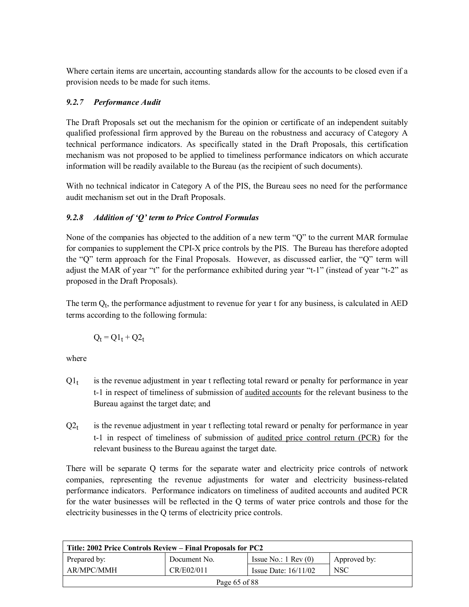Where certain items are uncertain, accounting standards allow for the accounts to be closed even if a provision needs to be made for such items.

# *9.2.7 Performance Audit*

The Draft Proposals set out the mechanism for the opinion or certificate of an independent suitably qualified professional firm approved by the Bureau on the robustness and accuracy of Category A technical performance indicators. As specifically stated in the Draft Proposals, this certification mechanism was not proposed to be applied to timeliness performance indicators on which accurate information will be readily available to the Bureau (as the recipient of such documents).

With no technical indicator in Category A of the PIS, the Bureau sees no need for the performance audit mechanism set out in the Draft Proposals.

# *9.2.8 Addition of ëQí term to Price Control Formulas*

None of the companies has objected to the addition of a new term  $\degree Q$  to the current MAR formulae for companies to supplement the CPI-X price controls by the PIS. The Bureau has therefore adopted the "Q" term approach for the Final Proposals. However, as discussed earlier, the "Q" term will adjust the MAR of year "t" for the performance exhibited during year "t-1" (instead of year "t-2" as proposed in the Draft Proposals).

The term  $Q_t$ , the performance adjustment to revenue for year t for any business, is calculated in AED terms according to the following formula:

$$
Q_t = Q1_t + Q2_t
$$

where

- $Q_1$  is the revenue adjustment in year t reflecting total reward or penalty for performance in year t-1 in respect of timeliness of submission of audited accounts for the relevant business to the Bureau against the target date; and
- $Q2_t$  is the revenue adjustment in year t reflecting total reward or penalty for performance in year t-1 in respect of timeliness of submission of audited price control return (PCR) for the relevant business to the Bureau against the target date.

There will be separate Q terms for the separate water and electricity price controls of network companies, representing the revenue adjustments for water and electricity business-related performance indicators. Performance indicators on timeliness of audited accounts and audited PCR for the water businesses will be reflected in the Q terms of water price controls and those for the electricity businesses in the Q terms of electricity price controls.

| Title: 2002 Price Controls Review – Final Proposals for PC2 |              |                               |              |  |
|-------------------------------------------------------------|--------------|-------------------------------|--------------|--|
| Prepared by:                                                | Document No. | Issue No.: $1 \text{ Rev}(0)$ | Approved by: |  |
| AR/MPC/MMH                                                  | CR/E02/011   | Issue Date: $16/11/02$        | <b>NSC</b>   |  |
| Page 65 of 88                                               |              |                               |              |  |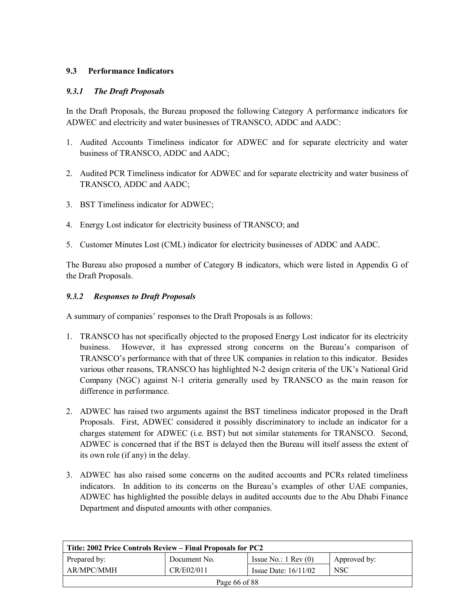# **9.3 Performance Indicators**

## *9.3.1 The Draft Proposals*

In the Draft Proposals, the Bureau proposed the following Category A performance indicators for ADWEC and electricity and water businesses of TRANSCO, ADDC and AADC:

- 1. Audited Accounts Timeliness indicator for ADWEC and for separate electricity and water business of TRANSCO, ADDC and AADC;
- 2. Audited PCR Timeliness indicator for ADWEC and for separate electricity and water business of TRANSCO, ADDC and AADC;
- 3. BST Timeliness indicator for ADWEC;
- 4. Energy Lost indicator for electricity business of TRANSCO; and
- 5. Customer Minutes Lost (CML) indicator for electricity businesses of ADDC and AADC.

The Bureau also proposed a number of Category B indicators, which were listed in Appendix G of the Draft Proposals.

### *9.3.2 Responses to Draft Proposals*

A summary of companies' responses to the Draft Proposals is as follows:

- 1. TRANSCO has not specifically objected to the proposed Energy Lost indicator for its electricity business. However, it has expressed strong concerns on the Bureauís comparison of TRANSCO's performance with that of three UK companies in relation to this indicator. Besides various other reasons, TRANSCO has highlighted N-2 design criteria of the UK's National Grid Company (NGC) against N-1 criteria generally used by TRANSCO as the main reason for difference in performance.
- 2. ADWEC has raised two arguments against the BST timeliness indicator proposed in the Draft Proposals. First, ADWEC considered it possibly discriminatory to include an indicator for a charges statement for ADWEC (i.e. BST) but not similar statements for TRANSCO. Second, ADWEC is concerned that if the BST is delayed then the Bureau will itself assess the extent of its own role (if any) in the delay.
- 3. ADWEC has also raised some concerns on the audited accounts and PCRs related timeliness indicators. In addition to its concerns on the Bureau's examples of other UAE companies, ADWEC has highlighted the possible delays in audited accounts due to the Abu Dhabi Finance Department and disputed amounts with other companies.

| Title: 2002 Price Controls Review – Final Proposals for PC2 |              |                               |              |  |
|-------------------------------------------------------------|--------------|-------------------------------|--------------|--|
| Prepared by:                                                | Document No. | Issue No.: $1 \text{ Rev}(0)$ | Approved by: |  |
| AR/MPC/MMH                                                  | CR/E02/011   | Issue Date: $16/11/02$        | <b>NSC</b>   |  |
| Page 66 of 88                                               |              |                               |              |  |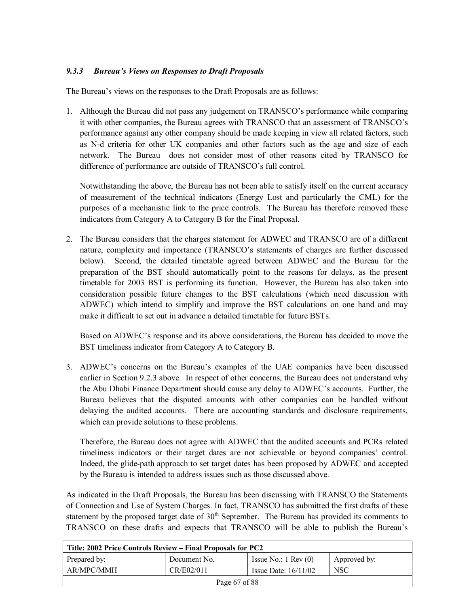# *9.3.3 Bureauís Views on Responses to Draft Proposals*

The Bureau's views on the responses to the Draft Proposals are as follows:

1. Although the Bureau did not pass any judgement on TRANSCO's performance while comparing it with other companies, the Bureau agrees with TRANSCO that an assessment of TRANSCO's performance against any other company should be made keeping in view all related factors, such as N-d criteria for other UK companies and other factors such as the age and size of each network. The Bureau does not consider most of other reasons cited by TRANSCO for difference of performance are outside of TRANSCO's full control.

Notwithstanding the above, the Bureau has not been able to satisfy itself on the current accuracy of measurement of the technical indicators (Energy Lost and particularly the CML) for the purposes of a mechanistic link to the price controls. The Bureau has therefore removed these indicators from Category A to Category B for the Final Proposal.

2. The Bureau considers that the charges statement for ADWEC and TRANSCO are of a different nature, complexity and importance (TRANSCO's statements of charges are further discussed below). Second, the detailed timetable agreed between ADWEC and the Bureau for the preparation of the BST should automatically point to the reasons for delays, as the present timetable for 2003 BST is performing its function. However, the Bureau has also taken into consideration possible future changes to the BST calculations (which need discussion with ADWEC) which intend to simplify and improve the BST calculations on one hand and may make it difficult to set out in advance a detailed timetable for future BSTs.

Based on ADWEC's response and its above considerations, the Bureau has decided to move the BST timeliness indicator from Category A to Category B.

3. ADWEC's concerns on the Bureau's examples of the UAE companies have been discussed earlier in Section 9.2.3 above. In respect of other concerns, the Bureau does not understand why the Abu Dhabi Finance Department should cause any delay to ADWEC's accounts. Further, the Bureau believes that the disputed amounts with other companies can be handled without delaying the audited accounts. There are accounting standards and disclosure requirements, which can provide solutions to these problems.

Therefore, the Bureau does not agree with ADWEC that the audited accounts and PCRs related timeliness indicators or their target dates are not achievable or beyond companies' control. Indeed, the glide-path approach to set target dates has been proposed by ADWEC and accepted by the Bureau is intended to address issues such as those discussed above.

As indicated in the Draft Proposals, the Bureau has been discussing with TRANSCO the Statements of Connection and Use of System Charges. In fact, TRANSCO has submitted the first drafts of these statement by the proposed target date of  $30<sup>th</sup>$  September. The Bureau has provided its comments to TRANSCO on these drafts and expects that TRANSCO will be able to publish the Bureauís

| Title: 2002 Price Controls Review – Final Proposals for PC2 |              |                               |              |  |
|-------------------------------------------------------------|--------------|-------------------------------|--------------|--|
| Prepared by:                                                | Document No. | Issue No.: $1 \text{ Rev}(0)$ | Approved by: |  |
| AR/MPC/MMH                                                  | CR/E02/011   | Issue Date: $16/11/02$        | <b>NSC</b>   |  |
| Page 67 of 88                                               |              |                               |              |  |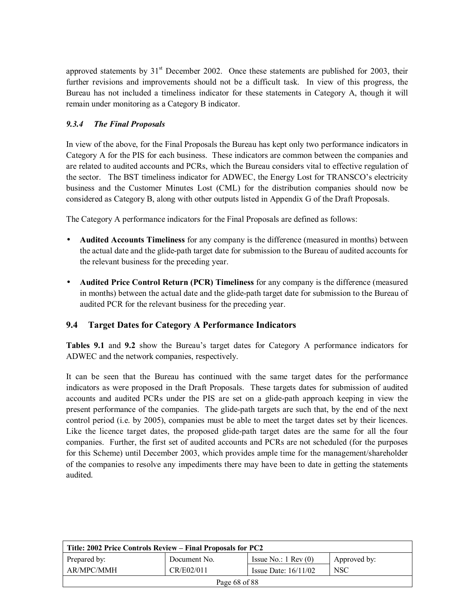approved statements by  $31<sup>st</sup>$  December 2002. Once these statements are published for 2003, their further revisions and improvements should not be a difficult task. In view of this progress, the Bureau has not included a timeliness indicator for these statements in Category A, though it will remain under monitoring as a Category B indicator.

# *9.3.4 The Final Proposals*

In view of the above, for the Final Proposals the Bureau has kept only two performance indicators in Category A for the PIS for each business. These indicators are common between the companies and are related to audited accounts and PCRs, which the Bureau considers vital to effective regulation of the sector. The BST timeliness indicator for ADWEC, the Energy Lost for TRANSCO's electricity business and the Customer Minutes Lost (CML) for the distribution companies should now be considered as Category B, along with other outputs listed in Appendix G of the Draft Proposals.

The Category A performance indicators for the Final Proposals are defined as follows:

- **Audited Accounts Timeliness** for any company is the difference (measured in months) between the actual date and the glide-path target date for submission to the Bureau of audited accounts for the relevant business for the preceding year.
- **Audited Price Control Return (PCR) Timeliness** for any company is the difference (measured in months) between the actual date and the glide-path target date for submission to the Bureau of audited PCR for the relevant business for the preceding year.

# **9.4 Target Dates for Category A Performance Indicators**

Tables 9.1 and 9.2 show the Bureau's target dates for Category A performance indicators for ADWEC and the network companies, respectively.

It can be seen that the Bureau has continued with the same target dates for the performance indicators as were proposed in the Draft Proposals. These targets dates for submission of audited accounts and audited PCRs under the PIS are set on a glide-path approach keeping in view the present performance of the companies. The glide-path targets are such that, by the end of the next control period (i.e. by 2005), companies must be able to meet the target dates set by their licences. Like the licence target dates, the proposed glide-path target dates are the same for all the four companies. Further, the first set of audited accounts and PCRs are not scheduled (for the purposes for this Scheme) until December 2003, which provides ample time for the management/shareholder of the companies to resolve any impediments there may have been to date in getting the statements audited.

| Title: 2002 Price Controls Review – Final Proposals for PC2 |              |                               |              |  |
|-------------------------------------------------------------|--------------|-------------------------------|--------------|--|
| Prepared by:                                                | Document No. | Issue No.: $1 \text{ Rev}(0)$ | Approved by: |  |
| AR/MPC/MMH                                                  | CR/E02/011   | Issue Date: $16/11/02$        | <b>NSC</b>   |  |
| Page 68 of 88                                               |              |                               |              |  |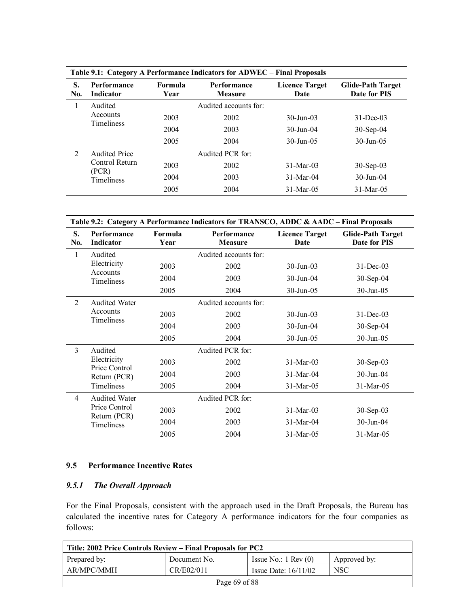| Table 9.1: Category A Performance Indicators for ADWEC – Final Proposals |                               |                        |                                      |                               |                                          |
|--------------------------------------------------------------------------|-------------------------------|------------------------|--------------------------------------|-------------------------------|------------------------------------------|
| S.<br>No.                                                                | Performance<br>Indicator      | <b>Formula</b><br>Year | <b>Performance</b><br><b>Measure</b> | <b>Licence Target</b><br>Date | <b>Glide-Path Target</b><br>Date for PIS |
| 1                                                                        | Audited                       |                        | Audited accounts for:                |                               |                                          |
|                                                                          | Accounts<br><b>Timeliness</b> | 2003                   | 2002                                 | $30 - \text{I}$ un-03         | $31$ -Dec-03                             |
|                                                                          |                               | 2004                   | 2003                                 | $30 - \text{Jun} - 04$        | $30-Sep-04$                              |
|                                                                          |                               | 2005                   | 2004                                 | $30 - \text{Jun} - 0.5$       | $30 - \text{Jun} - 0.5$                  |
| $\overline{2}$                                                           | <b>Audited Price</b>          |                        | Audited PCR for:                     |                               |                                          |
|                                                                          | Control Return<br>(PCR)       | 2003                   | 2002                                 | $31-Mar-03$                   | $30$ -Sep-03                             |
|                                                                          | <b>Timeliness</b>             | 2004                   | 2003                                 | $31-Mar-04$                   | $30 - \text{Jun} - 04$                   |
|                                                                          |                               | 2005                   | 2004                                 | $31-Mar-05$                   | $31-Mar-05$                              |

|                | Table 9.2: Category A Performance Indicators for TRANSCO, ADDC & AADC - Final Proposals |                 |                               |                               |                                          |
|----------------|-----------------------------------------------------------------------------------------|-----------------|-------------------------------|-------------------------------|------------------------------------------|
| S.<br>No.      | Performance<br>Indicator                                                                | Formula<br>Year | Performance<br><b>Measure</b> | <b>Licence Target</b><br>Date | <b>Glide-Path Target</b><br>Date for PIS |
| 1              | Audited                                                                                 |                 | Audited accounts for:         |                               |                                          |
|                | Electricity<br>Accounts                                                                 | 2003            | 2002                          | $30$ -Jun-03                  | $31$ -Dec-03                             |
|                | Timeliness                                                                              | 2004            | 2003                          | $30$ -Jun-04                  | $30-Sep-04$                              |
|                |                                                                                         | 2005            | 2004                          | 30-Jun-05                     | 30-Jun-05                                |
| $\overline{2}$ | <b>Audited Water</b>                                                                    |                 | Audited accounts for:         |                               |                                          |
|                | Accounts<br>Timeliness                                                                  | 2003            | 2002                          | 30-Jun-03                     | $31$ -Dec-03                             |
|                |                                                                                         | 2004            | 2003                          | 30-Jun-04                     | 30-Sep-04                                |
|                |                                                                                         | 2005            | 2004                          | $30$ -Jun-05                  | 30-Jun-05                                |
| 3              | Audited                                                                                 |                 | Audited PCR for:              |                               |                                          |
|                | Electricity<br>Price Control                                                            | 2003            | 2002                          | $31-Mar-03$                   | $30-Sep-03$                              |
|                | Return (PCR)                                                                            | 2004            | 2003                          | 31-Mar-04                     | 30-Jun-04                                |
|                | Timeliness                                                                              | 2005            | 2004                          | 31-Mar-05                     | 31-Mar-05                                |
| $\overline{4}$ | <b>Audited Water</b>                                                                    |                 | Audited PCR for:              |                               |                                          |
|                | Price Control<br>Return (PCR)                                                           | 2003            | 2002                          | 31-Mar-03                     | 30-Sep-03                                |
|                | Timeliness                                                                              | 2004            | 2003                          | $31-Mar-04$                   | 30-Jun-04                                |
|                |                                                                                         | 2005            | 2004                          | 31-Mar-05                     | $31-Mar-05$                              |

## **9.5 Performance Incentive Rates**

# *9.5.1 The Overall Approach*

For the Final Proposals, consistent with the approach used in the Draft Proposals, the Bureau has calculated the incentive rates for Category A performance indicators for the four companies as follows:

| Title: 2002 Price Controls Review – Final Proposals for PC2 |              |                               |              |  |
|-------------------------------------------------------------|--------------|-------------------------------|--------------|--|
| Prepared by:                                                | Document No. | Issue No.: $1 \text{ Rev}(0)$ | Approved by: |  |
| AR/MPC/MMH                                                  | CR/E02/011   | Issue Date: $16/11/02$        | <b>NSC</b>   |  |
| Page 69 of 88                                               |              |                               |              |  |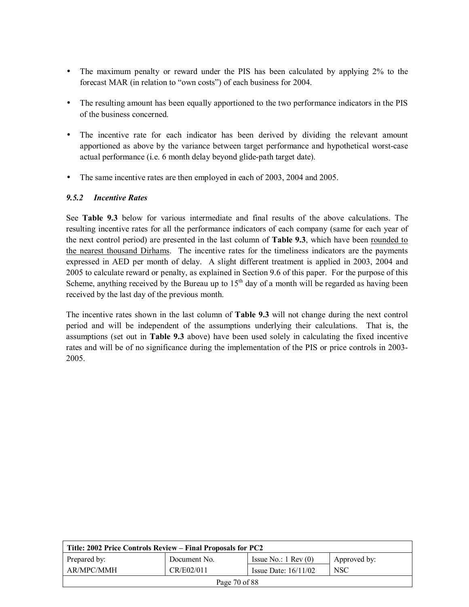- The maximum penalty or reward under the PIS has been calculated by applying 2% to the forecast MAR (in relation to "own costs") of each business for 2004.
- The resulting amount has been equally apportioned to the two performance indicators in the PIS of the business concerned.
- The incentive rate for each indicator has been derived by dividing the relevant amount apportioned as above by the variance between target performance and hypothetical worst-case actual performance (i.e. 6 month delay beyond glide-path target date).
- The same incentive rates are then employed in each of 2003, 2004 and 2005.

# *9.5.2 Incentive Rates*

See **Table 9.3** below for various intermediate and final results of the above calculations. The resulting incentive rates for all the performance indicators of each company (same for each year of the next control period) are presented in the last column of **Table 9.3**, which have been rounded to the nearest thousand Dirhams. The incentive rates for the timeliness indicators are the payments expressed in AED per month of delay. A slight different treatment is applied in 2003, 2004 and 2005 to calculate reward or penalty, as explained in Section 9.6 of this paper. For the purpose of this Scheme, anything received by the Bureau up to  $15<sup>th</sup>$  day of a month will be regarded as having been received by the last day of the previous month.

The incentive rates shown in the last column of **Table 9.3** will not change during the next control period and will be independent of the assumptions underlying their calculations. That is, the assumptions (set out in **Table 9.3** above) have been used solely in calculating the fixed incentive rates and will be of no significance during the implementation of the PIS or price controls in 2003- 2005.

| Title: 2002 Price Controls Review – Final Proposals for PC2 |              |                               |              |  |
|-------------------------------------------------------------|--------------|-------------------------------|--------------|--|
| Prepared by:                                                | Document No. | Issue No.: $1 \text{ Rev}(0)$ | Approved by: |  |
| AR/MPC/MMH                                                  | CR/E02/011   | Issue Date: $16/11/02$        | <b>NSC</b>   |  |
| Page 70 of 88                                               |              |                               |              |  |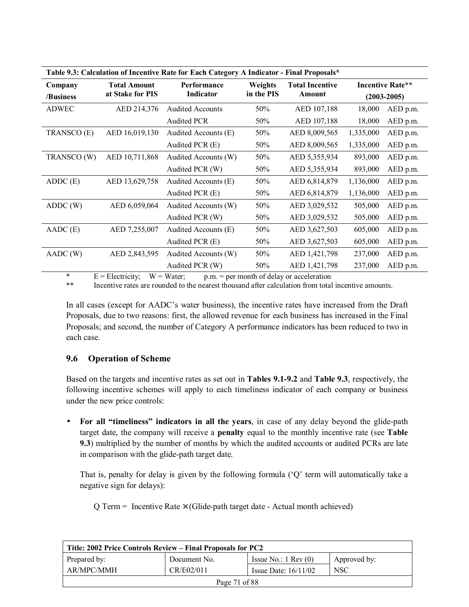| Table 9.3: Calculation of Incentive Rate for Each Category A Indicator - Final Proposals*                             |                                         |                          |                       |                                  |           |                                     |
|-----------------------------------------------------------------------------------------------------------------------|-----------------------------------------|--------------------------|-----------------------|----------------------------------|-----------|-------------------------------------|
| Company<br>/Business                                                                                                  | <b>Total Amount</b><br>at Stake for PIS | Performance<br>Indicator | Weights<br>in the PIS | <b>Total Incentive</b><br>Amount |           | Incentive Rate**<br>$(2003 - 2005)$ |
| <b>ADWEC</b>                                                                                                          | AED 214,376                             | <b>Audited Accounts</b>  | 50%                   | AED 107,188                      | 18,000    | AED p.m.                            |
|                                                                                                                       |                                         |                          |                       |                                  |           |                                     |
|                                                                                                                       |                                         | <b>Audited PCR</b>       | 50%                   | AED 107,188                      | 18,000    | AED p.m.                            |
| TRANSCO (E)                                                                                                           | AED 16,019,130                          | Audited Accounts (E)     | 50%                   | AED 8,009,565                    | 1,335,000 | AED p.m.                            |
|                                                                                                                       |                                         | Audited PCR (E)          | 50%                   | AED 8,009,565                    | 1,335,000 | AED p.m.                            |
| TRANSCO (W)                                                                                                           | AED 10,711,868                          | Audited Accounts (W)     | 50%                   | AED 5,355,934                    | 893,000   | AED p.m.                            |
|                                                                                                                       |                                         | Audited PCR (W)          | 50%                   | AED 5,355,934                    | 893,000   | AED p.m.                            |
| ADDC(E)                                                                                                               | AED 13,629,758                          | Audited Accounts (E)     | 50%                   | AED 6,814,879                    | 1,136,000 | AED p.m.                            |
|                                                                                                                       |                                         | Audited PCR (E)          | 50%                   | AED 6,814,879                    | 1,136,000 | AED p.m.                            |
| ADDC (W)                                                                                                              | AED 6,059,064                           | Audited Accounts (W)     | 50%                   | AED 3,029,532                    | 505,000   | AED p.m.                            |
|                                                                                                                       |                                         | Audited PCR (W)          | 50%                   | AED 3,029,532                    | 505,000   | AED p.m.                            |
| $AADC$ (E)                                                                                                            | AED 7,255,007                           | Audited Accounts (E)     | 50%                   | AED 3,627,503                    | 605,000   | AED p.m.                            |
|                                                                                                                       |                                         | Audited PCR (E)          | 50%                   | AED 3,627,503                    | 605,000   | AED p.m.                            |
| AADC (W)                                                                                                              | AED 2,843,595                           | Audited Accounts (W)     | 50%                   | AED 1,421,798                    | 237,000   | AED p.m.                            |
|                                                                                                                       |                                         | Audited PCR (W)          | 50%                   | AED 1,421,798                    | 237,000   | AED p.m.                            |
| $\ast$<br>$E = E1$ ostrinity<br>$W = W_{\alpha+\alpha\mu}$<br>$m_{\rm m} = m_{\rm m}$ month of dolors or accoloration |                                         |                          |                       |                                  |           |                                     |

 $E =$  Electricity;  $W =$  Water; p.m. = per month of delay or acceleration

\*\* Incentive rates are rounded to the nearest thousand after calculation from total incentive amounts.

In all cases (except for AADC's water business), the incentive rates have increased from the Draft Proposals, due to two reasons: first, the allowed revenue for each business has increased in the Final Proposals; and second, the number of Category A performance indicators has been reduced to two in each case.

### **9.6 Operation of Scheme**

Based on the targets and incentive rates as set out in **Tables 9.1-9.2** and **Table 9.3**, respectively, the following incentive schemes will apply to each timeliness indicator of each company or business under the new price controls:

• For all "timeliness" indicators in all the years, in case of any delay beyond the glide-path target date, the company will receive a **penalty** equal to the monthly incentive rate (see **Table 9.3**) multiplied by the number of months by which the audited accounts or audited PCRs are late in comparison with the glide-path target date.

That is, penalty for delay is given by the following formula ( $\dot{Q}$  term will automatically take a negative sign for delays):

 $Q$  Term = Incentive Rate  $\times$  (Glide-path target date - Actual month achieved)

| Title: 2002 Price Controls Review – Final Proposals for PC2 |              |                               |              |  |
|-------------------------------------------------------------|--------------|-------------------------------|--------------|--|
| Prepared by:                                                | Document No. | Issue No.: $1 \text{ Rev}(0)$ | Approved by: |  |
| AR/MPC/MMH                                                  | CR/E02/011   | Issue Date: $16/11/02$        | <b>NSC</b>   |  |
| Page 71 of 88                                               |              |                               |              |  |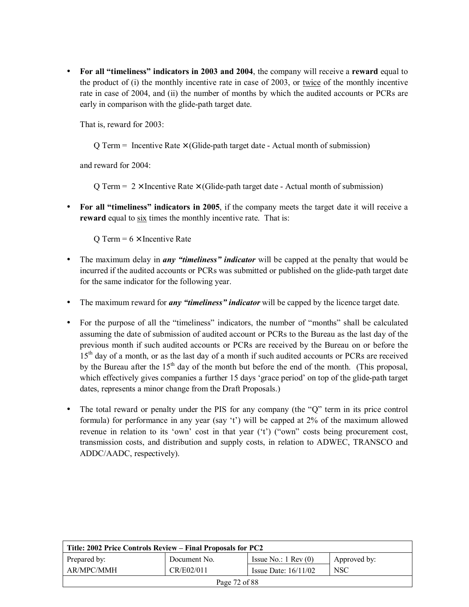• For all "timeliness" indicators in 2003 and 2004, the company will receive a reward equal to the product of (i) the monthly incentive rate in case of 2003, or twice of the monthly incentive rate in case of 2004, and (ii) the number of months by which the audited accounts or PCRs are early in comparison with the glide-path target date.

That is, reward for 2003:

 $\overline{Q}$  Term = Incentive Rate  $\times$  (Glide-path target date - Actual month of submission)

and reward for 2004:

 $\overline{Q}$  Term = 2 × Incentive Rate × (Glide-path target date - Actual month of submission)

• For all "timeliness" indicators in 2005, if the company meets the target date it will receive a **reward** equal to six times the monthly incentive rate. That is:

O Term =  $6 \times$  Incentive Rate

- The maximum delay in *any "timeliness" indicator* will be capped at the penalty that would be incurred if the audited accounts or PCRs was submitted or published on the glide-path target date for the same indicator for the following year.
- The maximum reward for *any "timeliness" indicator* will be capped by the licence target date.
- For the purpose of all the "timeliness" indicators, the number of "months" shall be calculated assuming the date of submission of audited account or PCRs to the Bureau as the last day of the previous month if such audited accounts or PCRs are received by the Bureau on or before the 15<sup>th</sup> day of a month, or as the last day of a month if such audited accounts or PCRs are received by the Bureau after the  $15<sup>th</sup>$  day of the month but before the end of the month. (This proposal, which effectively gives companies a further 15 days 'grace period' on top of the glide-path target dates, represents a minor change from the Draft Proposals.)
- The total reward or penalty under the PIS for any company (the  $\degree$ Q<sup>n</sup> term in its price control formula) for performance in any year (say 't') will be capped at  $2\%$  of the maximum allowed revenue in relation to its 'own' cost in that year ( $i$ ) ("own" costs being procurement cost, transmission costs, and distribution and supply costs, in relation to ADWEC, TRANSCO and ADDC/AADC, respectively).

| Title: 2002 Price Controls Review – Final Proposals for PC2 |              |                               |              |  |
|-------------------------------------------------------------|--------------|-------------------------------|--------------|--|
| Prepared by:                                                | Document No. | Issue No.: $1 \text{ Rev}(0)$ | Approved by: |  |
| AR/MPC/MMH                                                  | CR/E02/011   | Issue Date: $16/11/02$        | <b>NSC</b>   |  |
| Page 72 of 88                                               |              |                               |              |  |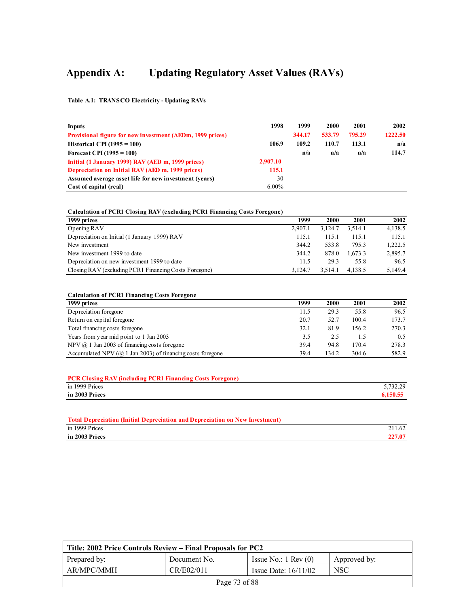# **Appendix A: Updating Regulatory Asset Values (RAVs)**

**Table A.1: TRANSCO Electricity - Updating RAVs**

| <b>Inputs</b>                                                    | 1998     | 1999   | 2000   | 2001   | 2002    |
|------------------------------------------------------------------|----------|--------|--------|--------|---------|
| <b>Provisional figure for new investment (AEDm, 1999 prices)</b> |          | 344.17 | 533.79 | 795.29 | 1222.50 |
| Historical CPI $(1995 = 100)$                                    | 106.9    | 109.2  | 110.7  | 113.1  | n/a     |
| Forecast CPI (1995 = $100$ )                                     |          | n/a    | n/a    | n/a    | 114.7   |
| Initial (1 January 1999) RAV (AED m, 1999 prices)                | 2,907.10 |        |        |        |         |
| Depreciation on Initial RAV (AED m, 1999 prices)                 | 115.1    |        |        |        |         |
| Assumed average asset life for new investment (vears)            | 30       |        |        |        |         |
| Cost of capital (real)                                           | $6.00\%$ |        |        |        |         |

#### **Calculation of PCR1 Closing RAV (excluding PCR1 Financing Costs Foregone)**

| 1999 prices                                           | 1999    | 2000    | 2001    | 2002    |
|-------------------------------------------------------|---------|---------|---------|---------|
| Opening RAV                                           | 2.907.1 | 3.124.7 | 3.514.1 | 4,138.5 |
| Depreciation on Initial (1 January 1999) RAV          | 115.1   | 115.1   | 115.1   | 115.1   |
| New investment                                        | 344.2   | 533.8   | 795.3   | 1,222.5 |
| New investment 1999 to date                           | 344.2   | 878.0   | 1.673.3 | 2,895.7 |
| Depreciation on new investment 1999 to date           | 11.5    | 29.3    | 55.8    | 96.5    |
| Closing RAV (excluding PCR1 Financing Costs Foregone) | 3.124.7 | 3.514.1 | 4.138.5 | 5,149.4 |

#### **Calculation of PCR1 Financing Costs Foregone**

| 1999 prices                                                          | 1999 | 2000  | 2001  | 2002  |
|----------------------------------------------------------------------|------|-------|-------|-------|
| Depreciation foregone                                                | 11.5 | 29.3  | 55.8  | 96.5  |
| Return on capital foregone                                           | 20.7 | 52.7  | 100.4 | 173.7 |
| Total financing costs foregone                                       | 32.1 | 81.9  | 156.2 | 270.3 |
| Years from year mid point to 1 Jan 2003                              | 3.5  | 2.5   | 1.5   | 0.5   |
| NPV $(a)$ 1 Jan 2003 of financing costs foregone                     | 39.4 | 94.8  | 170.4 | 278.3 |
| Accumulated NPV ( $\omega$ ) 1 Jan 2003) of financing costs foregone | 39.4 | 134.2 | 304.6 | 582.9 |

| <b>PCR Closing RAV (including PCR1 Financing Costs Foregone)</b> |          |
|------------------------------------------------------------------|----------|
| in 1999 Prices                                                   | 5.732.29 |
| in 2003 Prices                                                   | 6.150.55 |

| Total Depreciation (Initial Depreciation and Depreciation on New Investment) |        |
|------------------------------------------------------------------------------|--------|
| in 1999 Prices                                                               | 211.62 |
| in 2003 Prices                                                               | 227.07 |

| Title: 2002 Price Controls Review – Final Proposals for PC2 |              |                               |              |  |
|-------------------------------------------------------------|--------------|-------------------------------|--------------|--|
| Prepared by:                                                | Document No. | Issue No.: $1 \text{ Rev}(0)$ | Approved by: |  |
| AR/MPC/MMH                                                  | CR/E02/011   | Issue Date: $16/11/02$        | <b>NSC</b>   |  |
| Page 73 of 88                                               |              |                               |              |  |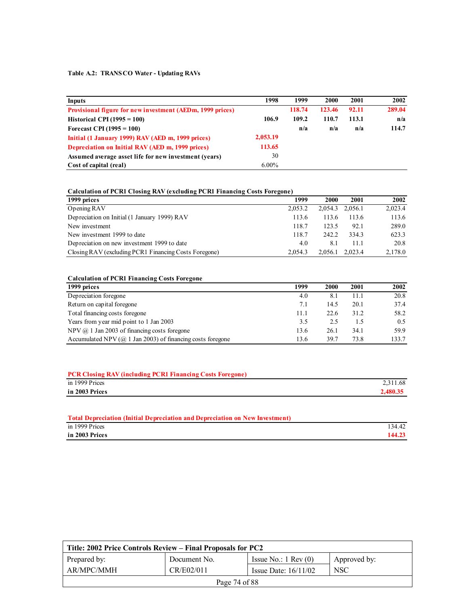#### **Table A.2: TRANSCO Water - Updating RAVs**

| Inputs                                                    | 1998     | 1999   | 2000   | 2001  | 2002   |
|-----------------------------------------------------------|----------|--------|--------|-------|--------|
| Provisional figure for new investment (AEDm, 1999 prices) |          | 118.74 | 123.46 | 92.11 | 289.04 |
| Historical CPI $(1995 = 100)$                             | 106.9    | 109.2  | 110.7  | 113.1 | n/a    |
| Forecast CPI $(1995 = 100)$                               |          | n/a    | n/a    | n/a   | 114.7  |
| Initial (1 January 1999) RAV (AED m, 1999 prices)         | 2,053.19 |        |        |       |        |
| Depreciation on Initial RAV (AED m, 1999 prices)          | 113.65   |        |        |       |        |
| Assumed average asset life for new investment (years)     | 30       |        |        |       |        |
| Cost of capital (real)                                    | $6.00\%$ |        |        |       |        |

#### **Calculation of PCR1 Closing RAV (excluding PCR1 Financing Costs Foregone)**

| 1999 prices                                           | 1999    | 2000            | 2001  | 2002    |
|-------------------------------------------------------|---------|-----------------|-------|---------|
| Opening RAV                                           | 2.053.2 | 2,054.3 2,056.1 |       | 2,023.4 |
| Depreciation on Initial (1 January 1999) RAV          | 113.6   | 113.6           | 113.6 | 113.6   |
| New investment                                        | 118.7   | 123.5           | 92.1  | 289.0   |
| New investment 1999 to date                           | 118.7   | 242.2           | 334.3 | 623.3   |
| Depreciation on new investment 1999 to date           | 4.0     | 8.1             | 11.1  | 20.8    |
| Closing RAV (excluding PCR1 Financing Costs Foregone) | 2.054.3 | 2,056.1 2,023.4 |       | 2,178.0 |

#### **Calculation of PCR1 Financing Costs Foregone**

| 1999 prices                                                          | 1999 | 2000 | 2001 | 2002  |
|----------------------------------------------------------------------|------|------|------|-------|
| Depreciation foregone                                                | 4.0  | 8.1  | 11.1 | 20.8  |
| Return on capital foregone                                           | 7.1  | 14.5 | 20.1 | 37.4  |
| Total financing costs foregone                                       | 11.1 | 22.6 | 31.2 | 58.2  |
| Years from year mid point to 1 Jan 2003                              | 3.5  | 2.5  | 1.5  | 0.5   |
| NPV $(a)$ 1 Jan 2003 of financing costs foregone                     | 13.6 | 26.1 | 34.1 | 59.9  |
| Accumulated NPV ( $\omega$ ) 1 Jan 2003) of financing costs foregone | 13.6 | 39.7 | 73.8 | 133.7 |

| <b>PCR Closing RAV (including PCR1 Financing Costs Foregone)</b> |          |
|------------------------------------------------------------------|----------|
| in 1999 Prices                                                   | 2,311.68 |
| in 2003 Prices                                                   | 2,480.35 |
|                                                                  |          |

| <b>Total Depreciation (Initial Depreciation and Depreciation on New Investment)</b> |        |
|-------------------------------------------------------------------------------------|--------|
| in 1999 Prices                                                                      | 134.42 |
| in 2003 Prices                                                                      | 144.23 |

| Title: 2002 Price Controls Review – Final Proposals for PC2 |              |                               |              |  |
|-------------------------------------------------------------|--------------|-------------------------------|--------------|--|
| Prepared by:                                                | Document No. | Issue No.: $1 \text{ Rev}(0)$ | Approved by: |  |
| AR/MPC/MMH                                                  | CR/E02/011   | Issue Date: $16/11/02$        | <b>NSC</b>   |  |
| Page 74 of 88                                               |              |                               |              |  |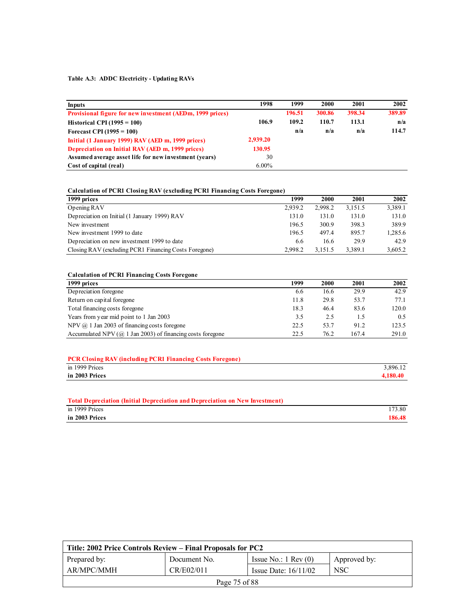#### **Table A.3: ADDC Electricity - Updating RAVs**

| <b>Inputs</b>                                                    | 1998     | 1999   | 2000   | 2001   | 2002   |
|------------------------------------------------------------------|----------|--------|--------|--------|--------|
| <b>Provisional figure for new investment (AEDm, 1999 prices)</b> |          | 196.51 | 300.86 | 398.34 | 389.89 |
| Historical CPI $(1995 = 100)$                                    | 106.9    | 109.2  | 110.7  | 113.1  | n/a    |
| Forecast CPI $(1995 = 100)$                                      |          | n/a    | n/a    | n/a    | 114.7  |
| Initial (1 January 1999) RAV (AED m, 1999 prices)                | 2,939.20 |        |        |        |        |
| Depreciation on Initial RAV (AED m, 1999 prices)                 | 130.95   |        |        |        |        |
| Assumed average asset life for new investment (years)            | 30       |        |        |        |        |
| Cost of capital (real)                                           | $6.00\%$ |        |        |        |        |

#### **Calculation of PCR1 Closing RAV (excluding PCR1 Financing Costs Foregone)**

| 1999 prices                                           | 1999    | 2000    | 2001    | 2002    |
|-------------------------------------------------------|---------|---------|---------|---------|
| Opening RAV                                           | 2.939.2 | 2.998.2 | 3.151.5 | 3,389.1 |
| Depreciation on Initial (1 January 1999) RAV          | 131.0   | 131.0   | 131.0   | 131.0   |
| New investment                                        | 196.5   | 300.9   | 398.3   | 389.9   |
| New investment 1999 to date                           | 196.5   | 497.4   | 895.7   | 1,285.6 |
| Depreciation on new investment 1999 to date           | 6.6     | 16.6    | 29.9    | 42.9    |
| Closing RAV (excluding PCR1 Financing Costs Foregone) | 2.998.2 | 3,151.5 | 3.389.1 | 3,605.2 |

#### **Calculation of PCR1 Financing Costs Foregone**

| 1999 prices                                                          | 1999 | 2000 | 2001  | 2002  |
|----------------------------------------------------------------------|------|------|-------|-------|
| Depreciation foregone                                                | 6.6  | 16.6 | 29.9  | 42.9  |
| Return on capital foregone                                           | 11.8 | 29.8 | 53.7  | 77.1  |
| Total financing costs foregone                                       | 18.3 | 46.4 | 83.6  | 120.0 |
| Years from year mid point to 1 Jan 2003                              | 3.5  | 2.5  | 1.5   | 0.5   |
| NPV $(a)$ 1 Jan 2003 of financing costs foregone                     | 22.5 | 53.7 | 91.2  | 123.5 |
| Accumulated NPV ( $\omega$ ) 1 Jan 2003) of financing costs foregone | 22.5 | 76.2 | 167.4 | 291.0 |

| <b>PCR Closing RAV (including PCR1 Financing Costs Foregone)</b> |          |
|------------------------------------------------------------------|----------|
| in 1999 Prices                                                   | 3.896.12 |
| in 2003 Prices                                                   | 4.180.40 |

#### **Total Depreciation (Initial Depreciation and Depreciation on New Investment)**

| in 2003 Prices | 186.48 |
|----------------|--------|
| in 1999 Prices | 173.80 |

| Title: 2002 Price Controls Review – Final Proposals for PC2 |              |                               |              |  |
|-------------------------------------------------------------|--------------|-------------------------------|--------------|--|
| Prepared by:                                                | Document No. | Issue No.: $1 \text{ Rev}(0)$ | Approved by: |  |
| AR/MPC/MMH                                                  | CR/E02/011   | Issue Date: $16/11/02$        | <b>NSC</b>   |  |
| Page 75 of 88                                               |              |                               |              |  |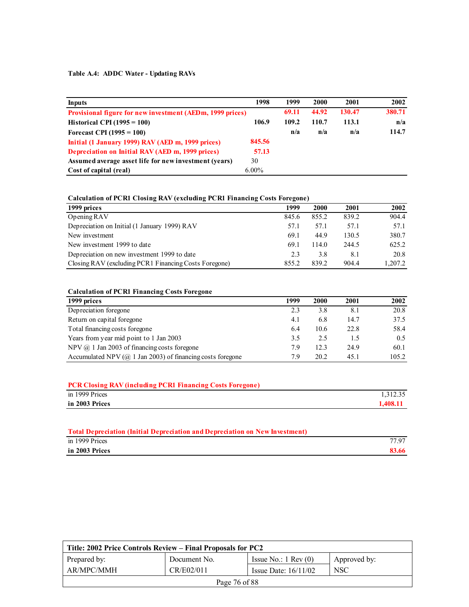### **Table A.4: ADDC Water - Updating RAVs**

| <b>Inputs</b>                                                    | 1998     | 1999  | 2000  | 2001   | 2002   |
|------------------------------------------------------------------|----------|-------|-------|--------|--------|
| <b>Provisional figure for new investment (AEDm, 1999 prices)</b> |          | 69.11 | 44.92 | 130.47 | 380.71 |
| Historical CPI $(1995 = 100)$                                    | 106.9    | 109.2 | 110.7 | 113.1  | n/a    |
| Forecast CPI $(1995 = 100)$                                      |          | n/a   | n/a   | n/a    | 114.7  |
| Initial (1 January 1999) RAV (AED m, 1999 prices)                | 845.56   |       |       |        |        |
| Depreciation on Initial RAV (AED m, 1999 prices)                 | 57.13    |       |       |        |        |
| Assumed average asset life for new investment (years)            | 30       |       |       |        |        |
| Cost of capital (real)                                           | $6.00\%$ |       |       |        |        |

#### **Calculation of PCR1 Closing RAV (excluding PCR1 Financing Costs Foregone)**

| 1999 prices                                           | 1999  | 2000  | 2001  | 2002    |
|-------------------------------------------------------|-------|-------|-------|---------|
| Opening RAV                                           | 845.6 | 855.2 | 839.2 | 904.4   |
| Depreciation on Initial (1 January 1999) RAV          | 57.1  | 57.1  | 57.1  | 57.1    |
| New investment                                        | 69.1  | 44.9  | 130.5 | 380.7   |
| New investment 1999 to date                           | 69.1  | 114.0 | 244.5 | 625.2   |
| Depreciation on new investment 1999 to date           | 2.3   | 3.8   | 8.1   | 20.8    |
| Closing RAV (excluding PCR1 Financing Costs Foregone) | 855.2 | 839.2 | 904.4 | 1.207.2 |

#### **Calculation of PCR1 Financing Costs Foregone**

| 1999 prices                                                          | 1999 | 2000 | 2001 | 2002  |
|----------------------------------------------------------------------|------|------|------|-------|
| Depreciation foregone                                                | 2.3  | 3.8  | 8.1  | 20.8  |
| Return on capital foregone                                           | 4.1  | 6.8  | 14.7 | 37.5  |
| Total financing costs foregone                                       | 6.4  | 10.6 | 22.8 | 58.4  |
| Years from year mid point to 1 Jan 2003                              | 3.5  | 2.5  |      | 0.5   |
| NPV $(a)$ 1 Jan 2003 of financing costs foregone                     | 7.9  | 12.3 | 24.9 | 60.1  |
| Accumulated NPV ( $\omega$ ) 1 Jan 2003) of financing costs foregone | 7.9  | 20.2 | 45.1 | 105.2 |

| <b>PCR Closing RAV (including PCR1 Financing Costs Foregone)</b> |          |
|------------------------------------------------------------------|----------|
| in 1999 Prices                                                   | 1.312.35 |
| in 2003 Prices                                                   | 1.408.11 |
|                                                                  |          |

| Total Depreciation (Initial Depreciation and Depreciation on New Investment) |       |
|------------------------------------------------------------------------------|-------|
| in 1999 Prices                                                               | 77 97 |
| in 2003 Prices                                                               | 83.66 |

| Title: 2002 Price Controls Review – Final Proposals for PC2 |              |                               |              |  |
|-------------------------------------------------------------|--------------|-------------------------------|--------------|--|
| Prepared by:                                                | Document No. | Issue No.: $1 \text{ Rev}(0)$ | Approved by: |  |
| AR/MPC/MMH                                                  | CR/E02/011   | Issue Date: $16/11/02$        | <b>NSC</b>   |  |
| Page 76 of 88                                               |              |                               |              |  |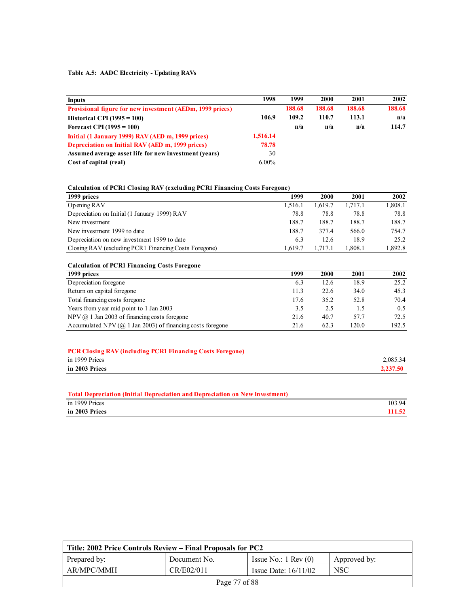#### **Table A.5: AADC Electricity - Updating RAVs**

| Inputs                                                           | 1998     | 1999   | 2000   | 2001   | 2002   |
|------------------------------------------------------------------|----------|--------|--------|--------|--------|
| <b>Provisional figure for new investment (AEDm, 1999 prices)</b> |          | 188.68 | 188.68 | 188.68 | 188.68 |
| Historical CPI $(1995 = 100)$                                    | 106.9    | 109.2  | 110.7  | 113.1  | n/a    |
| Forecast CPI (1995 = $100$ )                                     |          | n/a    | n/a    | n/a    | 114.7  |
| Initial (1 January 1999) RAV (AED m, 1999 prices)                | 1,516.14 |        |        |        |        |
| Depreciation on Initial RAV (AED m, 1999 prices)                 | 78.78    |        |        |        |        |
| Assumed average asset life for new investment (years)            | 30       |        |        |        |        |
| Cost of capital (real)                                           | $6.00\%$ |        |        |        |        |

| <b>Calculation of PCR1 Closing RAV (excluding PCR1 Financing Costs Foregone)</b> |  |  |
|----------------------------------------------------------------------------------|--|--|
|                                                                                  |  |  |

| 1999    | 2000    | 2001   | 2002    |
|---------|---------|--------|---------|
| 1.516.1 | 1.619.7 | .717.1 | 1,808.1 |
| 78.8    | 78.8    | 78.8   | 78.8    |
| 188.7   | 188.7   | 188.7  | 188.7   |
| 188.7   | 3774    | 566.0  | 754.7   |
| 6.3     | 12.6    | 18.9   | 25.2    |
| 1.619.7 | 1.717.1 | .808.1 | 892.8   |
|         |         |        |         |

#### **Calculation of PCR1 Financing Costs Foregone 1999 prices 1999 2000 2001 2002 Depreciation foregone** 6.3 12.6 18.9 25.2 Return on capital foregone 11.3 22.6 34.0 45.3 Return on capital foregone 11.3 22.6 34.0 45.3 Total financing costs foregone 17.6 35.2 52.8 70.4 Years from year mid point to 1 Jan 2003<br>
NPV @ 1 Jan 2003 of financing costs foregone<br>
21.6 40.7 57.7 72.5 NPV @ 1 Jan 2003 of financing costs foregone 21.6 40.7 57.7 Accumulated NPV (@ 1 Jan 2003) of financing costs foregone 21.6 62.3 120.0 192.5

| <b>PCR Closing RAV (including PCR1 Financing Costs Foregone)</b> |          |
|------------------------------------------------------------------|----------|
| in 1999 Prices                                                   | 2,085.34 |
| in 2003 Prices                                                   | 2.237.50 |

| <b>Total Depreciation (Initial Depreciation and Depreciation on New Investment)</b> |        |
|-------------------------------------------------------------------------------------|--------|
| in 1999 Prices                                                                      | 103.94 |
| in 2003 Prices                                                                      | 111.52 |

| Title: 2002 Price Controls Review – Final Proposals for PC2 |               |                               |              |  |  |
|-------------------------------------------------------------|---------------|-------------------------------|--------------|--|--|
| Prepared by:                                                | Document No.  | Issue No.: $1 \text{ Rev}(0)$ | Approved by: |  |  |
| AR/MPC/MMH                                                  | CR/E02/011    | Issue Date: $16/11/02$        | <b>NSC</b>   |  |  |
|                                                             | Page 77 of 88 |                               |              |  |  |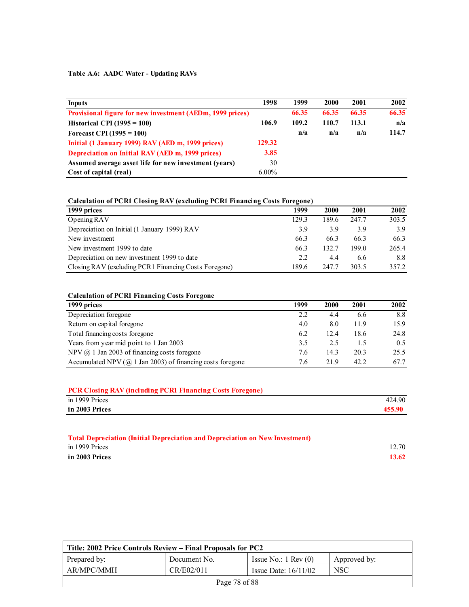#### **Table A.6: AADC Water - Updating RAVs**

| Inputs                                                           | 1998     | 1999  | 2000  | 2001  | 2002  |
|------------------------------------------------------------------|----------|-------|-------|-------|-------|
| <b>Provisional figure for new investment (AEDm, 1999 prices)</b> |          | 66.35 | 66.35 | 66.35 | 66.35 |
| Historical CPI $(1995 = 100)$                                    | 106.9    | 109.2 | 110.7 | 113.1 | n/a   |
| Forecast CPI $(1995 = 100)$                                      |          | n/a   | n/a   | n/a   | 114.7 |
| Initial (1 January 1999) RAV (AED m, 1999 prices)                | 129.32   |       |       |       |       |
| Depreciation on Initial RAV (AED m, 1999 prices)                 | 3.85     |       |       |       |       |
| Assumed average asset life for new investment (years)            | 30       |       |       |       |       |
| Cost of capital (real)                                           | $6.00\%$ |       |       |       |       |

#### **Calculation of PCR1 Closing RAV (excluding PCR1 Financing Costs Foregone)**

| 1999 prices                                           | 1999  | 2000  | 2001  | 2002  |
|-------------------------------------------------------|-------|-------|-------|-------|
| Opening RAV                                           | 129.3 | 189.6 | 247.7 | 303.5 |
| Depreciation on Initial (1 January 1999) RAV          | 3.9   | 3.9   | 39    | 3.9   |
| New investment                                        | 66.3  | 66.3  | 66.3  | 66.3  |
| New investment 1999 to date                           | 66.3  | 132.7 | 199.0 | 265.4 |
| Depreciation on new investment 1999 to date           | 2.2   | 4.4   | 6.6   | 8.8   |
| Closing RAV (excluding PCR1 Financing Costs Foregone) | 189.6 | 247.7 | 303.5 | 357.2 |

#### **Calculation of PCR1 Financing Costs Foregone**

| 1999 prices                                                          | 1999 | 2000 | 2001 | 2002 |
|----------------------------------------------------------------------|------|------|------|------|
| Depreciation foregone                                                | 2.2  | 4.4  | 6.6  | 8.8  |
| Return on capital foregone                                           | 4.0  | 8.0  | 11.9 | 15.9 |
| Total financing costs foregone                                       | 6.2  | 12.4 | 18.6 | 24.8 |
| Years from year mid point to 1 Jan 2003                              | 3.5  | 2.5  | 1.5  | 0.5  |
| NPV $\omega$ 1 Jan 2003 of financing costs foregone                  | 7.6  | 14.3 | 20.3 | 25.5 |
| Accumulated NPV ( $\omega$ ) 1 Jan 2003) of financing costs foregone | 7.6  | 21.9 | 42.2 | 67.7 |

| <b>PCR Closing RAV (including PCR1 Financing Costs Foregone)</b> |        |
|------------------------------------------------------------------|--------|
| in 1999 Prices                                                   | 424.90 |
| in 2003 Prices                                                   | 455.90 |
|                                                                  |        |

### **Total Depreciation (Initial Depreciation and Depreciation on New Investment)**  in 1999 Prices 12.70 **in 2003 Prices 13.62**

| Title: 2002 Price Controls Review – Final Proposals for PC2 |               |                               |              |  |  |
|-------------------------------------------------------------|---------------|-------------------------------|--------------|--|--|
| Prepared by:                                                | Document No.  | Issue No.: $1 \text{ Rev}(0)$ | Approved by: |  |  |
| AR/MPC/MMH                                                  | CR/E02/011    | Issue Date: $16/11/02$        | NSC          |  |  |
|                                                             | Page 78 of 88 |                               |              |  |  |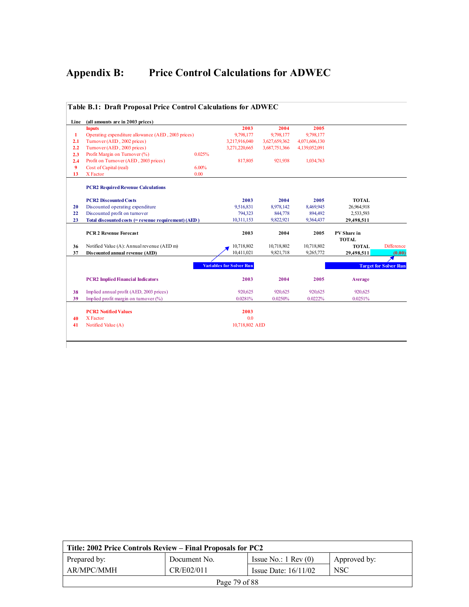# **Appendix B: Price Control Calculations for ADWEC**

|      | Table B.1: Draft Proposal Price Control Calculations for ADWEC |        |                                 |               |               |              |                              |
|------|----------------------------------------------------------------|--------|---------------------------------|---------------|---------------|--------------|------------------------------|
| Line | (all amounts are in 2003 prices)                               |        |                                 |               |               |              |                              |
|      | <b>Inputs</b>                                                  |        | 2003                            | 2004          | 2005          |              |                              |
| 1    | Operating expenditure allowance (AED, 2003 prices)             |        | 9,798,177                       | 9,798,177     | 9,798,177     |              |                              |
| 2.1  | Turnover (AED, 2002 prices)                                    |        | 3,217,916,040                   | 3,627,659,362 | 4,071,606,130 |              |                              |
| 2.2  | Turnover (AED, 2003 prices)                                    |        | 3,271,220,665                   | 3,687,751,366 | 4,139,052,091 |              |                              |
| 2.3  | Profit Margin on Turnover (%)                                  | 0.025% |                                 |               |               |              |                              |
| 2.4  | Profit on Turnover (AED, 2003 prices)                          |        | 817,805                         | 921,938       | 1,034,763     |              |                              |
| 9    | Cost of Capital (real)                                         | 6.00%  |                                 |               |               |              |                              |
| 13   | X Factor                                                       | 0.00   |                                 |               |               |              |                              |
|      | <b>PCR2 Required Revenue Calculations</b>                      |        |                                 |               |               |              |                              |
|      | <b>PCR2 Discounted Costs</b>                                   |        | 2003                            | 2004          | 2005          | <b>TOTAL</b> |                              |
| 20   | Discounted operating expenditure                               |        | 9,516,831                       | 8,978,142     | 8.469.945     | 26,964,918   |                              |
| 22   | Discounted profit on turnover                                  |        | 794,323                         | 844,778       | 894,492       | 2,533,593    |                              |
| 23   | Total discounted costs (= revenue requirement) (AED)           |        | 10,311,153                      | 9,822,921     | 9,364,437     | 29,498,511   |                              |
|      | <b>PCR 2 Revenue Forecast</b>                                  |        | 2003                            | 2004          | 2005          | PV Share in  |                              |
|      |                                                                |        |                                 |               |               | <b>TOTAL</b> |                              |
| 36   | Notified Value (A): Annual revenue (AED m)                     |        | 10,718,802                      | 10,718,802    | 10,718,802    | <b>TOTAL</b> | <b>Difference</b>            |
| 37   | Discounted annual revenue (AED)                                |        | 10.411.021                      | 9,821,718     | 9,265,772     | 29,498,511   | (0.00)                       |
|      |                                                                |        |                                 |               |               |              |                              |
|      |                                                                |        | <b>Variables for Solver Run</b> |               |               |              | <b>Target for Solver Run</b> |
|      | <b>PCR2</b> Implied Financial Indicators                       |        | 2003                            | 2004          | 2005          | Average      |                              |
| 38   | Implied annual profit (AED, 2003 prices)                       |        | 920,625                         | 920,625       | 920,625       | 920,625      |                              |
| 39   | Implied profit margin on turnover $(\%)$                       |        | 0.0281%                         | 0.0250%       | 0.0222%       | 0.0251%      |                              |
|      | <b>PCR2 Notified Values</b>                                    |        | 2003                            |               |               |              |                              |
| 40   | X Factor                                                       |        | 0.0                             |               |               |              |                              |
|      | Notified Value (A)                                             |        | 10,718,802 AED                  |               |               |              |                              |

| Title: 2002 Price Controls Review – Final Proposals for PC2 |               |                               |              |  |  |  |
|-------------------------------------------------------------|---------------|-------------------------------|--------------|--|--|--|
| Prepared by:                                                | Document No.  | Issue No.: $1 \text{ Rev}(0)$ | Approved by: |  |  |  |
| AR/MPC/MMH                                                  | CR/E02/011    | Issue Date: $16/11/02$        | <b>NSC</b>   |  |  |  |
|                                                             | Page 79 of 88 |                               |              |  |  |  |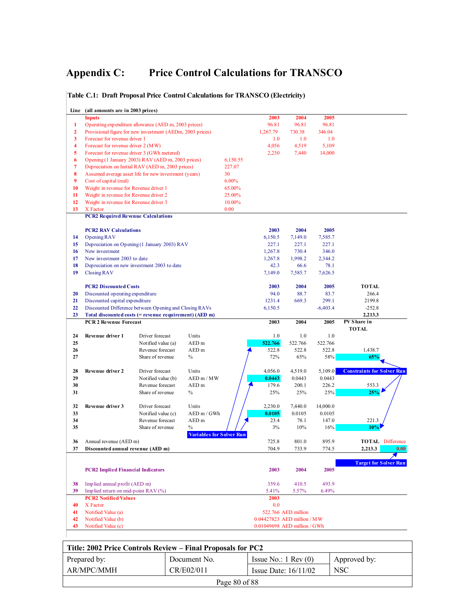# **Appendix C: Price Control Calculations for TRANSCO**

|                         | Line (all amounts are in 2003 prices)                 |                                                           |                                 |          |                                                             |                     |                   |                                   |
|-------------------------|-------------------------------------------------------|-----------------------------------------------------------|---------------------------------|----------|-------------------------------------------------------------|---------------------|-------------------|-----------------------------------|
|                         | <b>Inputs</b>                                         |                                                           |                                 |          | 2003                                                        | 2004                | 2005              |                                   |
| 1                       |                                                       | Operating expenditure allowance (AED m, 2003 prices)      |                                 |          | 96.81                                                       | 96.81               | 96.81             |                                   |
| $\overline{2}$          |                                                       | Provisional figure for new investment (AEDm, 2003 prices) |                                 |          | 1,267.79                                                    | 730.38              | 346.04            |                                   |
| 3                       | Forecast for revenue driver 1                         |                                                           |                                 |          | 1.0                                                         | 1.0                 | 1.0               |                                   |
| $\overline{\mathbf{4}}$ | Forecast for revenue driver 2 (MW)                    |                                                           |                                 |          | 4,056                                                       | 4,519               | 5,109             |                                   |
| 5                       |                                                       | Forecast for revenue driver 3 (GWh metered)               |                                 |          | 2,230                                                       | 7,440               | 14,000            |                                   |
| 6                       |                                                       | Opening (1 January 2003) RAV (AED m, 2003 prices)         |                                 | 6,150.55 |                                                             |                     |                   |                                   |
| 7                       |                                                       | Depreciation on Initial RAV (AED m, 2003 prices)          |                                 | 227.07   |                                                             |                     |                   |                                   |
| 8                       |                                                       | Assumed average asset life for new investment (years)     |                                 | 30       |                                                             |                     |                   |                                   |
| 9                       | Cost of capital (real)                                |                                                           |                                 | 6.00%    |                                                             |                     |                   |                                   |
| 10                      | Weight in revenue for Revenue driver 1                |                                                           |                                 | 65.00%   |                                                             |                     |                   |                                   |
| 11                      | Weight in revenue for Revenue driver 2                |                                                           |                                 | 25.00%   |                                                             |                     |                   |                                   |
| 12                      | Weight in revenue for Revenue driver 3                |                                                           |                                 | 10.00%   |                                                             |                     |                   |                                   |
| 13                      | X Factor<br><b>PCR2 Required Revenue Calculations</b> |                                                           |                                 | 0.00     |                                                             |                     |                   |                                   |
|                         |                                                       |                                                           |                                 |          |                                                             |                     |                   |                                   |
|                         | <b>PCR2 RAV Calculations</b>                          |                                                           |                                 |          | 2003                                                        | 2004                | 2005              |                                   |
| 14                      | Opening RAV                                           |                                                           |                                 |          | 6,150.5                                                     | 7,149.0             | 7,585.7           |                                   |
| 15                      |                                                       | Depreciation on Opening (1 January 2003) RAV              |                                 |          | 227.1                                                       | 227.1               | 227.1             |                                   |
| 16                      | New investment                                        |                                                           |                                 |          | 1,267.8                                                     | 730.4               | 346.0             |                                   |
| 17                      | New investment 2003 to date                           |                                                           |                                 |          | 1,267.8                                                     | 1.998.2             | 2,344.2           |                                   |
| 18                      |                                                       | Depreciation on new investment 2003 to date               |                                 |          | 42.3                                                        | 66.6                | 78.1              |                                   |
| 19                      | Closing RAV                                           |                                                           |                                 |          | 7,149.0                                                     | 7,585.7             | 7,626.5           |                                   |
|                         | <b>PCR2 Discounted Costs</b>                          |                                                           |                                 |          | 2003                                                        | 2004                | 2005              | <b>TOTAL</b>                      |
| 20                      | Discounted operating expenditure                      |                                                           |                                 |          | 94.0                                                        | 88.7                | 83.7              | 266.4                             |
| 21                      | Discounted capital expenditure                        |                                                           |                                 |          | 1231.4                                                      | 669.3               | 299.1             | 2199.8                            |
| 22                      |                                                       | Discounted Difference between Opening and Closing RAVs    |                                 |          | 6,150.5                                                     |                     | $-6,403.4$        | $-252.8$                          |
| 23                      |                                                       | Total discounted costs (= revenue requirement) (AED m)    |                                 |          |                                                             |                     |                   | 2,213.3                           |
|                         | <b>PCR 2 Revenue Forecast</b>                         |                                                           |                                 |          | 2003                                                        | 2004                | 2005              | PVS hare in<br><b>TOTAL</b>       |
| 24                      | Revenue driver 1                                      | Driver forecast                                           | Units                           |          | 1.0                                                         | 1.0                 | 1.0               |                                   |
| 25                      |                                                       | Notified value (a)                                        | AED <sub>m</sub>                |          | 522.766                                                     | 522.766             | 522.766           |                                   |
| 26                      |                                                       | Revenue forecast                                          | AED <sub>m</sub>                |          | 522.8                                                       | 522.8               | 522.8             | 1,438.7                           |
| 27                      |                                                       | Share of revenue                                          | $\frac{0}{0}$                   |          | 72%                                                         | 65%                 | 58%               | 65%                               |
|                         |                                                       |                                                           |                                 |          |                                                             |                     |                   |                                   |
| 28<br>29                | Revenue driver 2                                      | Driver forecast<br>Notified value (b)                     | Units<br>AED m / MW             |          | 4,056.0<br>0.0443                                           | 4,519.0<br>0.0443   | 5,109.0<br>0.0443 | <b>Constraints for Solver Run</b> |
| 30                      |                                                       | Revenue forecast                                          | AED <sub>m</sub>                |          | 179.6                                                       | 200.1               | 226.2             | 553.3                             |
| 31                      |                                                       | Share of revenue                                          | $\%$                            |          | 25%                                                         | 25%                 | 25%               | 25%                               |
|                         |                                                       |                                                           |                                 |          |                                                             |                     |                   |                                   |
| 32                      | Revenue driver 3                                      | Driver forecast                                           | Units                           |          | 2,230.0                                                     | 7,440.0             | 14,000.0          |                                   |
| 33                      |                                                       | Notified value (c)                                        | AED m / GWh                     |          | 0.0105                                                      | 0.0105              | 0.0105            |                                   |
| 34                      |                                                       | Revenue forecast                                          | AED <sub>m</sub>                |          | 23.4                                                        | 78.1                | 147.0             | 221.3                             |
| 35                      |                                                       | Share of revenue                                          | $\frac{0}{0}$                   |          | 3%                                                          | 10%                 | 16%               | 10%                               |
| 36                      | Annual revenue (AED m)                                |                                                           | <b>Variables for Solver Run</b> |          | 725.8                                                       | 801.0               | 895.9             | <b>TOTAL</b> Difference           |
| 37                      | Discounted annual revenue (AED m)                     |                                                           |                                 |          | 704.9                                                       | 733.9               | 774.5             | 2,213.3<br>0.00                   |
|                         |                                                       |                                                           |                                 |          |                                                             |                     |                   |                                   |
|                         | <b>PCR2 Implied Financial Indicators</b>              |                                                           |                                 |          | 2003                                                        | 2004                | 2005              | <b>Target for Solver Run</b>      |
|                         |                                                       |                                                           |                                 |          |                                                             |                     |                   |                                   |
| 38                      | Implied annual profit (AED m)                         |                                                           |                                 |          | 359.6                                                       | 410.5               | 493.9             |                                   |
| 39                      | Implied return on mid-point RAV (%)                   |                                                           |                                 |          | 5.41%                                                       | 5.57%               | 6.49%             |                                   |
|                         | <b>PCR2 Notified Values</b>                           |                                                           |                                 |          | 2003                                                        |                     |                   |                                   |
| 40                      | X Factor                                              |                                                           |                                 |          | 0.0                                                         |                     |                   |                                   |
| 41                      | Notified Value (a)                                    |                                                           |                                 |          |                                                             | 522.766 AED million |                   |                                   |
| 42<br>43                | Notified Value (b)                                    |                                                           |                                 |          | 0.04427823 AED million / MW<br>0.01049698 AED million / GWh |                     |                   |                                   |
|                         | Notified Value (c)                                    |                                                           |                                 |          |                                                             |                     |                   |                                   |

| Title: 2002 Price Controls Review – Final Proposals for PC2 |                   |                               |                  |  |  |  |
|-------------------------------------------------------------|-------------------|-------------------------------|------------------|--|--|--|
| Prepared by:                                                | Document No.      | Issue No.: $1 \text{ Rev}(0)$ | Approved by:     |  |  |  |
| AR/MPC/MMH                                                  | CR/E02/011        | Issue Date: $16/11/02$        | NSC <sup>.</sup> |  |  |  |
|                                                             | Page $80$ of $88$ |                               |                  |  |  |  |

### **Table C.1: Draft Proposal Price Control Calculations for TRANSCO (Electricity)**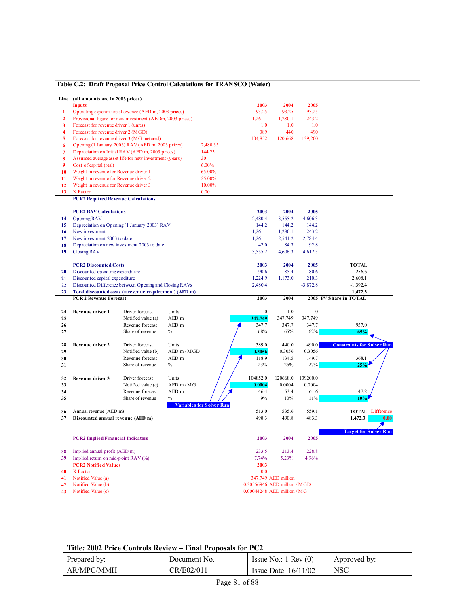#### **Table C.2: Draft Proposal Price Control Calculations for TRANSCO (Water)**

|                         | Line (all amounts are in 2003 prices)      |                                                           |                  |                                 |                              |                     |            |                                   |
|-------------------------|--------------------------------------------|-----------------------------------------------------------|------------------|---------------------------------|------------------------------|---------------------|------------|-----------------------------------|
|                         | <b>Inputs</b>                              |                                                           |                  |                                 | 2003                         | 2004                | 2005       |                                   |
| 1                       |                                            | Operating expenditure allowance (AED m, 2003 prices)      |                  |                                 | 93.25                        | 93.25               | 93.25      |                                   |
| $\overline{2}$          |                                            | Provisional figure for new investment (AEDm, 2003 prices) |                  |                                 | 1,261.1                      | 1,280.1             | 243.2      |                                   |
| 3                       | Forecast for revenue driver 1 (units)      |                                                           |                  |                                 | 1.0                          | 1.0                 | 1.0        |                                   |
| $\overline{\mathbf{4}}$ | Forecast for revenue driver 2 (MGD)        |                                                           |                  |                                 | 389                          | 440                 | 490        |                                   |
| 5                       | Forecast for revenue driver 3 (MG metered) |                                                           |                  |                                 | 104,852                      | 120,668             | 139,200    |                                   |
| 6                       |                                            | Opening (1 January 2003) RAV (AED m, 2003 prices)         |                  | 2,480.35                        |                              |                     |            |                                   |
| $\overline{7}$          |                                            | Depreciation on Initial RAV (AED m, 2003 prices)          |                  | 144.23                          |                              |                     |            |                                   |
| 8                       |                                            | Assumed average asset life for new investment (years)     |                  | 30                              |                              |                     |            |                                   |
| 9                       | Cost of capital (real)                     |                                                           |                  | 6.00%                           |                              |                     |            |                                   |
| 10                      | Weight in revenue for Revenue driver 1     |                                                           |                  | 65.00%                          |                              |                     |            |                                   |
| 11                      | Weight in revenue for Revenue driver 2     |                                                           |                  | 25.00%                          |                              |                     |            |                                   |
| 12                      | Weight in revenue for Revenue driver 3     |                                                           |                  | 10.00%                          |                              |                     |            |                                   |
| 13                      | X Factor                                   |                                                           |                  | 0.00                            |                              |                     |            |                                   |
|                         | <b>PCR2 Required Revenue Calculations</b>  |                                                           |                  |                                 |                              |                     |            |                                   |
|                         |                                            |                                                           |                  |                                 |                              |                     |            |                                   |
|                         | <b>PCR2 RAV Calculations</b>               |                                                           |                  |                                 | 2003                         | 2004                | 2005       |                                   |
| 14                      | Opening RAV                                |                                                           |                  |                                 | 2,480.4                      | 3,555.2             | 4,606.3    |                                   |
| 15                      |                                            | Depreciation on Opening (1 January 2003) RAV              |                  |                                 | 144.2                        | 144.2               | 144.2      |                                   |
| 16                      | New investment                             |                                                           |                  |                                 | 1,261.1                      | 1,280.1             | 243.2      |                                   |
| 17                      | New investment 2003 to date                |                                                           |                  |                                 | 1,261.1                      | 2,541.2             | 2,784.4    |                                   |
| 18                      |                                            | Depreciation on new investment 2003 to date               |                  |                                 | 42.0                         | 84.7                | 92.8       |                                   |
| 19                      | <b>Closing RAV</b>                         |                                                           |                  |                                 | 3,555.2                      | 4,606.3             | 4,612.5    |                                   |
|                         |                                            |                                                           |                  |                                 |                              |                     |            |                                   |
|                         | <b>PCR2 Discounted Costs</b>               |                                                           |                  |                                 | 2003                         | 2004                | 2005       | <b>TOTAL</b>                      |
| 20                      | Discounted operating expenditure           |                                                           |                  |                                 | 90.6                         | 85.4                | 80.6       | 256.6                             |
| 21                      | Discounted capital expenditure             |                                                           |                  |                                 | 1,224.9                      | 1,173.0             | 210.3      | 2,608.1                           |
| 22                      |                                            | Discounted Difference between Opening and Closing RAVs    |                  |                                 | 2,480.4                      |                     | $-3,872.8$ | $-1,392.4$                        |
| 23                      |                                            | Total discounted costs (= revenue requirement) (AED m)    |                  |                                 |                              |                     |            | 1,472.3                           |
|                         |                                            |                                                           |                  |                                 |                              |                     |            |                                   |
|                         |                                            |                                                           |                  |                                 |                              |                     |            |                                   |
|                         | <b>PCR 2 Revenue Forecast</b>              |                                                           |                  |                                 | 2003                         | 2004                |            | 2005 PV Share in TOTAL            |
| 24                      | Revenue driver 1                           | Driver forecast                                           | Units            |                                 | 1.0                          | 1.0                 | 1.0        |                                   |
| 25                      |                                            | Notified value (a)                                        | AED <sub>m</sub> |                                 | 347.749                      | 347.749             | 347.749    |                                   |
| 26                      |                                            | Revenue forecast                                          | AED <sub>m</sub> |                                 | 347.7                        | 347.7               | 347.7      | 957.0                             |
| 27                      |                                            | Share of revenue                                          | $\%$             |                                 | 68%                          | 65%                 | 62%        | 65%                               |
|                         |                                            |                                                           |                  |                                 |                              |                     |            |                                   |
| 28                      | Revenue driver 2                           | Driver forecast                                           | Units            |                                 | 389.0                        | 440.0               | 490.0      | <b>Constraints for Solver Run</b> |
| 29                      |                                            | Notified value (b)                                        | $AED$ m / $MGD$  |                                 | 0.3056                       | 0.3056              | 0.3056     |                                   |
| 30                      |                                            | Revenue forecast                                          | AED <sub>m</sub> |                                 | 118.9                        | 134.5               | 149.7      | 368.1                             |
| 31                      |                                            | Share of revenue                                          | $\%$             |                                 | 23%                          | 25%                 | 27%        | 25%                               |
|                         |                                            |                                                           |                  |                                 |                              |                     |            |                                   |
| 32                      | Revenue driver 3                           | Driver forecast                                           | Units            |                                 | 104852.0                     | 120668.0            | 139200.0   |                                   |
| 33                      |                                            | Notified value (c)                                        | AEDm/MG          |                                 | 0.0004                       | 0.0004              | 0.0004     |                                   |
| 34                      |                                            | Revenue forecast                                          | AED <sub>m</sub> |                                 | 46.4                         | 53.4                | 61.6       | 147.2                             |
| 35                      |                                            | Share of revenue                                          | $\%$             |                                 | 9%                           | 10%                 | $11\%$     | 10%                               |
|                         |                                            |                                                           |                  | <b>Variables for Solver Run</b> |                              |                     |            |                                   |
| 36                      | Annual revenue (AED m)                     |                                                           |                  |                                 | 513.0                        | 535.6               | 559.1      | <b>TOTAL Difference</b>           |
| 37                      | Discounted annual revenue (AED m)          |                                                           |                  |                                 | 498.3                        | 490.8               | 483.3      | 1,472.3<br>0.00                   |
|                         |                                            |                                                           |                  |                                 |                              |                     |            |                                   |
|                         |                                            |                                                           |                  |                                 |                              |                     |            | <b>Target for Solver Run</b>      |
|                         | <b>PCR2 Implied Financial Indicators</b>   |                                                           |                  |                                 | 2003                         | 2004                | 2005       |                                   |
|                         |                                            |                                                           |                  |                                 |                              |                     |            |                                   |
| 38                      | Implied annual profit (AED m)              |                                                           |                  |                                 | 233.5                        | 213.4               | 228.8      |                                   |
| 39                      | Implied return on mid-point RAV (%)        |                                                           |                  |                                 | 7.74%                        | 5.23%               | 4.96%      |                                   |
|                         | <b>PCR2 Notified Values</b>                |                                                           |                  |                                 | 2003                         |                     |            |                                   |
| 40                      | X Factor                                   |                                                           |                  |                                 | 0.0                          |                     |            |                                   |
| 41                      | Notified Value (a)                         |                                                           |                  |                                 |                              | 347.749 AED million |            |                                   |
| 42                      | Notified Value (b)                         |                                                           |                  |                                 | 0.30556946 AED million / MGD |                     |            |                                   |

| Title: 2002 Price Controls Review – Final Proposals for PC2 |               |                               |                  |  |  |  |
|-------------------------------------------------------------|---------------|-------------------------------|------------------|--|--|--|
| Prepared by:                                                | Document No.  | Issue No.: $1 \text{ Rev}(0)$ | Approved by:     |  |  |  |
| AR/MPC/MMH                                                  | CR/E02/011    | Issue Date: $16/11/02$        | NSC <sup>.</sup> |  |  |  |
|                                                             | Page 81 of 88 |                               |                  |  |  |  |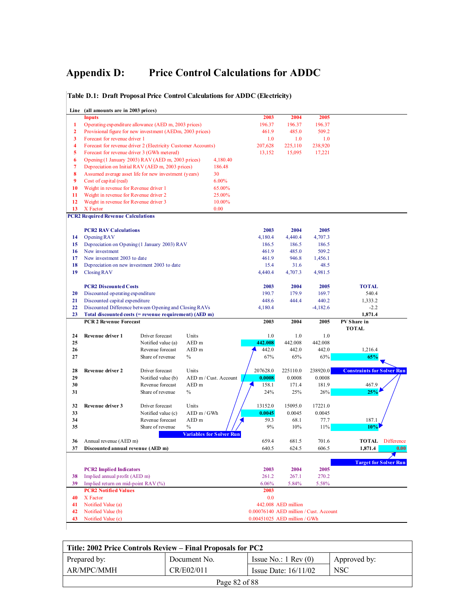### **Appendix D: Price Control Calculations for ADDC**

#### **Line (all amounts are in 2003 prices) Inputs 2003 2004 2005 1** Operating expenditure allowance (AED m, 2003 prices) 196.37 196.37 196.37 **2** Provisional figure for new investment (AEDm, 2003 prices) 461.9 485.0 509.2 **3** Forecast for revenue driver 1 1.0 1.0 1.0 1.0 **4** Forecast for revenue driver 2 (Electricity Customer Accounts) 207,628 225,110 238,920 **5** Forecast for revenue driver 3 (GWh metered) 13,152 15,095 17,221 **6** Opening (1 January 2003) RAV (AED m, 2003 prices) 4,180.40 **7** Depreciation on Initial RAV (AED m, 2003 prices) 186.48 **8** Assumed average asset life for new investment (years) 30 **9** Cost of capital (real) 6.00% **10** Weight in revenue for Revenue driver 1 65.00%<br> **11** Weight in revenue for Revenue driver 2 25.00% **11** Weight in revenue for Revenue driver 2 **12** Weight in revenue for Revenue driver 3 10.00% **13** X Factor 0.00 **PCR2 Required Revenue Calculations PCR2 RAV Calculations** 2003 2004 2005 **14** Opening RAV 4,180.4 4,440.4 4,707.3 **15** Depreciation on Opening (1 January 2003) RAV 186.5 186.5 186.5 **16** New investment 461.9 485.0 509.2 **17** New investment 2003 to date 461.9 946.8 1,456.1 **18** Depreciation on new investment 2003 to date 15.4 31.6 48.5 **19** Closing RAV 4,440.4 4,707.3 4,981.5 **PCR2 Discounted Costs 2003 2004 2005 TOTAL 20** Discounted operating expenditure 190.7 179.9 169.7 540.4 **21** Discounted capital expenditure 448.6 444.4 440.2 1,333.2 **22** Discounted Difference between Opening and Closing RAVs 4,180.4 -4,182.6 -2.2<br> **23** Total discounted costs (= revenue requirement) (AED m) 1.871.4 **23** Total discounted costs (= revenue requirement) (AED m) **PCR 2 Revenue Forecast** 2005 2004 2005 **24 Revenue driver 1** Driver forecast Units 1.0 1.0 1.0 1.0 **25** Notified value (a) AED m **442.008** 442.008 442.008 **26** Revenue forecast AED m **442.0** 442.0 442.0 442.0 1,216.4 **27** Share of revenue % 65% 65% 63% 63% 65% **28 Revenue driver 2** Driver forecast Units  $\begin{pmatrix} 207628.0 & 225110.0 & 238920.0 &$  **Constraints for Solver Run 29** Notified value (b) AED m / Cust. Account  $\sqrt{0.0008}$  0.0008 0.0008 **30** Revenue forecast AED m  $\sqrt{2}$  158.1 171.4 181.9 467.9 **31** Share of revenue % 24% 25% 26% **25% 32 Revenue driver 3** Driver forecast Units  $\frac{1}{1}$  13152.0 15095.0 1722.1.0 **33** Notified value (c) AED m / GWh  $\frac{1}{2}$  **0.0045** 0.0045 0.0045 **34** Revenue forecast AED m  $\frac{1}{5}$  59.3 68.1 77.7 187.1 **35** Share of revenue %  $\frac{1}{\sqrt{}}$  9% 10% 11% 10% **Variables for Solver Run 36** Annual revenue (AED m) 659.4 681.5 701.6 **TOTAL** Difference **37 Discounted annual revenue (AED m)** 640.5 624.5 606.5 **1,871.4 0.00 Target for Solver Run PCR2 Implied Indicators 2003 2004 2005 38** Implied annual profit (AED m) 261.2 267.1 270.2 **39** Implied return on mid-point RAV (%) 6.06% 5.84% 5.58% **PCR2 Notified Values** 2003 **40** X Factor 0.0 **41** Notified Value (a) 442.008 AED million **42** Notified Value (b) 0.00076140 AED million / Cust. Account **43** Notified Value (c) 0.00451025 AED million / GWh **PV Share in TOTAL**

**Table D.1: Draft Proposal Price Control Calculations for ADDC (Electricity)**

| Title: 2002 Price Controls Review – Final Proposals for PC2 |               |                               |              |  |  |  |
|-------------------------------------------------------------|---------------|-------------------------------|--------------|--|--|--|
| Prepared by:                                                | Document No.  | Issue No.: $1 \text{ Rev}(0)$ | Approved by: |  |  |  |
| AR/MPC/MMH                                                  | CR/E02/011    | Issue Date: $16/11/02$        | <b>NSC</b>   |  |  |  |
|                                                             | Page 82 of 88 |                               |              |  |  |  |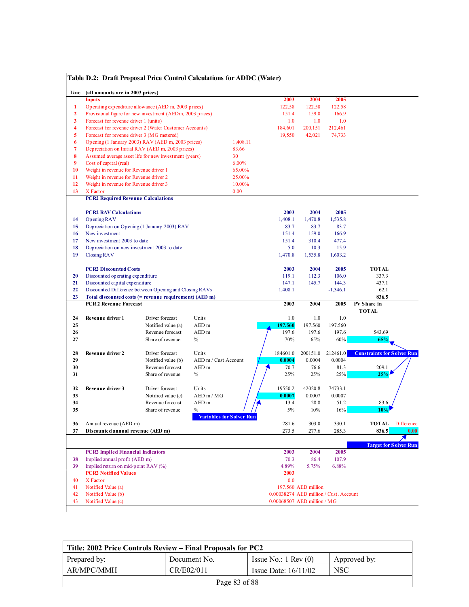| Line                    | (all amounts are in 2003 prices)                          |                                        |                                         |                                        |                     |                  |                                   |
|-------------------------|-----------------------------------------------------------|----------------------------------------|-----------------------------------------|----------------------------------------|---------------------|------------------|-----------------------------------|
|                         | <b>Inputs</b>                                             |                                        |                                         | 2003                                   | 2004                | 2005             |                                   |
| $\mathbf{1}$            | Operating expenditure allowance (AED m, 2003 prices)      |                                        |                                         | 122.58                                 | 122.58              | 122.58           |                                   |
| $\overline{2}$          | Provisional figure for new investment (AEDm, 2003 prices) |                                        |                                         | 151.4                                  | 159.0               | 166.9            |                                   |
| 3                       | Forecast for revenue driver 1 (units)                     |                                        |                                         | 1.0                                    | 1.0                 | 1.0              |                                   |
| $\overline{\mathbf{4}}$ | Forecast for revenue driver 2 (Water Customer Accounts)   |                                        |                                         | 184,601                                | 200,151             | 212,461          |                                   |
| 5                       | Forecast for revenue driver 3 (MG metered)                |                                        |                                         | 19,550                                 | 42,021              | 74,733           |                                   |
| 6                       | Opening (1 January 2003) RAV (AED m, 2003 prices)         |                                        | 1,408.11                                |                                        |                     |                  |                                   |
| $\overline{7}$          | Depreciation on Initial RAV (AED m, 2003 prices)          |                                        | 83.66                                   |                                        |                     |                  |                                   |
| 8                       | Assumed average asset life for new investment (years)     |                                        | 30                                      |                                        |                     |                  |                                   |
| 9                       | Cost of capital (real)                                    |                                        | 6.00%                                   |                                        |                     |                  |                                   |
| 10                      | Weight in revenue for Revenue driver 1                    |                                        | 65.00%                                  |                                        |                     |                  |                                   |
| 11                      | Weight in revenue for Revenue driver 2                    |                                        | 25.00%                                  |                                        |                     |                  |                                   |
| 12                      | Weight in revenue for Revenue driver 3                    |                                        | 10.00%                                  |                                        |                     |                  |                                   |
| 13                      | X Factor                                                  |                                        | 0.00                                    |                                        |                     |                  |                                   |
|                         | <b>PCR2 Required Revenue Calculations</b>                 |                                        |                                         |                                        |                     |                  |                                   |
|                         | <b>PCR2 RAV Calculations</b>                              |                                        |                                         | 2003                                   | 2004                | 2005             |                                   |
| 14                      | Opening RAV                                               |                                        |                                         | 1,408.1                                | 1,470.8             | 1,535.8          |                                   |
| 15                      | Depreciation on Opening (1 January 2003) RAV              |                                        |                                         | 83.7                                   | 83.7                | 83.7             |                                   |
| 16                      | New investment                                            |                                        |                                         | 151.4                                  | 159.0               | 166.9            |                                   |
| 17                      | New investment 2003 to date                               |                                        |                                         | 151.4                                  | 310.4               | 477.4            |                                   |
| 18                      | Depreciation on new investment 2003 to date               |                                        |                                         | 5.0                                    | 10.3                | 15.9             |                                   |
| 19                      | <b>Closing RAV</b>                                        |                                        |                                         | 1,470.8                                | 1,535.8             | 1,603.2          |                                   |
|                         |                                                           |                                        |                                         |                                        |                     |                  |                                   |
|                         | <b>PCR2 Discounted Costs</b>                              |                                        |                                         | 2003                                   | 2004                | 2005             | <b>TOTAL</b>                      |
| 20                      | Discounted operating expenditure                          |                                        |                                         | 119.1                                  | 112.3               | 106.0            | 337.3                             |
| 21                      | Discounted capital expenditure                            |                                        |                                         | 147.1                                  | 145.7               | 144.3            | 437.1                             |
| 22                      | Discounted Difference between Opening and Closing RAVs    |                                        |                                         | 1,408.1                                |                     | $-1,346.1$       | 62.1                              |
| 23                      | Total discounted costs (= revenue requirement) (AED m)    |                                        |                                         |                                        |                     |                  |                                   |
|                         |                                                           |                                        |                                         |                                        |                     |                  | 836.5                             |
|                         | <b>PCR 2 Revenue Forecast</b>                             |                                        |                                         | 2003                                   | 2004                | 2005             | PV Share in                       |
|                         |                                                           |                                        |                                         |                                        |                     |                  | <b>TOTAL</b>                      |
| 24                      | Revenue driver 1                                          | Driver forecast                        | Units                                   | 1.0                                    | 1.0                 | 1.0              |                                   |
| 25<br>26                |                                                           | Notified value (a)<br>Revenue forecast | AED <sub>m</sub><br>AED <sub>m</sub>    | 197.560<br>197.6                       | 197.560<br>197.6    | 197.560<br>197.6 | 543.69                            |
| 27                      |                                                           | Share of revenue                       | $\%$                                    | 70%                                    | 65%                 | 60%              | 65%                               |
|                         |                                                           |                                        |                                         |                                        |                     |                  |                                   |
| 28                      | Revenue driver 2                                          | Driver forecast                        | Units                                   | 184601.0                               | 200151.0            | 212461.0         | <b>Constraints for Solver Run</b> |
| 29                      |                                                           | Notified value (b)                     | AED m / Cust.Account                    | 0.0004                                 | 0.0004              | 0.0004           |                                   |
| 30                      |                                                           | Revenue forecast                       | AED <sub>m</sub>                        | 70.7                                   | 76.6                | 81.3             | 209.1                             |
| 31                      |                                                           | Share of revenue                       | $\%$                                    | 25%                                    | 25%                 | 25%              | 25%                               |
|                         |                                                           |                                        |                                         |                                        |                     |                  |                                   |
| 32                      | Revenue driver 3                                          | Driver forecast                        | Units                                   | 19550.2                                | 42020.8             | 74733.1          |                                   |
| 33                      |                                                           | Notified value (c)                     | $AED \text{ m} / MG$                    | 0.0007                                 | 0.0007              | 0.0007           |                                   |
| 34                      |                                                           | Revenue forecast                       | AED <sub>m</sub>                        | 13.4                                   | 28.8                | 51.2             | 83.6                              |
| 35                      |                                                           | Share of revenue                       | $\%$<br><b>Variables for Solver Run</b> | 5%                                     | 10%                 | 16%              | 10%                               |
| 36                      | Annual revenue (AED m)                                    |                                        |                                         | 281.6                                  | 303.0               | 330.1            | <b>TOTAL</b> Difference           |
| 37                      | Discounted annual revenue (AED m)                         |                                        |                                         | 273.5                                  | 277.6               | 285.3            | 836.5<br>0.00                     |
|                         |                                                           |                                        |                                         |                                        |                     |                  |                                   |
|                         |                                                           |                                        |                                         |                                        |                     |                  | <b>Target for Solver Run</b>      |
|                         | <b>PCR2 Implied Financial Indicators</b>                  |                                        |                                         | 2003                                   | 2004                | 2005             |                                   |
| 38                      | Implied annual profit (AED m)                             |                                        |                                         | 70.3                                   | 86.4                | 107.9            |                                   |
| 39                      | Implied return on mid-point RAV (%)                       |                                        |                                         | 4.89%                                  | 5.75%               | 6.88%            |                                   |
|                         | <b>PCR2 Notified Values</b>                               |                                        |                                         | 2003                                   |                     |                  |                                   |
| 40                      | X Factor                                                  |                                        |                                         | 0.0                                    |                     |                  |                                   |
| 41<br>42                | Notified Value (a)<br>Notified Value (b)                  |                                        |                                         | 0.00038274 AED million / Cust. Account | 197.560 AED million |                  |                                   |

| Title: 2002 Price Controls Review – Final Proposals for PC2 |               |                               |              |  |  |  |
|-------------------------------------------------------------|---------------|-------------------------------|--------------|--|--|--|
| Prepared by:                                                | Document No.  | Issue No.: $1 \text{ Rev}(0)$ | Approved by: |  |  |  |
| AR/MPC/MMH                                                  | CR/E02/011    | Issue Date: $16/11/02$        | NSC          |  |  |  |
|                                                             | Page 83 of 88 |                               |              |  |  |  |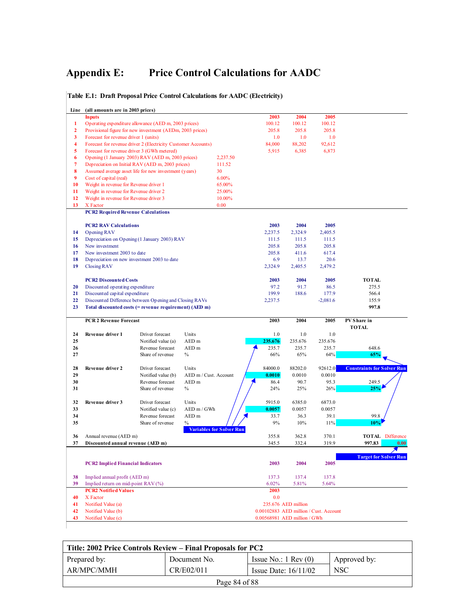# **Appendix E: Price Control Calculations for AADC**

| Line                    | (all amounts are in 2003 prices)            |                                                               |                                         |                                                                        |                     |            |                                   |
|-------------------------|---------------------------------------------|---------------------------------------------------------------|-----------------------------------------|------------------------------------------------------------------------|---------------------|------------|-----------------------------------|
|                         | <b>Inputs</b>                               |                                                               |                                         | 2003                                                                   | 2004                | 2005       |                                   |
| 1                       |                                             | Operating expenditure allowance (AED m, 2003 prices)          |                                         | 100.12                                                                 | 100.12              | 100.12     |                                   |
| $\overline{2}$          |                                             | Provisional figure for new investment (AEDm, 2003 prices)     |                                         | 205.8                                                                  | 205.8               | 205.8      |                                   |
| 3                       | Forecast for revenue driver 1 (units)       |                                                               |                                         | 1.0                                                                    | 1.0                 | 1.0        |                                   |
| $\overline{\mathbf{4}}$ |                                             | Forecast for revenue driver 2 (Electricity Customer Accounts) |                                         | 84,000                                                                 | 88,202              | 92,612     |                                   |
| 5                       | Forecast for revenue driver 3 (GWh metered) |                                                               |                                         | 5,915                                                                  | 6,385               | 6,873      |                                   |
| 6                       |                                             | Opening (1 January 2003) RAV (AED m, 2003 prices)             | 2,237.50                                |                                                                        |                     |            |                                   |
| 7<br>8                  |                                             | Depreciation on Initial RAV (AED m, 2003 prices)              | 111.52<br>30                            |                                                                        |                     |            |                                   |
| 9                       | Cost of capital (real)                      | Assumed average asset life for new investment (years)         | 6.00%                                   |                                                                        |                     |            |                                   |
| 10                      | Weight in revenue for Revenue driver 1      |                                                               | 65.00%                                  |                                                                        |                     |            |                                   |
| 11                      | Weight in revenue for Revenue driver 2      |                                                               | 25.00%                                  |                                                                        |                     |            |                                   |
| 12                      | Weight in revenue for Revenue driver 3      |                                                               | 10.00%                                  |                                                                        |                     |            |                                   |
| 13                      | X Factor                                    |                                                               | 0.00                                    |                                                                        |                     |            |                                   |
|                         | <b>PCR2 Required Revenue Calculations</b>   |                                                               |                                         |                                                                        |                     |            |                                   |
|                         | <b>PCR2 RAV Calculations</b>                |                                                               |                                         | 2003                                                                   | 2004                | 2005       |                                   |
| 14                      | Opening RAV                                 |                                                               |                                         | 2,237.5                                                                | 2,324.9             | 2,405.5    |                                   |
| 15                      |                                             | Depreciation on Opening (1 January 2003) RAV                  |                                         | 111.5                                                                  | 111.5               | 111.5      |                                   |
| 16                      | New investment                              |                                                               |                                         | 205.8                                                                  | 205.8               | 205.8      |                                   |
| 17                      | New investment 2003 to date                 |                                                               |                                         | 205.8                                                                  | 411.6               | 617.4      |                                   |
| 18                      |                                             | Depreciation on new investment 2003 to date                   |                                         | 6.9                                                                    | 13.7                | 20.6       |                                   |
| 19                      | <b>Closing RAV</b>                          |                                                               |                                         | 2,324.9                                                                | 2,405.5             | 2,479.2    |                                   |
|                         | <b>PCR2 Discounted Costs</b>                |                                                               |                                         | 2003                                                                   | 2004                | 2005       | <b>TOTAL</b>                      |
| 20                      | Discounted operating expenditure            |                                                               |                                         | 97.2                                                                   | 91.7                | 86.5       | 275.5                             |
| 21                      | Discounted capital expenditure              |                                                               |                                         | 199.9                                                                  | 188.6               | 177.9      | 566.4                             |
| 22                      |                                             | Discounted Difference between Opening and Closing RAVs        |                                         | 2,237.5                                                                |                     | $-2,081.6$ | 155.9                             |
| 23                      |                                             | Total discounted costs (= revenue requirement) (AED m)        |                                         |                                                                        |                     |            | 997.8                             |
|                         | <b>PCR 2 Revenue Forecast</b>               |                                                               |                                         | 2003                                                                   | 2004                | 2005       | PV Share in                       |
| 24                      | Revenue driver 1                            | Driver forecast                                               | Units                                   | 1.0                                                                    | 1.0                 | 1.0        | <b>TOTAL</b>                      |
| 25                      |                                             | Notified value (a)                                            | AED <sub>m</sub>                        | 235.676                                                                | 235.676             | 235.676    |                                   |
| 26                      |                                             | Revenue forecast                                              | AED <sub>m</sub>                        | 235.7                                                                  | 235.7               | 235.7      | 648.6                             |
| 27                      |                                             | Share of revenue                                              | $\%$                                    | 66%                                                                    | 65%                 | 64%        | 65%                               |
| 28                      | Revenue driver 2                            | Driver forecast                                               | Units                                   | 84000.0                                                                | 88202.0             | 92612.0    | <b>Constraints for Solver Run</b> |
| 29                      |                                             | Notified value (b)                                            | AED m / Cust. Account                   | 0.0010                                                                 | 0.0010              | 0.0010     |                                   |
| 30                      |                                             | Revenue forecast                                              | AED <sub>m</sub>                        | 86.4                                                                   | 90.7                | 95.3       | 249.5                             |
| 31                      |                                             | Share of revenue                                              | $\%$                                    | 24%                                                                    | 25%                 | 26%        | 25%                               |
| 32                      | Revenue driver 3                            | Driver forecast                                               | Units                                   | 5915.0                                                                 | 6385.0              | 6873.0     |                                   |
| 33                      |                                             | Notified value (c)                                            | AED m / GWh                             | 0.0057                                                                 | 0.0057              | 0.0057     |                                   |
| 34                      |                                             | Revenue forecast                                              | AED m                                   | 33.7                                                                   | 36.3                | 39.1       | 99.8                              |
| 35                      |                                             | Share of revenue                                              | $\%$<br><b>Variables for Solver Run</b> | 9%                                                                     | 10%                 | 11%        | 10%                               |
|                         | Annual revenue (AED m)                      |                                                               |                                         | 355.8                                                                  | 362.8               | 370.1      | <b>TOTAL</b> Difference           |
| 36                      |                                             |                                                               |                                         | 345.5                                                                  | 332.4               | 319.9      | 997.83<br>0.00                    |
| 37                      | Discounted annual revenue (AED m)           |                                                               |                                         |                                                                        |                     |            |                                   |
|                         |                                             |                                                               |                                         |                                                                        |                     |            |                                   |
|                         | <b>PCR2</b> Implied Financial Indicators    |                                                               |                                         | 2003                                                                   | 2004                | 2005       | <b>Target for Solver Run</b>      |
| 38                      | Implied annual profit (AED m)               |                                                               |                                         | 137.3                                                                  | 137.4               | 137.8      |                                   |
| 39                      | Implied return on mid-point RAV (%)         |                                                               |                                         | 6.02%                                                                  | 5.81%               | 5.64%      |                                   |
|                         | <b>PCR2 Notified Values</b>                 |                                                               |                                         | 2003                                                                   |                     |            |                                   |
| 40                      | X Factor                                    |                                                               |                                         | 0.0                                                                    |                     |            |                                   |
| 41                      | Notified Value (a)                          |                                                               |                                         |                                                                        | 235.676 AED million |            |                                   |
| 42<br>43                | Notified Value (b)<br>Notified Value (c)    |                                                               |                                         | 0.00102883 AED million / Cust. Account<br>0.00568981 AED million / GWh |                     |            |                                   |

**Table E.1: Draft Proposal Price Control Calculations for AADC (Electricity)**

| Title: 2002 Price Controls Review – Final Proposals for PC2 |               |                               |              |  |  |  |
|-------------------------------------------------------------|---------------|-------------------------------|--------------|--|--|--|
| Prepared by:                                                | Document No.  | Issue No.: $1 \text{ Rev}(0)$ | Approved by: |  |  |  |
| AR/MPC/MMH                                                  | CR/E02/011    | Issue Date: $16/11/02$        | <b>NSC</b>   |  |  |  |
|                                                             | Page 84 of 88 |                               |              |  |  |  |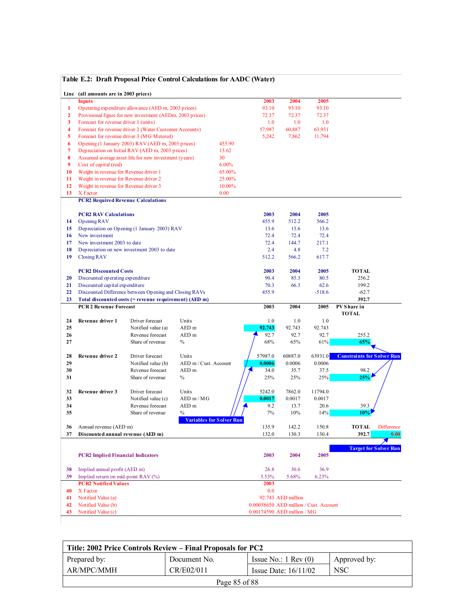|                         |                                           | Table E.2: Draft Proposal Price Control Calculations for AADC (Water) |                       |                           |                                        |                    |          |                                   |
|-------------------------|-------------------------------------------|-----------------------------------------------------------------------|-----------------------|---------------------------|----------------------------------------|--------------------|----------|-----------------------------------|
|                         | Line (all amounts are in 2003 prices)     |                                                                       |                       |                           |                                        |                    |          |                                   |
|                         | <b>Inputs</b>                             |                                                                       |                       |                           | 2003                                   | 2004               | 2005     |                                   |
| 1                       |                                           | Operating expenditure allowance (AED m, 2003 prices)                  |                       |                           | 93.10                                  | 93.10              | 93.10    |                                   |
| $\overline{2}$          |                                           | Provisional figure for new investment (AEDm, 2003 prices)             |                       |                           | 72.37                                  | 72.37              | 72.37    |                                   |
| 3                       | Forecast for revenue driver 1 (units)     |                                                                       |                       |                           | 1.0                                    | 1.0                | 1.0      |                                   |
| $\overline{\mathbf{4}}$ |                                           | Forecast for revenue driver 2 (Water Customer Accounts)               |                       |                           | 57,987                                 | 60,887             | 63,931   |                                   |
| 5                       |                                           | Forecast for revenue driver 3 (MG Metered)                            |                       |                           | 5,242                                  | 7,862              | 11,794   |                                   |
| 6                       |                                           | Opening (1 January 2003) RAV (AED m, 2003 prices)                     |                       | 455.90                    |                                        |                    |          |                                   |
| $\overline{7}$          |                                           | Depreciation on Initial RAV (AED m, 2003 prices)                      |                       | 13.62                     |                                        |                    |          |                                   |
| 8                       |                                           | Assumed average asset life for new investment (years)                 |                       | 30                        |                                        |                    |          |                                   |
| 9                       | Cost of capital (real)                    |                                                                       |                       | 6.00%                     |                                        |                    |          |                                   |
| 10                      | Weight in revenue for Revenue driver 1    |                                                                       |                       | 65.00%                    |                                        |                    |          |                                   |
| 11                      | Weight in revenue for Revenue driver 2    |                                                                       |                       | 25.00%                    |                                        |                    |          |                                   |
| 12                      | Weight in revenue for Revenue driver 3    |                                                                       |                       | 10.00%                    |                                        |                    |          |                                   |
| 13                      | X Factor                                  |                                                                       |                       | 0.00                      |                                        |                    |          |                                   |
|                         | <b>PCR2 Required Revenue Calculations</b> |                                                                       |                       |                           |                                        |                    |          |                                   |
|                         | <b>PCR2 RAV Calculations</b>              |                                                                       |                       |                           | 2003                                   | 2004               | 2005     |                                   |
| 14                      | Opening RAV                               |                                                                       |                       |                           | 455.9                                  | 512.2              | 566.2    |                                   |
| 15                      |                                           | Depreciation on Opening (1 January 2003) RAV                          |                       |                           | 13.6                                   | 13.6               | 13.6     |                                   |
| 16                      | New investment                            |                                                                       |                       |                           | 72.4                                   | 72.4               | 72.4     |                                   |
| 17                      | New investment 2003 to date               |                                                                       |                       |                           | 72.4                                   | 144.7              | 217.1    |                                   |
| 18                      |                                           | Depreciation on new investment 2003 to date                           |                       |                           | 2.4                                    | 4.8                | 7.2      |                                   |
| 19                      | Closing RAV                               |                                                                       |                       |                           | 512.2                                  | 566.2              | 617.7    |                                   |
|                         | <b>PCR2 Discounted Costs</b>              |                                                                       |                       |                           | 2003                                   | 2004               | 2005     | <b>TOTAL</b>                      |
| 20                      | Discounted operating expenditure          |                                                                       |                       |                           | 90.4                                   | 85.3               | 80.5     | 256.2                             |
| 21                      | Discounted capital expenditure            |                                                                       |                       |                           | 70.3                                   | 66.3               | 62.6     | 199.2                             |
| 22                      |                                           | Discounted Difference between Opening and Closing RAVs                |                       |                           | 455.9                                  |                    | $-518.6$ | $-62.7$                           |
| 23                      |                                           |                                                                       |                       |                           |                                        |                    |          |                                   |
|                         |                                           |                                                                       |                       |                           |                                        |                    |          | 392.7                             |
|                         | <b>PCR 2 Revenue Forecast</b>             | Total discounted costs (= revenue requirement) (AED m)                |                       |                           | 2003                                   | 2004               | 2005     | PV Share in                       |
|                         |                                           |                                                                       |                       |                           |                                        |                    |          | <b>TOTAL</b>                      |
| 24                      | Revenue driver 1                          | Driver forecast                                                       | Units                 |                           | 1.0                                    | 1.0                | 1.0      |                                   |
| 25                      |                                           | Notified value (a)                                                    | AED m                 |                           | 92.743                                 | 92.743             | 92.743   |                                   |
| 26                      |                                           | Revenue forecast                                                      | AED <sub>m</sub>      |                           | 92.7                                   | 92.7               | 92.7     | 255.2                             |
| 27                      |                                           | Share of revenue                                                      | $\%$                  |                           | 68%                                    | 65%                | 61%      | 65%                               |
| 28                      | Revenue driver 2                          | Driver forecast                                                       | Units                 |                           | 57987.0                                | 60887.0            | 63931.0  | <b>Constraints for Solver Run</b> |
| 29                      |                                           | Notified value (b)                                                    | AED m / Cust. Account |                           | 0.0006                                 | 0.0006             | 0.0006   |                                   |
| 30                      |                                           | Revenue forecast                                                      | AED <sub>m</sub>      |                           | 34.0                                   | 35.7               | 37.5     | 98.2                              |
| 31                      |                                           | Share of revenue                                                      | $\%$                  |                           | 25%                                    | 25%                | 25%      | 25%                               |
|                         |                                           |                                                                       |                       |                           |                                        |                    |          |                                   |
| 32                      | Revenue driver 3                          | Driver forecast                                                       | Units                 |                           | 5242.0                                 | 7862.0             | 11794.0  |                                   |
| 33                      |                                           | Notified value (c)                                                    | $AED \text{ m} / MG$  |                           | 0.0017                                 | 0.0017             | 0.0017   |                                   |
| 34                      |                                           | Revenue forecast                                                      | AED <sub>m</sub>      |                           | 9.2                                    | 13.7               | 20.6     | 39.3                              |
| 35                      |                                           | Share of revenue                                                      | $\%$                  |                           | 7%                                     | 10%                | 14%      | 10%                               |
| 36                      | Annual revenue (AED m)                    |                                                                       |                       | Variables for S olver Run | 135.9                                  | 142.2              | 150.8    | TOTAL<br><b>Difference</b>        |
| 37                      | Discounted annual revenue (AED m)         |                                                                       |                       |                           | 132.0                                  | 130.3              | 130.4    | 392.7<br>0.00                     |
|                         |                                           |                                                                       |                       |                           |                                        |                    |          |                                   |
|                         | <b>PCR2</b> Implied Financial Indicators  |                                                                       |                       |                           | 2003                                   | 2004               | 2005     | <b>Target for Solver Run</b>      |
|                         |                                           |                                                                       |                       |                           |                                        |                    |          |                                   |
| 38                      | Implied annual profit (AED m)             |                                                                       |                       |                           | 26.8                                   | 30.6               | 36.9     |                                   |
| 39                      | Implied return on mid-point RAV (%)       |                                                                       |                       |                           | 5.53%                                  | 5.68%              | 6.23%    |                                   |
|                         | <b>PCR2 Notified Values</b>               |                                                                       |                       |                           | 2003                                   |                    |          |                                   |
| 40                      | X Factor                                  |                                                                       |                       |                           | 0.0                                    |                    |          |                                   |
| 41<br>42                | Notified Value (a)<br>Notified Value (b)  |                                                                       |                       |                           | 0.00058650 AED million / Cust. Account | 92.743 AED million |          |                                   |

#### Title: 2002 Price Controls Review - Final Proposals for PC2 Prepared by: <br> Issue No.: 1 Rev (0) AR/MPC/MMH Document No. CR/E02/011 Issue Date: 16/11/02 Approved by: NSC Page 85 of 88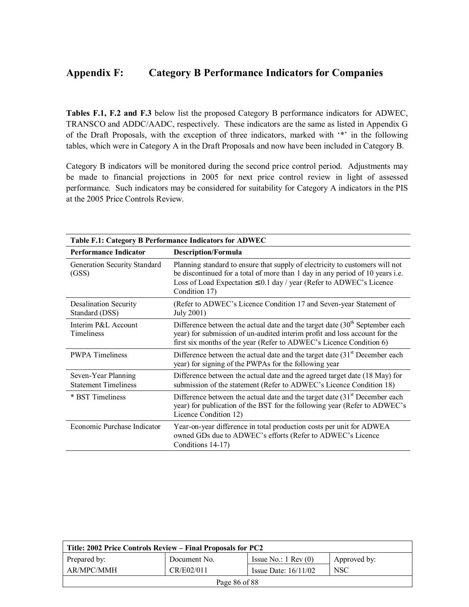## **Appendix F: Category B Performance Indicators for Companies**

**Tables F.1, F.2 and F.3** below list the proposed Category B performance indicators for ADWEC, TRANSCO and ADDC/AADC, respectively. These indicators are the same as listed in Appendix G of the Draft Proposals, with the exception of three indicators, marked with "\*" in the following tables, which were in Category A in the Draft Proposals and now have been included in Category B.

Category B indicators will be monitored during the second price control period. Adjustments may be made to financial projections in 2005 for next price control review in light of assessed performance. Such indicators may be considered for suitability for Category A indicators in the PIS at the 2005 Price Controls Review.

| Table F.1: Category B Performance Indicators for ADWEC |                                                                                                                                                                                                                                                            |  |  |
|--------------------------------------------------------|------------------------------------------------------------------------------------------------------------------------------------------------------------------------------------------------------------------------------------------------------------|--|--|
| <b>Performance Indicator</b>                           | <b>Description/Formula</b>                                                                                                                                                                                                                                 |  |  |
| Generation Security Standard<br>(GSS)                  | Planning standard to ensure that supply of electricity to customers will not<br>be discontinued for a total of more than 1 day in any period of 10 years i.e.<br>Loss of Load Expectation $\leq 0.1$ day / year (Refer to ADWEC's Licence<br>Condition 17) |  |  |
| <b>Desalination Security</b><br>Standard (DSS)         | (Refer to ADWEC's Licence Condition 17 and Seven-year Statement of<br>July 2001)                                                                                                                                                                           |  |  |
| Interim P&L Account<br>Timeliness                      | Difference between the actual date and the target date $(30th$ September each<br>year) for submission of un-audited interim profit and loss account for the<br>first six months of the year (Refer to ADWEC's Licence Condition 6)                         |  |  |
| <b>PWPA</b> Timeliness                                 | Difference between the actual date and the target date $(31st$ December each<br>year) for signing of the PWPAs for the following year                                                                                                                      |  |  |
| Seven-Year Planning<br><b>Statement Timeliness</b>     | Difference between the actual date and the agreed target date (18 May) for<br>submission of the statement (Refer to ADWEC's Licence Condition 18)                                                                                                          |  |  |
| * BST Timeliness                                       | Difference between the actual date and the target date $(31st$ December each<br>year) for publication of the BST for the following year (Refer to ADWEC's<br>Licence Condition 12)                                                                         |  |  |
| Economic Purchase Indicator                            | Year-on-year difference in total production costs per unit for ADWEA<br>owned GDs due to ADWEC's efforts (Refer to ADWEC's Licence<br>Conditions 14-17)                                                                                                    |  |  |

| Title: 2002 Price Controls Review – Final Proposals for PC2 |              |                               |              |
|-------------------------------------------------------------|--------------|-------------------------------|--------------|
| Prepared by:                                                | Document No. | Issue No.: $1 \text{ Rev}(0)$ | Approved by: |
| AR/MPC/MMH                                                  | CR/E02/011   | Issue Date: $16/11/02$        | NSC          |
| Page 86 of 88                                               |              |                               |              |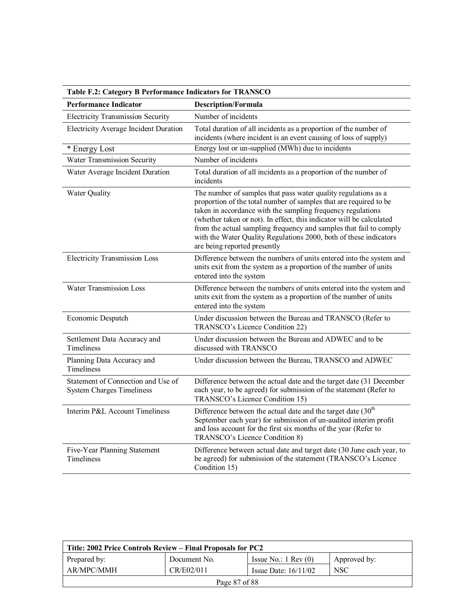| Table F.2: Category B Performance Indicators for TRANSCO               |                                                                                                                                                                                                                                                                                                                                                                                                                                                       |  |  |
|------------------------------------------------------------------------|-------------------------------------------------------------------------------------------------------------------------------------------------------------------------------------------------------------------------------------------------------------------------------------------------------------------------------------------------------------------------------------------------------------------------------------------------------|--|--|
| <b>Performance Indicator</b>                                           | <b>Description/Formula</b>                                                                                                                                                                                                                                                                                                                                                                                                                            |  |  |
| <b>Electricity Transmission Security</b>                               | Number of incidents                                                                                                                                                                                                                                                                                                                                                                                                                                   |  |  |
| <b>Electricity Average Incident Duration</b>                           | Total duration of all incidents as a proportion of the number of<br>incidents (where incident is an event causing of loss of supply)                                                                                                                                                                                                                                                                                                                  |  |  |
| * Energy Lost                                                          | Energy lost or un-supplied (MWh) due to incidents                                                                                                                                                                                                                                                                                                                                                                                                     |  |  |
| Water Transmission Security                                            | Number of incidents                                                                                                                                                                                                                                                                                                                                                                                                                                   |  |  |
| Water Average Incident Duration                                        | Total duration of all incidents as a proportion of the number of<br>incidents                                                                                                                                                                                                                                                                                                                                                                         |  |  |
| <b>Water Quality</b>                                                   | The number of samples that pass water quality regulations as a<br>proportion of the total number of samples that are required to be<br>taken in accordance with the sampling frequency regulations<br>(whether taken or not). In effect, this indicator will be calculated<br>from the actual sampling frequency and samples that fail to comply<br>with the Water Quality Regulations 2000, both of these indicators<br>are being reported presently |  |  |
| <b>Electricity Transmission Loss</b>                                   | Difference between the numbers of units entered into the system and<br>units exit from the system as a proportion of the number of units<br>entered into the system                                                                                                                                                                                                                                                                                   |  |  |
| <b>Water Transmission Loss</b>                                         | Difference between the numbers of units entered into the system and<br>units exit from the system as a proportion of the number of units<br>entered into the system                                                                                                                                                                                                                                                                                   |  |  |
| Economic Despatch                                                      | Under discussion between the Bureau and TRANSCO (Refer to<br>TRANSCO's Licence Condition 22)                                                                                                                                                                                                                                                                                                                                                          |  |  |
| Settlement Data Accuracy and<br>Timeliness                             | Under discussion between the Bureau and ADWEC and to be<br>discussed with TRANSCO                                                                                                                                                                                                                                                                                                                                                                     |  |  |
| Planning Data Accuracy and<br>Timeliness                               | Under discussion between the Bureau, TRANSCO and ADWEC                                                                                                                                                                                                                                                                                                                                                                                                |  |  |
| Statement of Connection and Use of<br><b>System Charges Timeliness</b> | Difference between the actual date and the target date (31 December<br>each year, to be agreed) for submission of the statement (Refer to<br>TRANSCO's Licence Condition 15)                                                                                                                                                                                                                                                                          |  |  |
| Interim P&L Account Timeliness                                         | Difference between the actual date and the target date (30 <sup>th</sup> )<br>September each year) for submission of un-audited interim profit<br>and loss account for the first six months of the year (Refer to<br>TRANSCO's Licence Condition 8)                                                                                                                                                                                                   |  |  |
| Five-Year Planning Statement<br>Timeliness                             | Difference between actual date and target date (30 June each year, to<br>be agreed) for submission of the statement (TRANSCO's Licence<br>Condition 15)                                                                                                                                                                                                                                                                                               |  |  |

| Title: 2002 Price Controls Review – Final Proposals for PC2 |              |                               |              |
|-------------------------------------------------------------|--------------|-------------------------------|--------------|
| Prepared by:                                                | Document No. | Issue No.: $1 \text{ Rev}(0)$ | Approved by: |
| AR/MPC/MMH                                                  | CR/E02/011   | Issue Date: $16/11/02$        | NSC          |
| Page 87 of 88                                               |              |                               |              |